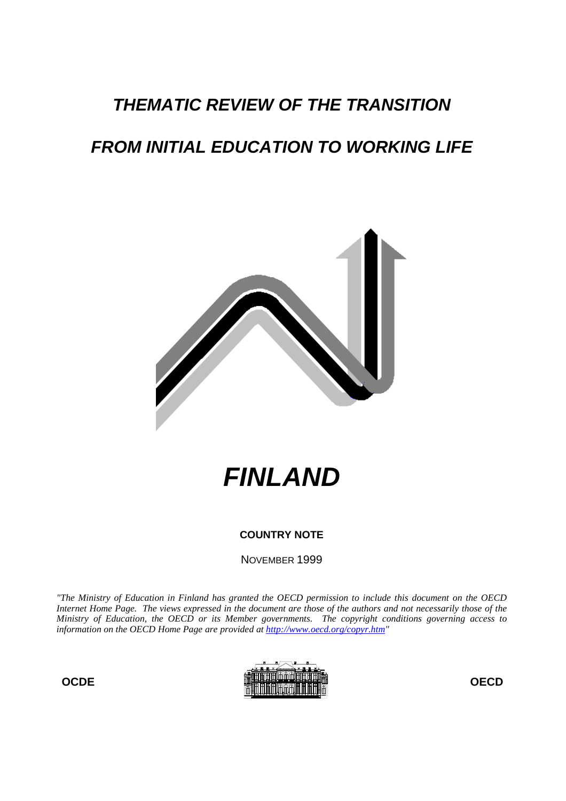# **THEMATIC REVIEW OF THE TRANSITION**

# **FROM INITIAL EDUCATION TO WORKING LIFE**



**FINLAND**

# **COUNTRY NOTE**

NOVEMBER 1999

*"The Ministry of Education in Finland has granted the OECD permission to include this document on the OECD Internet Home Page. The views expressed in the document are those of the authors and not necessarily those of the Ministry of Education, the OECD or its Member governments. The copyright conditions governing access to information on the OECD Home Page are provided at http://www.oecd.org/copyr.htm"*

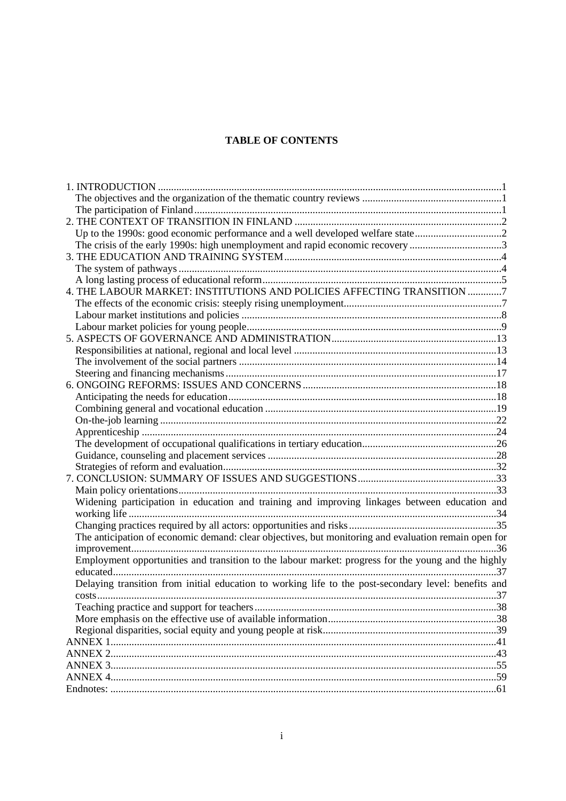# **TABLE OF CONTENTS**

| Up to the 1990s: good economic performance and a well developed welfare state2<br>The crisis of the early 1990s: high unemployment and rapid economic recovery 3<br>4. THE LABOUR MARKET: INSTITUTIONS AND POLICIES AFFECTING TRANSITION 7 |
|--------------------------------------------------------------------------------------------------------------------------------------------------------------------------------------------------------------------------------------------|
|                                                                                                                                                                                                                                            |
|                                                                                                                                                                                                                                            |
|                                                                                                                                                                                                                                            |
|                                                                                                                                                                                                                                            |
|                                                                                                                                                                                                                                            |
|                                                                                                                                                                                                                                            |
|                                                                                                                                                                                                                                            |
|                                                                                                                                                                                                                                            |
|                                                                                                                                                                                                                                            |
|                                                                                                                                                                                                                                            |
|                                                                                                                                                                                                                                            |
|                                                                                                                                                                                                                                            |
|                                                                                                                                                                                                                                            |
|                                                                                                                                                                                                                                            |
|                                                                                                                                                                                                                                            |
|                                                                                                                                                                                                                                            |
|                                                                                                                                                                                                                                            |
|                                                                                                                                                                                                                                            |
|                                                                                                                                                                                                                                            |
|                                                                                                                                                                                                                                            |
|                                                                                                                                                                                                                                            |
|                                                                                                                                                                                                                                            |
|                                                                                                                                                                                                                                            |
|                                                                                                                                                                                                                                            |
|                                                                                                                                                                                                                                            |
|                                                                                                                                                                                                                                            |
| Widening participation in education and training and improving linkages between education and                                                                                                                                              |
|                                                                                                                                                                                                                                            |
|                                                                                                                                                                                                                                            |
| The anticipation of economic demand: clear objectives, but monitoring and evaluation remain open for                                                                                                                                       |
|                                                                                                                                                                                                                                            |
| Employment opportunities and transition to the labour market: progress for the young and the highly                                                                                                                                        |
|                                                                                                                                                                                                                                            |
| Delaying transition from initial education to working life to the post-secondary level: benefits and                                                                                                                                       |
|                                                                                                                                                                                                                                            |
|                                                                                                                                                                                                                                            |
|                                                                                                                                                                                                                                            |
|                                                                                                                                                                                                                                            |
|                                                                                                                                                                                                                                            |
|                                                                                                                                                                                                                                            |
|                                                                                                                                                                                                                                            |
|                                                                                                                                                                                                                                            |
|                                                                                                                                                                                                                                            |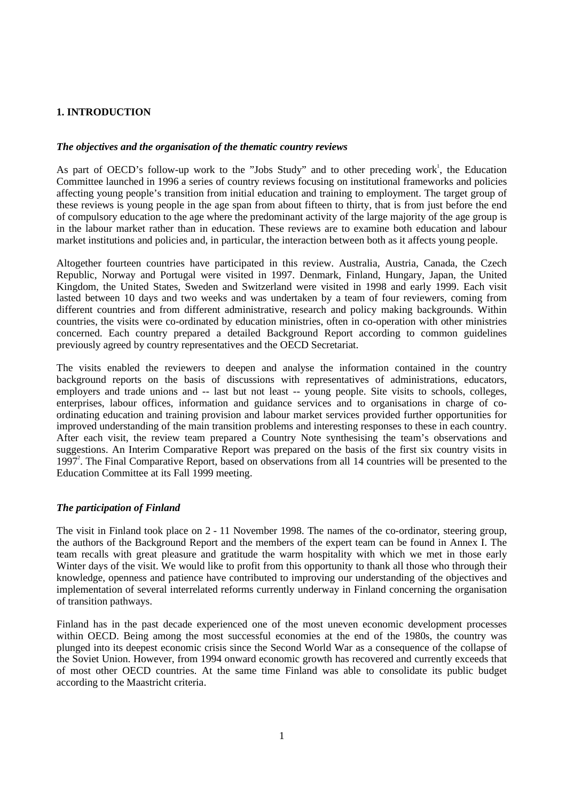# **1. INTRODUCTION**

#### *The objectives and the organisation of the thematic country reviews*

As part of OECD's follow-up work to the "Jobs Study" and to other preceding work<sup>1</sup>, the Education Committee launched in 1996 a series of country reviews focusing on institutional frameworks and policies affecting young people's transition from initial education and training to employment. The target group of these reviews is young people in the age span from about fifteen to thirty, that is from just before the end of compulsory education to the age where the predominant activity of the large majority of the age group is in the labour market rather than in education. These reviews are to examine both education and labour market institutions and policies and, in particular, the interaction between both as it affects young people.

Altogether fourteen countries have participated in this review. Australia, Austria, Canada, the Czech Republic, Norway and Portugal were visited in 1997. Denmark, Finland, Hungary, Japan, the United Kingdom, the United States, Sweden and Switzerland were visited in 1998 and early 1999. Each visit lasted between 10 days and two weeks and was undertaken by a team of four reviewers, coming from different countries and from different administrative, research and policy making backgrounds. Within countries, the visits were co-ordinated by education ministries, often in co-operation with other ministries concerned. Each country prepared a detailed Background Report according to common guidelines previously agreed by country representatives and the OECD Secretariat.

The visits enabled the reviewers to deepen and analyse the information contained in the country background reports on the basis of discussions with representatives of administrations, educators, employers and trade unions and -- last but not least -- young people. Site visits to schools, colleges, enterprises, labour offices, information and guidance services and to organisations in charge of coordinating education and training provision and labour market services provided further opportunities for improved understanding of the main transition problems and interesting responses to these in each country. After each visit, the review team prepared a Country Note synthesising the team's observations and suggestions. An Interim Comparative Report was prepared on the basis of the first six country visits in 1997<sup>2</sup>. The Final Comparative Report, based on observations from all 14 countries will be presented to the Education Committee at its Fall 1999 meeting.

#### *The participation of Finland*

The visit in Finland took place on 2 - 11 November 1998. The names of the co-ordinator, steering group, the authors of the Background Report and the members of the expert team can be found in Annex I. The team recalls with great pleasure and gratitude the warm hospitality with which we met in those early Winter days of the visit. We would like to profit from this opportunity to thank all those who through their knowledge, openness and patience have contributed to improving our understanding of the objectives and implementation of several interrelated reforms currently underway in Finland concerning the organisation of transition pathways.

Finland has in the past decade experienced one of the most uneven economic development processes within OECD. Being among the most successful economies at the end of the 1980s, the country was plunged into its deepest economic crisis since the Second World War as a consequence of the collapse of the Soviet Union. However, from 1994 onward economic growth has recovered and currently exceeds that of most other OECD countries. At the same time Finland was able to consolidate its public budget according to the Maastricht criteria.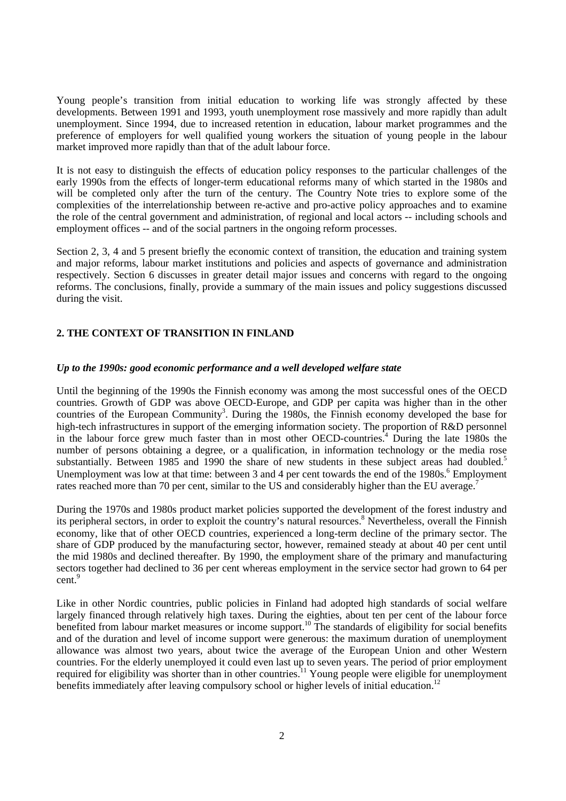Young people's transition from initial education to working life was strongly affected by these developments. Between 1991 and 1993, youth unemployment rose massively and more rapidly than adult unemployment. Since 1994, due to increased retention in education, labour market programmes and the preference of employers for well qualified young workers the situation of young people in the labour market improved more rapidly than that of the adult labour force.

It is not easy to distinguish the effects of education policy responses to the particular challenges of the early 1990s from the effects of longer-term educational reforms many of which started in the 1980s and will be completed only after the turn of the century. The Country Note tries to explore some of the complexities of the interrelationship between re-active and pro-active policy approaches and to examine the role of the central government and administration, of regional and local actors -- including schools and employment offices -- and of the social partners in the ongoing reform processes.

Section 2, 3, 4 and 5 present briefly the economic context of transition, the education and training system and major reforms, labour market institutions and policies and aspects of governance and administration respectively. Section 6 discusses in greater detail major issues and concerns with regard to the ongoing reforms. The conclusions, finally, provide a summary of the main issues and policy suggestions discussed during the visit.

# **2. THE CONTEXT OF TRANSITION IN FINLAND**

#### *Up to the 1990s: good economic performance and a well developed welfare state*

Until the beginning of the 1990s the Finnish economy was among the most successful ones of the OECD countries. Growth of GDP was above OECD-Europe, and GDP per capita was higher than in the other countries of the European Community<sup>3</sup>. During the 1980s, the Finnish economy developed the base for high-tech infrastructures in support of the emerging information society. The proportion of R&D personnel in the labour force grew much faster than in most other OECD-countries.<sup>4</sup> During the late 1980s the number of persons obtaining a degree, or a qualification, in information technology or the media rose substantially. Between 1985 and 1990 the share of new students in these subject areas had doubled.<sup>5</sup> Unemployment was low at that time: between 3 and 4 per cent towards the end of the  $1980s$ .<sup>6</sup> Employment rates reached more than 70 per cent, similar to the US and considerably higher than the EU average.<sup>7</sup>

During the 1970s and 1980s product market policies supported the development of the forest industry and its peripheral sectors, in order to exploit the country's natural resources.<sup>8</sup> Nevertheless, overall the Finnish economy, like that of other OECD countries, experienced a long-term decline of the primary sector. The share of GDP produced by the manufacturing sector, however, remained steady at about 40 per cent until the mid 1980s and declined thereafter. By 1990, the employment share of the primary and manufacturing sectors together had declined to 36 per cent whereas employment in the service sector had grown to 64 per cent<sup>9</sup>

Like in other Nordic countries, public policies in Finland had adopted high standards of social welfare largely financed through relatively high taxes. During the eighties, about ten per cent of the labour force benefited from labour market measures or income support.<sup>10</sup> The standards of eligibility for social benefits and of the duration and level of income support were generous: the maximum duration of unemployment allowance was almost two years, about twice the average of the European Union and other Western countries. For the elderly unemployed it could even last up to seven years. The period of prior employment required for eligibility was shorter than in other countries.<sup>11</sup> Young people were eligible for unemployment benefits immediately after leaving compulsory school or higher levels of initial education.<sup>12</sup>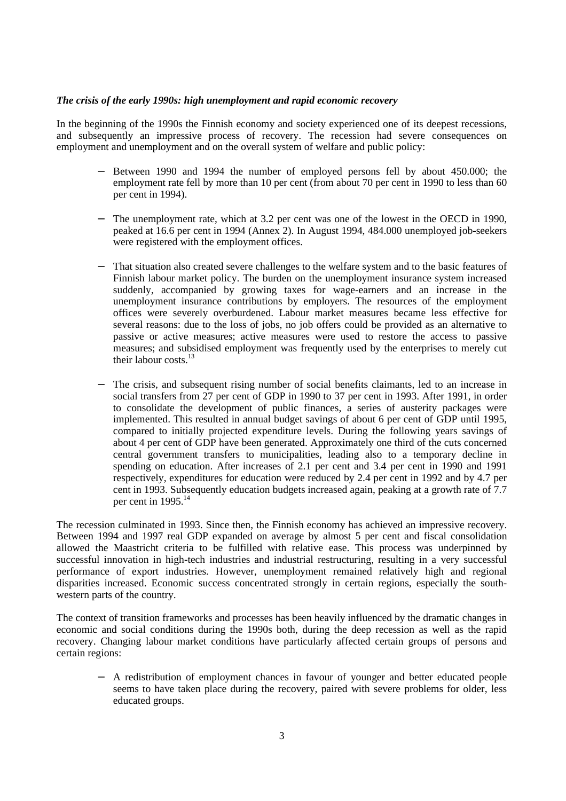## *The crisis of the early 1990s: high unemployment and rapid economic recovery*

In the beginning of the 1990s the Finnish economy and society experienced one of its deepest recessions, and subsequently an impressive process of recovery. The recession had severe consequences on employment and unemployment and on the overall system of welfare and public policy:

- Between 1990 and 1994 the number of employed persons fell by about 450.000; the employment rate fell by more than 10 per cent (from about 70 per cent in 1990 to less than 60 per cent in 1994).
- The unemployment rate, which at 3.2 per cent was one of the lowest in the OECD in 1990, peaked at 16.6 per cent in 1994 (Annex 2). In August 1994, 484.000 unemployed job-seekers were registered with the employment offices.
- That situation also created severe challenges to the welfare system and to the basic features of Finnish labour market policy. The burden on the unemployment insurance system increased suddenly, accompanied by growing taxes for wage-earners and an increase in the unemployment insurance contributions by employers. The resources of the employment offices were severely overburdened. Labour market measures became less effective for several reasons: due to the loss of jobs, no job offers could be provided as an alternative to passive or active measures; active measures were used to restore the access to passive measures; and subsidised employment was frequently used by the enterprises to merely cut their labour costs  $^{13}$
- The crisis, and subsequent rising number of social benefits claimants, led to an increase in social transfers from 27 per cent of GDP in 1990 to 37 per cent in 1993. After 1991, in order to consolidate the development of public finances, a series of austerity packages were implemented. This resulted in annual budget savings of about 6 per cent of GDP until 1995, compared to initially projected expenditure levels. During the following years savings of about 4 per cent of GDP have been generated. Approximately one third of the cuts concerned central government transfers to municipalities, leading also to a temporary decline in spending on education. After increases of 2.1 per cent and 3.4 per cent in 1990 and 1991 respectively, expenditures for education were reduced by 2.4 per cent in 1992 and by 4.7 per cent in 1993. Subsequently education budgets increased again, peaking at a growth rate of 7.7 per cent in  $1995.<sup>14</sup>$

The recession culminated in 1993. Since then, the Finnish economy has achieved an impressive recovery. Between 1994 and 1997 real GDP expanded on average by almost 5 per cent and fiscal consolidation allowed the Maastricht criteria to be fulfilled with relative ease. This process was underpinned by successful innovation in high-tech industries and industrial restructuring, resulting in a very successful performance of export industries. However, unemployment remained relatively high and regional disparities increased. Economic success concentrated strongly in certain regions, especially the southwestern parts of the country.

The context of transition frameworks and processes has been heavily influenced by the dramatic changes in economic and social conditions during the 1990s both, during the deep recession as well as the rapid recovery. Changing labour market conditions have particularly affected certain groups of persons and certain regions:

− A redistribution of employment chances in favour of younger and better educated people seems to have taken place during the recovery, paired with severe problems for older, less educated groups.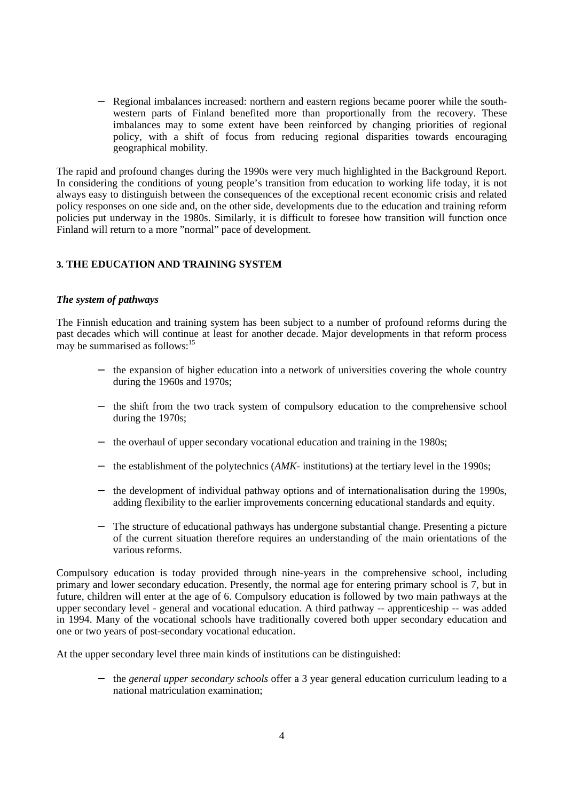− Regional imbalances increased: northern and eastern regions became poorer while the southwestern parts of Finland benefited more than proportionally from the recovery. These imbalances may to some extent have been reinforced by changing priorities of regional policy, with a shift of focus from reducing regional disparities towards encouraging geographical mobility.

The rapid and profound changes during the 1990s were very much highlighted in the Background Report. In considering the conditions of young people's transition from education to working life today, it is not always easy to distinguish between the consequences of the exceptional recent economic crisis and related policy responses on one side and, on the other side, developments due to the education and training reform policies put underway in the 1980s. Similarly, it is difficult to foresee how transition will function once Finland will return to a more "normal" pace of development.

# **3. THE EDUCATION AND TRAINING SYSTEM**

## *The system of pathways*

The Finnish education and training system has been subject to a number of profound reforms during the past decades which will continue at least for another decade. Major developments in that reform process may be summarised as follows: $15$ 

- the expansion of higher education into a network of universities covering the whole country during the 1960s and 1970s;
- − the shift from the two track system of compulsory education to the comprehensive school during the 1970s;
- − the overhaul of upper secondary vocational education and training in the 1980s;
- the establishment of the polytechnics (*AMK* institutions) at the tertiary level in the 1990s;
- the development of individual pathway options and of internationalisation during the 1990s, adding flexibility to the earlier improvements concerning educational standards and equity.
- − The structure of educational pathways has undergone substantial change. Presenting a picture of the current situation therefore requires an understanding of the main orientations of the various reforms.

Compulsory education is today provided through nine-years in the comprehensive school, including primary and lower secondary education. Presently, the normal age for entering primary school is 7, but in future, children will enter at the age of 6. Compulsory education is followed by two main pathways at the upper secondary level - general and vocational education. A third pathway -- apprenticeship -- was added in 1994. Many of the vocational schools have traditionally covered both upper secondary education and one or two years of post-secondary vocational education.

At the upper secondary level three main kinds of institutions can be distinguished:

− the *general upper secondary schools* offer a 3 year general education curriculum leading to a national matriculation examination;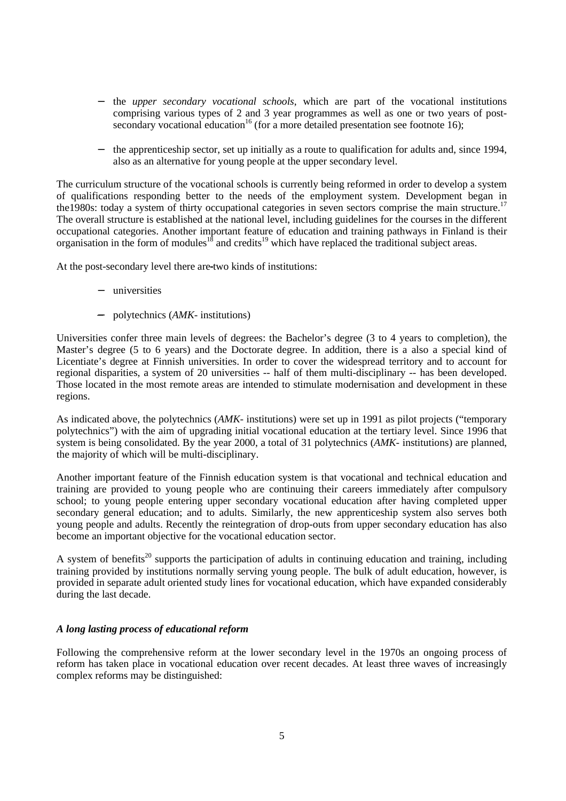- − the *upper secondary vocational schools*, which are part of the vocational institutions comprising various types of 2 and 3 year programmes as well as one or two years of postsecondary vocational education<sup>16</sup> (for a more detailed presentation see footnote 16);
- − the apprenticeship sector, set up initially as a route to qualification for adults and, since 1994, also as an alternative for young people at the upper secondary level.

The curriculum structure of the vocational schools is currently being reformed in order to develop a system of qualifications responding better to the needs of the employment system. Development began in the 1980s: today a system of thirty occupational categories in seven sectors comprise the main structure.<sup>17</sup> The overall structure is established at the national level, including guidelines for the courses in the different occupational categories. Another important feature of education and training pathways in Finland is their organisation in the form of modules<sup>18</sup> and credits<sup>19</sup> which have replaced the traditional subject areas.

At the post-secondary level there are two kinds of institutions:

- − universities
- − polytechnics (*AMK-* institutions)

Universities confer three main levels of degrees: the Bachelor's degree (3 to 4 years to completion), the Master's degree (5 to 6 years) and the Doctorate degree. In addition, there is a also a special kind of Licentiate's degree at Finnish universities. In order to cover the widespread territory and to account for regional disparities, a system of 20 universities -- half of them multi-disciplinary -- has been developed. Those located in the most remote areas are intended to stimulate modernisation and development in these regions.

As indicated above, the polytechnics (*AMK-* institutions) were set up in 1991 as pilot projects ("temporary polytechnics") with the aim of upgrading initial vocational education at the tertiary level. Since 1996 that system is being consolidated. By the year 2000, a total of 31 polytechnics (*AMK-* institutions) are planned, the majority of which will be multi-disciplinary.

Another important feature of the Finnish education system is that vocational and technical education and training are provided to young people who are continuing their careers immediately after compulsory school; to young people entering upper secondary vocational education after having completed upper secondary general education; and to adults. Similarly, the new apprenticeship system also serves both young people and adults. Recently the reintegration of drop-outs from upper secondary education has also become an important objective for the vocational education sector.

A system of benefits<sup>20</sup> supports the participation of adults in continuing education and training, including training provided by institutions normally serving young people. The bulk of adult education, however, is provided in separate adult oriented study lines for vocational education, which have expanded considerably during the last decade.

# *A long lasting process of educational reform*

Following the comprehensive reform at the lower secondary level in the 1970s an ongoing process of reform has taken place in vocational education over recent decades. At least three waves of increasingly complex reforms may be distinguished: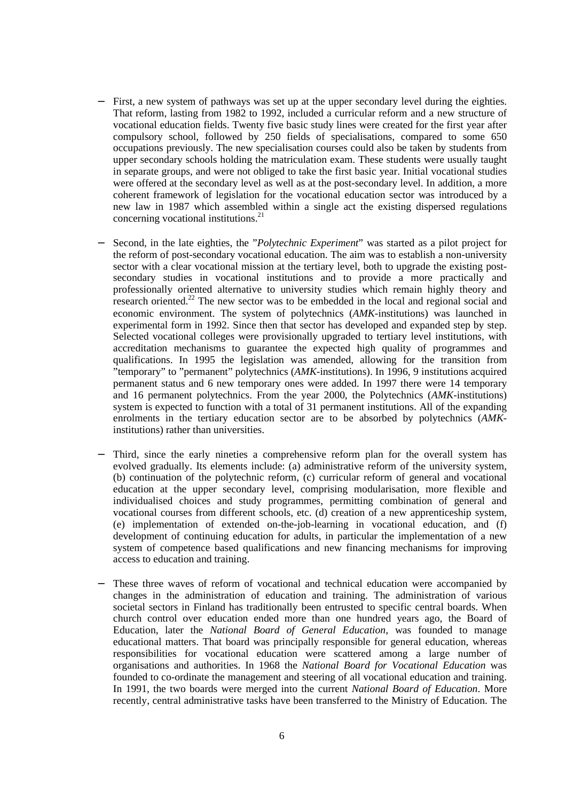- First, a new system of pathways was set up at the upper secondary level during the eighties. That reform, lasting from 1982 to 1992, included a curricular reform and a new structure of vocational education fields. Twenty five basic study lines were created for the first year after compulsory school, followed by 250 fields of specialisations, compared to some 650 occupations previously. The new specialisation courses could also be taken by students from upper secondary schools holding the matriculation exam. These students were usually taught in separate groups, and were not obliged to take the first basic year. Initial vocational studies were offered at the secondary level as well as at the post-secondary level. In addition, a more coherent framework of legislation for the vocational education sector was introduced by a new law in 1987 which assembled within a single act the existing dispersed regulations concerning vocational institutions.<sup>21</sup>
- − Second, in the late eighties, the "*Polytechnic Experiment*" was started as a pilot project for the reform of post-secondary vocational education. The aim was to establish a non-university sector with a clear vocational mission at the tertiary level, both to upgrade the existing postsecondary studies in vocational institutions and to provide a more practically and professionally oriented alternative to university studies which remain highly theory and research oriented.<sup>22</sup> The new sector was to be embedded in the local and regional social and economic environment. The system of polytechnics (*AMK*-institutions) was launched in experimental form in 1992. Since then that sector has developed and expanded step by step. Selected vocational colleges were provisionally upgraded to tertiary level institutions, with accreditation mechanisms to guarantee the expected high quality of programmes and qualifications. In 1995 the legislation was amended, allowing for the transition from "temporary" to "permanent" polytechnics (*AMK*-institutions). In 1996, 9 institutions acquired permanent status and 6 new temporary ones were added. In 1997 there were 14 temporary and 16 permanent polytechnics. From the year 2000, the Polytechnics (*AMK*-institutions) system is expected to function with a total of 31 permanent institutions. All of the expanding enrolments in the tertiary education sector are to be absorbed by polytechnics (*AMK*institutions) rather than universities.
- Third, since the early nineties a comprehensive reform plan for the overall system has evolved gradually. Its elements include: (a) administrative reform of the university system, (b) continuation of the polytechnic reform, (c) curricular reform of general and vocational education at the upper secondary level, comprising modularisation, more flexible and individualised choices and study programmes, permitting combination of general and vocational courses from different schools, etc. (d) creation of a new apprenticeship system, (e) implementation of extended on-the-job-learning in vocational education, and (f) development of continuing education for adults, in particular the implementation of a new system of competence based qualifications and new financing mechanisms for improving access to education and training.
- These three waves of reform of vocational and technical education were accompanied by changes in the administration of education and training. The administration of various societal sectors in Finland has traditionally been entrusted to specific central boards. When church control over education ended more than one hundred years ago, the Board of Education, later the *National Board of General Education*, was founded to manage educational matters. That board was principally responsible for general education, whereas responsibilities for vocational education were scattered among a large number of organisations and authorities. In 1968 the *National Board for Vocational Education* was founded to co-ordinate the management and steering of all vocational education and training. In 1991, the two boards were merged into the current *National Board of Education*. More recently, central administrative tasks have been transferred to the Ministry of Education. The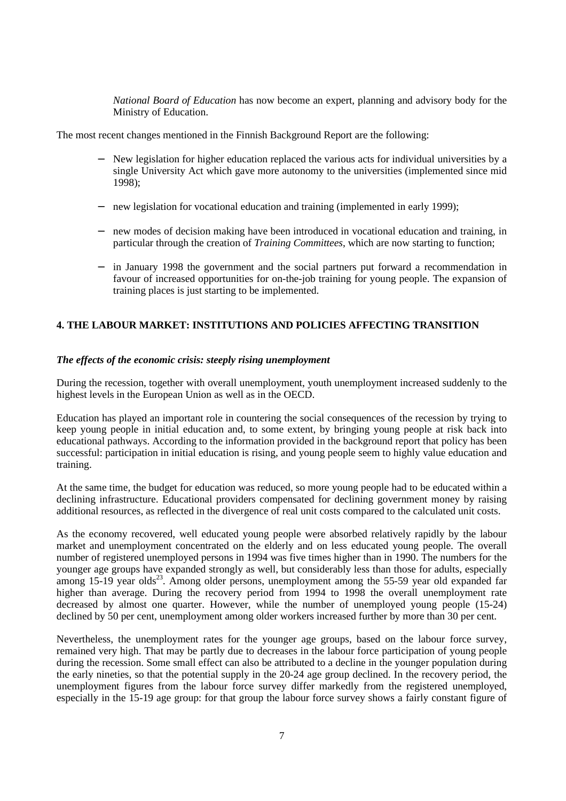*National Board of Education* has now become an expert, planning and advisory body for the Ministry of Education.

The most recent changes mentioned in the Finnish Background Report are the following:

- New legislation for higher education replaced the various acts for individual universities by a single University Act which gave more autonomy to the universities (implemented since mid 1998);
- new legislation for vocational education and training (implemented in early 1999);
- − new modes of decision making have been introduced in vocational education and training, in particular through the creation of *Training Committees*, which are now starting to function;
- in January 1998 the government and the social partners put forward a recommendation in favour of increased opportunities for on-the-job training for young people. The expansion of training places is just starting to be implemented.

# **4. THE LABOUR MARKET: INSTITUTIONS AND POLICIES AFFECTING TRANSITION**

## *The effects of the economic crisis: steeply rising unemployment*

During the recession, together with overall unemployment, youth unemployment increased suddenly to the highest levels in the European Union as well as in the OECD.

Education has played an important role in countering the social consequences of the recession by trying to keep young people in initial education and, to some extent, by bringing young people at risk back into educational pathways. According to the information provided in the background report that policy has been successful: participation in initial education is rising, and young people seem to highly value education and training.

At the same time, the budget for education was reduced, so more young people had to be educated within a declining infrastructure. Educational providers compensated for declining government money by raising additional resources, as reflected in the divergence of real unit costs compared to the calculated unit costs.

As the economy recovered, well educated young people were absorbed relatively rapidly by the labour market and unemployment concentrated on the elderly and on less educated young people. The overall number of registered unemployed persons in 1994 was five times higher than in 1990. The numbers for the younger age groups have expanded strongly as well, but considerably less than those for adults, especially among  $15-19$  year olds<sup>23</sup>. Among older persons, unemployment among the 55-59 year old expanded far higher than average. During the recovery period from 1994 to 1998 the overall unemployment rate decreased by almost one quarter. However, while the number of unemployed young people (15-24) declined by 50 per cent, unemployment among older workers increased further by more than 30 per cent.

Nevertheless, the unemployment rates for the younger age groups, based on the labour force survey, remained very high. That may be partly due to decreases in the labour force participation of young people during the recession. Some small effect can also be attributed to a decline in the younger population during the early nineties, so that the potential supply in the 20-24 age group declined. In the recovery period, the unemployment figures from the labour force survey differ markedly from the registered unemployed, especially in the 15-19 age group: for that group the labour force survey shows a fairly constant figure of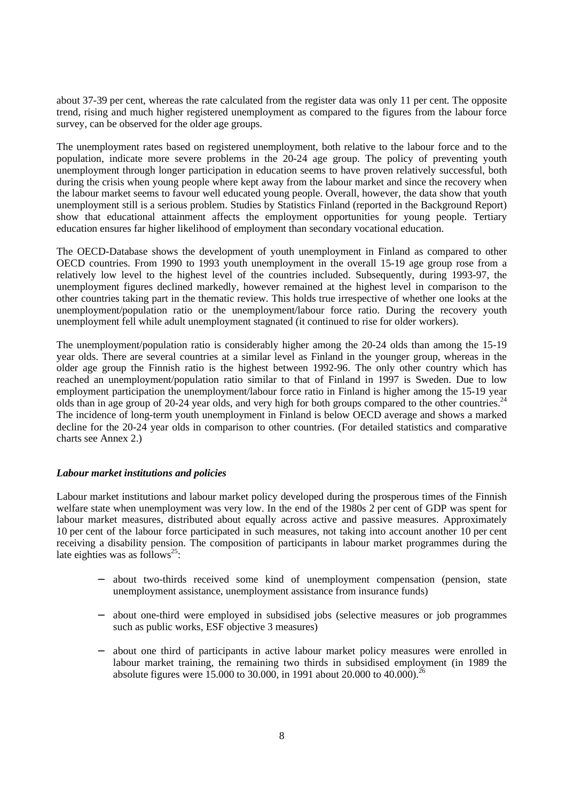about 37-39 per cent, whereas the rate calculated from the register data was only 11 per cent. The opposite trend, rising and much higher registered unemployment as compared to the figures from the labour force survey, can be observed for the older age groups.

The unemployment rates based on registered unemployment, both relative to the labour force and to the population, indicate more severe problems in the 20-24 age group. The policy of preventing youth unemployment through longer participation in education seems to have proven relatively successful, both during the crisis when young people where kept away from the labour market and since the recovery when the labour market seems to favour well educated young people. Overall, however, the data show that youth unemployment still is a serious problem. Studies by Statistics Finland (reported in the Background Report) show that educational attainment affects the employment opportunities for young people. Tertiary education ensures far higher likelihood of employment than secondary vocational education.

The OECD-Database shows the development of youth unemployment in Finland as compared to other OECD countries. From 1990 to 1993 youth unemployment in the overall 15-19 age group rose from a relatively low level to the highest level of the countries included. Subsequently, during 1993-97, the unemployment figures declined markedly, however remained at the highest level in comparison to the other countries taking part in the thematic review. This holds true irrespective of whether one looks at the unemployment/population ratio or the unemployment/labour force ratio. During the recovery youth unemployment fell while adult unemployment stagnated (it continued to rise for older workers).

The unemployment/population ratio is considerably higher among the 20-24 olds than among the 15-19 year olds. There are several countries at a similar level as Finland in the younger group, whereas in the older age group the Finnish ratio is the highest between 1992-96. The only other country which has reached an unemployment/population ratio similar to that of Finland in 1997 is Sweden. Due to low employment participation the unemployment/labour force ratio in Finland is higher among the 15-19 year olds than in age group of 20-24 year olds, and very high for both groups compared to the other countries.<sup>24</sup> The incidence of long-term youth unemployment in Finland is below OECD average and shows a marked decline for the 20-24 year olds in comparison to other countries. (For detailed statistics and comparative charts see Annex 2.)

#### *Labour market institutions and policies*

Labour market institutions and labour market policy developed during the prosperous times of the Finnish welfare state when unemployment was very low. In the end of the 1980s 2 per cent of GDP was spent for labour market measures, distributed about equally across active and passive measures. Approximately 10 per cent of the labour force participated in such measures, not taking into account another 10 per cent receiving a disability pension. The composition of participants in labour market programmes during the late eighties was as follows<sup>25</sup>:

- about two-thirds received some kind of unemployment compensation (pension, state unemployment assistance, unemployment assistance from insurance funds)
- − about one-third were employed in subsidised jobs (selective measures or job programmes such as public works, ESF objective 3 measures)
- − about one third of participants in active labour market policy measures were enrolled in labour market training, the remaining two thirds in subsidised employment (in 1989 the absolute figures were 15.000 to 30.000, in 1991 about 20.000 to 40.000).<sup>26</sup>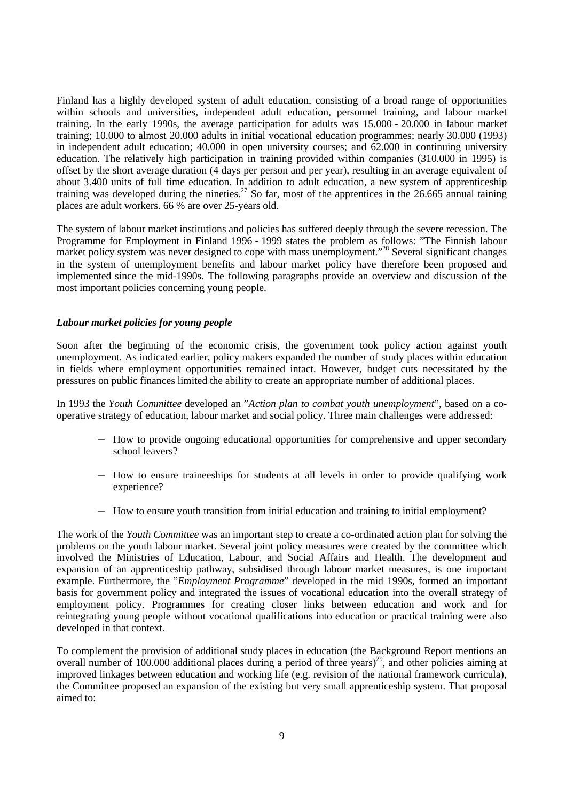Finland has a highly developed system of adult education, consisting of a broad range of opportunities within schools and universities, independent adult education, personnel training, and labour market training. In the early 1990s, the average participation for adults was 15.000 - 20.000 in labour market training; 10.000 to almost 20.000 adults in initial vocational education programmes; nearly 30.000 (1993) in independent adult education; 40.000 in open university courses; and 62.000 in continuing university education. The relatively high participation in training provided within companies (310.000 in 1995) is offset by the short average duration (4 days per person and per year), resulting in an average equivalent of about 3.400 units of full time education. In addition to adult education, a new system of apprenticeship training was developed during the nineties.<sup>27</sup> So far, most of the apprentices in the 26.665 annual taining places are adult workers. 66 % are over 25-years old.

The system of labour market institutions and policies has suffered deeply through the severe recession. The Programme for Employment in Finland 1996 - 1999 states the problem as follows: "The Finnish labour market policy system was never designed to cope with mass unemployment."<sup>28</sup> Several significant changes in the system of unemployment benefits and labour market policy have therefore been proposed and implemented since the mid-1990s. The following paragraphs provide an overview and discussion of the most important policies concerning young people.

## *Labour market policies for young people*

Soon after the beginning of the economic crisis, the government took policy action against youth unemployment. As indicated earlier, policy makers expanded the number of study places within education in fields where employment opportunities remained intact. However, budget cuts necessitated by the pressures on public finances limited the ability to create an appropriate number of additional places.

In 1993 the *Youth Committee* developed an "*Action plan to combat youth unemployment*", based on a cooperative strategy of education, labour market and social policy. Three main challenges were addressed:

- − How to provide ongoing educational opportunities for comprehensive and upper secondary school leavers?
- − How to ensure traineeships for students at all levels in order to provide qualifying work experience?
- − How to ensure youth transition from initial education and training to initial employment?

The work of the *Youth Committee* was an important step to create a co-ordinated action plan for solving the problems on the youth labour market. Several joint policy measures were created by the committee which involved the Ministries of Education, Labour, and Social Affairs and Health. The development and expansion of an apprenticeship pathway, subsidised through labour market measures, is one important example. Furthermore, the "*Employment Programme*" developed in the mid 1990s, formed an important basis for government policy and integrated the issues of vocational education into the overall strategy of employment policy. Programmes for creating closer links between education and work and for reintegrating young people without vocational qualifications into education or practical training were also developed in that context.

To complement the provision of additional study places in education (the Background Report mentions an overall number of  $100.000$  additional places during a period of three years)<sup>29</sup>, and other policies aiming at improved linkages between education and working life (e.g. revision of the national framework curricula), the Committee proposed an expansion of the existing but very small apprenticeship system. That proposal aimed to: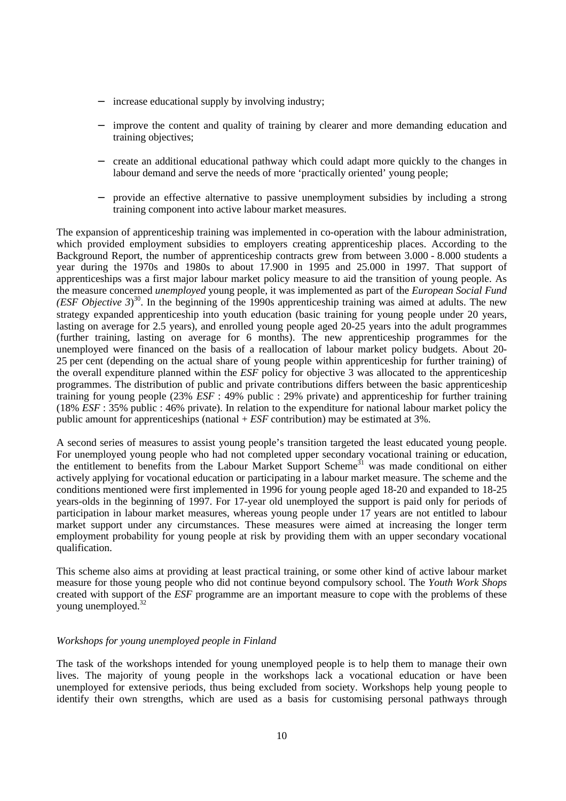- increase educational supply by involving industry;
- improve the content and quality of training by clearer and more demanding education and training objectives;
- − create an additional educational pathway which could adapt more quickly to the changes in labour demand and serve the needs of more 'practically oriented' young people;
- − provide an effective alternative to passive unemployment subsidies by including a strong training component into active labour market measures.

The expansion of apprenticeship training was implemented in co-operation with the labour administration, which provided employment subsidies to employers creating apprenticeship places. According to the Background Report, the number of apprenticeship contracts grew from between 3.000 - 8.000 students a year during the 1970s and 1980s to about 17.900 in 1995 and 25.000 in 1997. That support of apprenticeships was a first major labour market policy measure to aid the transition of young people. As the measure concerned *unemployed* young people, it was implemented as part of the *European Social Fund (ESF Objective 3)*<sup>30</sup>. In the beginning of the 1990s apprenticeship training was aimed at adults. The new strategy expanded apprenticeship into youth education (basic training for young people under 20 years, lasting on average for 2.5 years), and enrolled young people aged 20-25 years into the adult programmes (further training, lasting on average for 6 months). The new apprenticeship programmes for the unemployed were financed on the basis of a reallocation of labour market policy budgets. About 20- 25 per cent (depending on the actual share of young people within apprenticeship for further training) of the overall expenditure planned within the *ESF* policy for objective 3 was allocated to the apprenticeship programmes. The distribution of public and private contributions differs between the basic apprenticeship training for young people (23% *ESF* : 49% public : 29% private) and apprenticeship for further training (18% *ESF* : 35% public : 46% private). In relation to the expenditure for national labour market policy the public amount for apprenticeships (national + *ESF* contribution) may be estimated at 3%.

A second series of measures to assist young people's transition targeted the least educated young people. For unemployed young people who had not completed upper secondary vocational training or education, the entitlement to benefits from the Labour Market Support Scheme<sup>31</sup> was made conditional on either actively applying for vocational education or participating in a labour market measure. The scheme and the conditions mentioned were first implemented in 1996 for young people aged 18-20 and expanded to 18-25 years-olds in the beginning of 1997. For 17-year old unemployed the support is paid only for periods of participation in labour market measures, whereas young people under 17 years are not entitled to labour market support under any circumstances. These measures were aimed at increasing the longer term employment probability for young people at risk by providing them with an upper secondary vocational qualification.

This scheme also aims at providing at least practical training, or some other kind of active labour market measure for those young people who did not continue beyond compulsory school. The *Youth Work Shops* created with support of the *ESF* programme are an important measure to cope with the problems of these young unemployed.<sup>32</sup>

#### *Workshops for young unemployed people in Finland*

The task of the workshops intended for young unemployed people is to help them to manage their own lives. The majority of young people in the workshops lack a vocational education or have been unemployed for extensive periods, thus being excluded from society. Workshops help young people to identify their own strengths, which are used as a basis for customising personal pathways through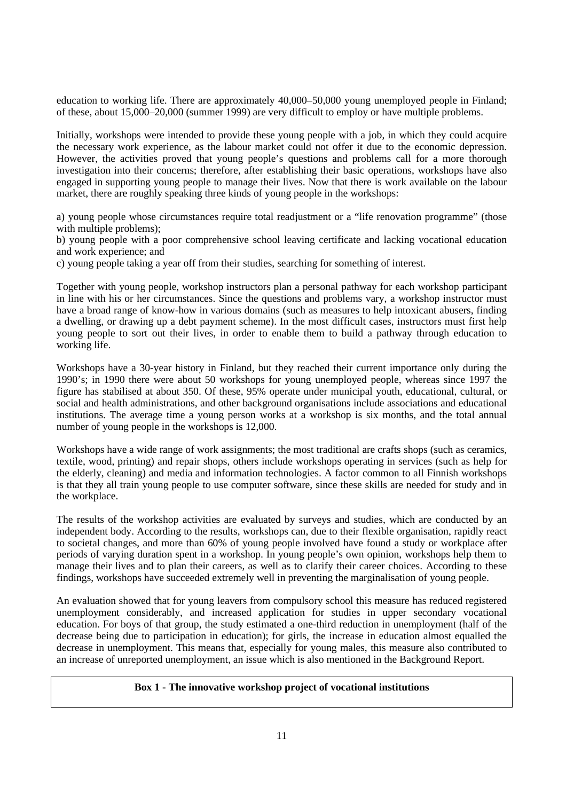education to working life. There are approximately 40,000–50,000 young unemployed people in Finland; of these, about 15,000–20,000 (summer 1999) are very difficult to employ or have multiple problems.

Initially, workshops were intended to provide these young people with a job, in which they could acquire the necessary work experience, as the labour market could not offer it due to the economic depression. However, the activities proved that young people's questions and problems call for a more thorough investigation into their concerns; therefore, after establishing their basic operations, workshops have also engaged in supporting young people to manage their lives. Now that there is work available on the labour market, there are roughly speaking three kinds of young people in the workshops:

a) young people whose circumstances require total readjustment or a "life renovation programme" (those with multiple problems);

b) young people with a poor comprehensive school leaving certificate and lacking vocational education and work experience; and

c) young people taking a year off from their studies, searching for something of interest.

Together with young people, workshop instructors plan a personal pathway for each workshop participant in line with his or her circumstances. Since the questions and problems vary, a workshop instructor must have a broad range of know-how in various domains (such as measures to help intoxicant abusers, finding a dwelling, or drawing up a debt payment scheme). In the most difficult cases, instructors must first help young people to sort out their lives, in order to enable them to build a pathway through education to working life.

Workshops have a 30-year history in Finland, but they reached their current importance only during the 1990's; in 1990 there were about 50 workshops for young unemployed people, whereas since 1997 the figure has stabilised at about 350. Of these, 95% operate under municipal youth, educational, cultural, or social and health administrations, and other background organisations include associations and educational institutions. The average time a young person works at a workshop is six months, and the total annual number of young people in the workshops is 12,000.

Workshops have a wide range of work assignments; the most traditional are crafts shops (such as ceramics, textile, wood, printing) and repair shops, others include workshops operating in services (such as help for the elderly, cleaning) and media and information technologies. A factor common to all Finnish workshops is that they all train young people to use computer software, since these skills are needed for study and in the workplace.

The results of the workshop activities are evaluated by surveys and studies, which are conducted by an independent body. According to the results, workshops can, due to their flexible organisation, rapidly react to societal changes, and more than 60% of young people involved have found a study or workplace after periods of varying duration spent in a workshop. In young people's own opinion, workshops help them to manage their lives and to plan their careers, as well as to clarify their career choices. According to these findings, workshops have succeeded extremely well in preventing the marginalisation of young people.

An evaluation showed that for young leavers from compulsory school this measure has reduced registered unemployment considerably, and increased application for studies in upper secondary vocational education. For boys of that group, the study estimated a one-third reduction in unemployment (half of the decrease being due to participation in education); for girls, the increase in education almost equalled the decrease in unemployment. This means that, especially for young males, this measure also contributed to an increase of unreported unemployment, an issue which is also mentioned in the Background Report.

#### **Box 1 - The innovative workshop project of vocational institutions**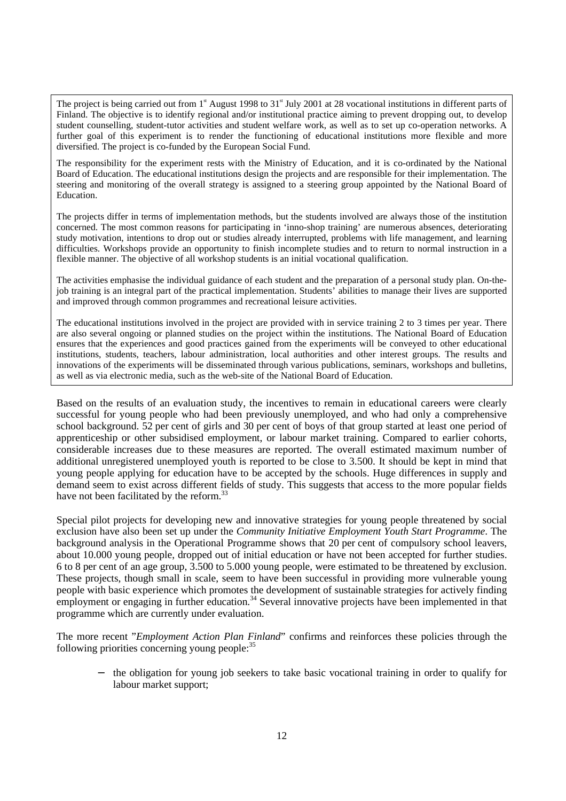The project is being carried out from 1<sup>st</sup> August 1998 to 31<sup>st</sup> July 2001 at 28 vocational institutions in different parts of Finland. The objective is to identify regional and/or institutional practice aiming to prevent dropping out, to develop student counselling, student-tutor activities and student welfare work, as well as to set up co-operation networks. A further goal of this experiment is to render the functioning of educational institutions more flexible and more diversified. The project is co-funded by the European Social Fund.

The responsibility for the experiment rests with the Ministry of Education, and it is co-ordinated by the National Board of Education. The educational institutions design the projects and are responsible for their implementation. The steering and monitoring of the overall strategy is assigned to a steering group appointed by the National Board of Education.

The projects differ in terms of implementation methods, but the students involved are always those of the institution concerned. The most common reasons for participating in 'inno-shop training' are numerous absences, deteriorating study motivation, intentions to drop out or studies already interrupted, problems with life management, and learning difficulties. Workshops provide an opportunity to finish incomplete studies and to return to normal instruction in a flexible manner. The objective of all workshop students is an initial vocational qualification.

The activities emphasise the individual guidance of each student and the preparation of a personal study plan. On-thejob training is an integral part of the practical implementation. Students' abilities to manage their lives are supported and improved through common programmes and recreational leisure activities.

The educational institutions involved in the project are provided with in service training 2 to 3 times per year. There are also several ongoing or planned studies on the project within the institutions. The National Board of Education ensures that the experiences and good practices gained from the experiments will be conveyed to other educational institutions, students, teachers, labour administration, local authorities and other interest groups. The results and innovations of the experiments will be disseminated through various publications, seminars, workshops and bulletins, as well as via electronic media, such as the web-site of the National Board of Education.

Based on the results of an evaluation study, the incentives to remain in educational careers were clearly successful for young people who had been previously unemployed, and who had only a comprehensive school background. 52 per cent of girls and 30 per cent of boys of that group started at least one period of apprenticeship or other subsidised employment, or labour market training. Compared to earlier cohorts, considerable increases due to these measures are reported. The overall estimated maximum number of additional unregistered unemployed youth is reported to be close to 3.500. It should be kept in mind that young people applying for education have to be accepted by the schools. Huge differences in supply and demand seem to exist across different fields of study. This suggests that access to the more popular fields have not been facilitated by the reform.<sup>33</sup>

Special pilot projects for developing new and innovative strategies for young people threatened by social exclusion have also been set up under the *Community Initiative Employment Youth Start Programme*. The background analysis in the Operational Programme shows that 20 per cent of compulsory school leavers, about 10.000 young people, dropped out of initial education or have not been accepted for further studies. 6 to 8 per cent of an age group, 3.500 to 5.000 young people, were estimated to be threatened by exclusion. These projects, though small in scale, seem to have been successful in providing more vulnerable young people with basic experience which promotes the development of sustainable strategies for actively finding employment or engaging in further education.<sup>34</sup> Several innovative projects have been implemented in that programme which are currently under evaluation.

The more recent "*Employment Action Plan Finland*" confirms and reinforces these policies through the following priorities concerning young people: $35$ 

− the obligation for young job seekers to take basic vocational training in order to qualify for labour market support;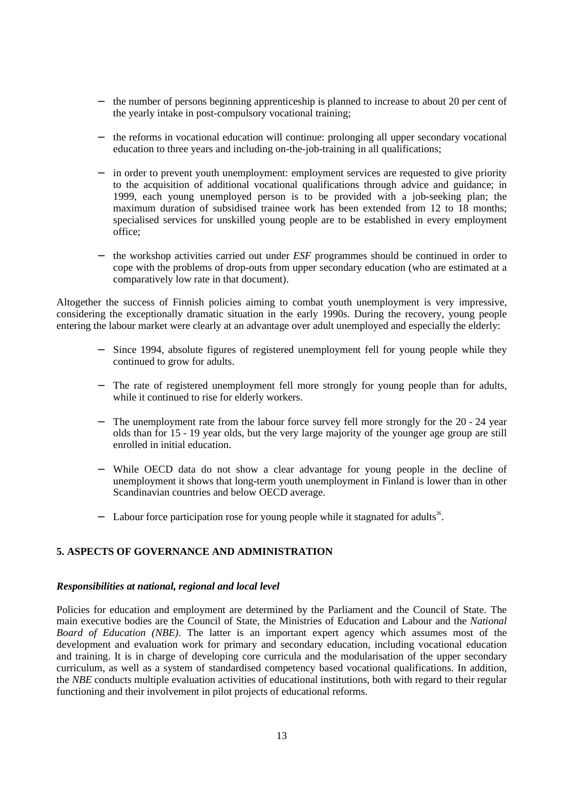- − the number of persons beginning apprenticeship is planned to increase to about 20 per cent of the yearly intake in post-compulsory vocational training;
- − the reforms in vocational education will continue: prolonging all upper secondary vocational education to three years and including on-the-job-training in all qualifications;
- in order to prevent youth unemployment: employment services are requested to give priority to the acquisition of additional vocational qualifications through advice and guidance; in 1999, each young unemployed person is to be provided with a job-seeking plan; the maximum duration of subsidised trainee work has been extended from 12 to 18 months; specialised services for unskilled young people are to be established in every employment office;
- − the workshop activities carried out under *ESF* programmes should be continued in order to cope with the problems of drop-outs from upper secondary education (who are estimated at a comparatively low rate in that document).

Altogether the success of Finnish policies aiming to combat youth unemployment is very impressive, considering the exceptionally dramatic situation in the early 1990s. During the recovery, young people entering the labour market were clearly at an advantage over adult unemployed and especially the elderly:

- − Since 1994, absolute figures of registered unemployment fell for young people while they continued to grow for adults.
- − The rate of registered unemployment fell more strongly for young people than for adults, while it continued to rise for elderly workers.
- The unemployment rate from the labour force survey fell more strongly for the 20 24 year olds than for 15 - 19 year olds, but the very large majority of the younger age group are still enrolled in initial education.
- While OECD data do not show a clear advantage for young people in the decline of unemployment it shows that long-term youth unemployment in Finland is lower than in other Scandinavian countries and below OECD average.
- − Labour force participation rose for young people while it stagnated for adults<sup>36</sup>.

# **5. ASPECTS OF GOVERNANCE AND ADMINISTRATION**

#### *Responsibilities at national, regional and local level*

Policies for education and employment are determined by the Parliament and the Council of State. The main executive bodies are the Council of State, the Ministries of Education and Labour and the *National Board of Education (NBE)*. The latter is an important expert agency which assumes most of the development and evaluation work for primary and secondary education, including vocational education and training. It is in charge of developing core curricula and the modularisation of the upper secondary curriculum, as well as a system of standardised competency based vocational qualifications. In addition, the *NBE* conducts multiple evaluation activities of educational institutions, both with regard to their regular functioning and their involvement in pilot projects of educational reforms.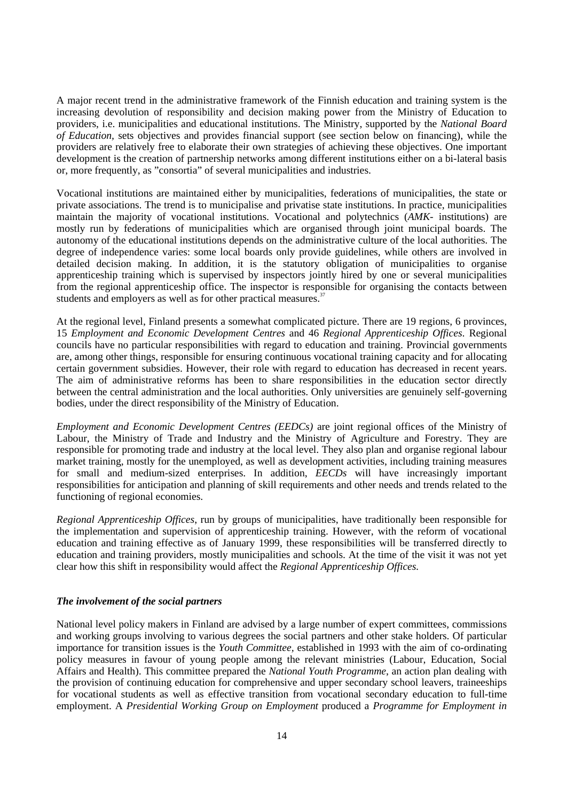A major recent trend in the administrative framework of the Finnish education and training system is the increasing devolution of responsibility and decision making power from the Ministry of Education to providers, i.e. municipalities and educational institutions. The Ministry, supported by the *National Board of Education,* sets objectives and provides financial support (see section below on financing), while the providers are relatively free to elaborate their own strategies of achieving these objectives. One important development is the creation of partnership networks among different institutions either on a bi-lateral basis or, more frequently, as "consortia" of several municipalities and industries.

Vocational institutions are maintained either by municipalities, federations of municipalities, the state or private associations. The trend is to municipalise and privatise state institutions. In practice, municipalities maintain the majority of vocational institutions. Vocational and polytechnics (*AMK-* institutions) are mostly run by federations of municipalities which are organised through joint municipal boards. The autonomy of the educational institutions depends on the administrative culture of the local authorities. The degree of independence varies: some local boards only provide guidelines, while others are involved in detailed decision making. In addition, it is the statutory obligation of municipalities to organise apprenticeship training which is supervised by inspectors jointly hired by one or several municipalities from the regional apprenticeship office. The inspector is responsible for organising the contacts between students and employers as well as for other practical measures.<sup>37</sup>

At the regional level, Finland presents a somewhat complicated picture. There are 19 regions, 6 provinces, 15 *Employment and Economic Development Centres* and 46 *Regional Apprenticeship Offices*. Regional councils have no particular responsibilities with regard to education and training. Provincial governments are, among other things, responsible for ensuring continuous vocational training capacity and for allocating certain government subsidies. However, their role with regard to education has decreased in recent years. The aim of administrative reforms has been to share responsibilities in the education sector directly between the central administration and the local authorities. Only universities are genuinely self-governing bodies, under the direct responsibility of the Ministry of Education.

*Employment and Economic Development Centres (EEDCs)* are joint regional offices of the Ministry of Labour, the Ministry of Trade and Industry and the Ministry of Agriculture and Forestry. They are responsible for promoting trade and industry at the local level. They also plan and organise regional labour market training, mostly for the unemployed, as well as development activities, including training measures for small and medium-sized enterprises. In addition, *EECDs* will have increasingly important responsibilities for anticipation and planning of skill requirements and other needs and trends related to the functioning of regional economies.

*Regional Apprenticeship Offices*, run by groups of municipalities, have traditionally been responsible for the implementation and supervision of apprenticeship training. However, with the reform of vocational education and training effective as of January 1999, these responsibilities will be transferred directly to education and training providers, mostly municipalities and schools. At the time of the visit it was not yet clear how this shift in responsibility would affect the *Regional Apprenticeship Offices.*

#### *The involvement of the social partners*

National level policy makers in Finland are advised by a large number of expert committees, commissions and working groups involving to various degrees the social partners and other stake holders. Of particular importance for transition issues is the *Youth Committee,* established in 1993 with the aim of co-ordinating policy measures in favour of young people among the relevant ministries (Labour, Education, Social Affairs and Health). This committee prepared the *National Youth Programme*, an action plan dealing with the provision of continuing education for comprehensive and upper secondary school leavers, traineeships for vocational students as well as effective transition from vocational secondary education to full-time employment. A *Presidential Working Group on Employment* produced a *Programme for Employment in*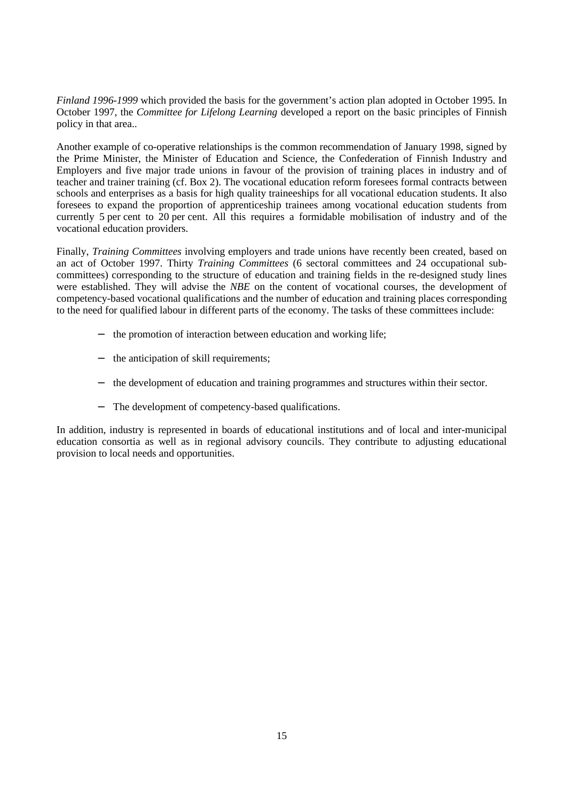*Finland 1996-1999* which provided the basis for the government's action plan adopted in October 1995. In October 1997, the *Committee for Lifelong Learning* developed a report on the basic principles of Finnish policy in that area..

Another example of co-operative relationships is the common recommendation of January 1998, signed by the Prime Minister, the Minister of Education and Science, the Confederation of Finnish Industry and Employers and five major trade unions in favour of the provision of training places in industry and of teacher and trainer training (cf. Box 2). The vocational education reform foresees formal contracts between schools and enterprises as a basis for high quality traineeships for all vocational education students. It also foresees to expand the proportion of apprenticeship trainees among vocational education students from currently 5 per cent to 20 per cent. All this requires a formidable mobilisation of industry and of the vocational education providers.

Finally, *Training Committees* involving employers and trade unions have recently been created, based on an act of October 1997. Thirty *Training Committees* (6 sectoral committees and 24 occupational subcommittees) corresponding to the structure of education and training fields in the re-designed study lines were established. They will advise the *NBE* on the content of vocational courses, the development of competency-based vocational qualifications and the number of education and training places corresponding to the need for qualified labour in different parts of the economy. The tasks of these committees include:

- − the promotion of interaction between education and working life;
- the anticipation of skill requirements;
- − the development of education and training programmes and structures within their sector.
- The development of competency-based qualifications.

In addition, industry is represented in boards of educational institutions and of local and inter-municipal education consortia as well as in regional advisory councils. They contribute to adjusting educational provision to local needs and opportunities.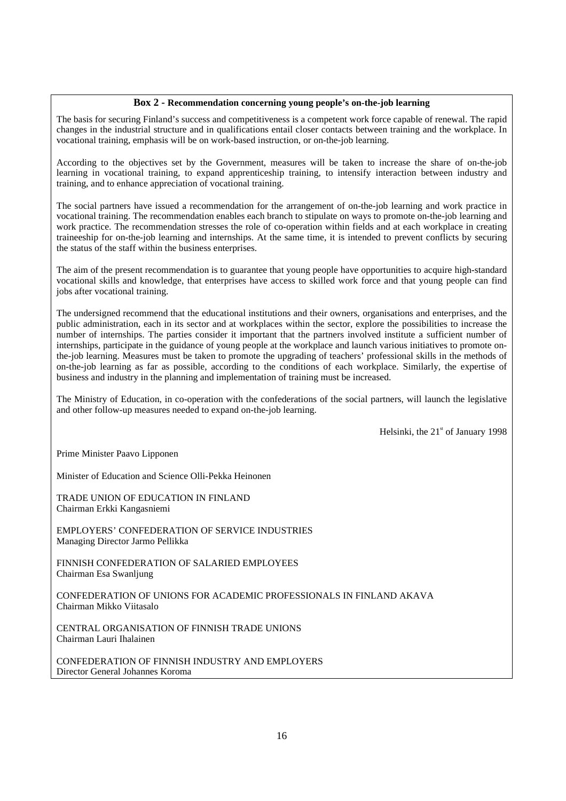#### **Box 2 - Recommendation concerning young people's on-the-job learning**

The basis for securing Finland's success and competitiveness is a competent work force capable of renewal. The rapid changes in the industrial structure and in qualifications entail closer contacts between training and the workplace. In vocational training, emphasis will be on work-based instruction, or on-the-job learning.

According to the objectives set by the Government, measures will be taken to increase the share of on-the-job learning in vocational training, to expand apprenticeship training, to intensify interaction between industry and training, and to enhance appreciation of vocational training.

The social partners have issued a recommendation for the arrangement of on-the-job learning and work practice in vocational training. The recommendation enables each branch to stipulate on ways to promote on-the-job learning and work practice. The recommendation stresses the role of co-operation within fields and at each workplace in creating traineeship for on-the-job learning and internships. At the same time, it is intended to prevent conflicts by securing the status of the staff within the business enterprises.

The aim of the present recommendation is to guarantee that young people have opportunities to acquire high-standard vocational skills and knowledge, that enterprises have access to skilled work force and that young people can find jobs after vocational training.

The undersigned recommend that the educational institutions and their owners, organisations and enterprises, and the public administration, each in its sector and at workplaces within the sector, explore the possibilities to increase the number of internships. The parties consider it important that the partners involved institute a sufficient number of internships, participate in the guidance of young people at the workplace and launch various initiatives to promote onthe-job learning. Measures must be taken to promote the upgrading of teachers' professional skills in the methods of on-the-job learning as far as possible, according to the conditions of each workplace. Similarly, the expertise of business and industry in the planning and implementation of training must be increased.

The Ministry of Education, in co-operation with the confederations of the social partners, will launch the legislative and other follow-up measures needed to expand on-the-job learning.

Helsinki, the  $21<sup>st</sup>$  of January 1998

Prime Minister Paavo Lipponen

Minister of Education and Science Olli-Pekka Heinonen

TRADE UNION OF EDUCATION IN FINLAND Chairman Erkki Kangasniemi

EMPLOYERS' CONFEDERATION OF SERVICE INDUSTRIES Managing Director Jarmo Pellikka

FINNISH CONFEDERATION OF SALARIED EMPLOYEES Chairman Esa Swanljung

CONFEDERATION OF UNIONS FOR ACADEMIC PROFESSIONALS IN FINLAND AKAVA Chairman Mikko Viitasalo

CENTRAL ORGANISATION OF FINNISH TRADE UNIONS Chairman Lauri Ihalainen

CONFEDERATION OF FINNISH INDUSTRY AND EMPLOYERS Director General Johannes Koroma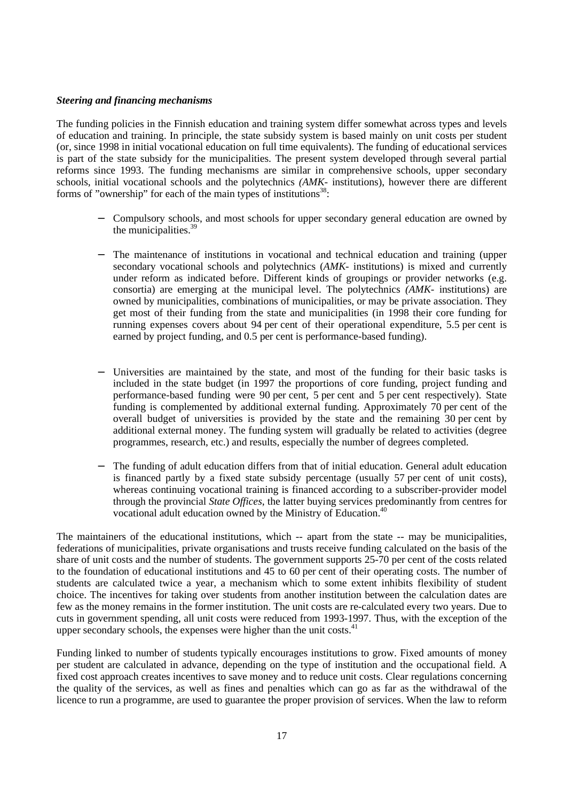#### *Steering and financing mechanisms*

The funding policies in the Finnish education and training system differ somewhat across types and levels of education and training. In principle, the state subsidy system is based mainly on unit costs per student (or, since 1998 in initial vocational education on full time equivalents). The funding of educational services is part of the state subsidy for the municipalities. The present system developed through several partial reforms since 1993. The funding mechanisms are similar in comprehensive schools, upper secondary schools, initial vocational schools and the polytechnics *(AMK-* institutions), however there are different forms of "ownership" for each of the main types of institutions $38$ :

- − Compulsory schools, and most schools for upper secondary general education are owned by the municipalities. $39$
- The maintenance of institutions in vocational and technical education and training (upper secondary vocational schools and polytechnics (*AMK-* institutions) is mixed and currently under reform as indicated before. Different kinds of groupings or provider networks (e.g. consortia) are emerging at the municipal level. The polytechnics *(AMK-* institutions) are owned by municipalities, combinations of municipalities, or may be private association. They get most of their funding from the state and municipalities (in 1998 their core funding for running expenses covers about 94 per cent of their operational expenditure, 5.5 per cent is earned by project funding, and 0.5 per cent is performance-based funding).
- Universities are maintained by the state, and most of the funding for their basic tasks is included in the state budget (in 1997 the proportions of core funding, project funding and performance-based funding were 90 per cent, 5 per cent and 5 per cent respectively). State funding is complemented by additional external funding. Approximately 70 per cent of the overall budget of universities is provided by the state and the remaining 30 per cent by additional external money. The funding system will gradually be related to activities (degree programmes, research, etc.) and results, especially the number of degrees completed.
- The funding of adult education differs from that of initial education. General adult education is financed partly by a fixed state subsidy percentage (usually 57 per cent of unit costs), whereas continuing vocational training is financed according to a subscriber-provider model through the provincial *State Offices*, the latter buying services predominantly from centres for vocational adult education owned by the Ministry of Education.<sup>40</sup>

The maintainers of the educational institutions, which -- apart from the state -- may be municipalities, federations of municipalities, private organisations and trusts receive funding calculated on the basis of the share of unit costs and the number of students. The government supports 25-70 per cent of the costs related to the foundation of educational institutions and  $45$  to 60 per cent of their operating costs. The number of students are calculated twice a year, a mechanism which to some extent inhibits flexibility of student choice. The incentives for taking over students from another institution between the calculation dates are few as the money remains in the former institution. The unit costs are re-calculated every two years. Due to cuts in government spending, all unit costs were reduced from 1993-1997. Thus, with the exception of the upper secondary schools, the expenses were higher than the unit costs.<sup>41</sup>

Funding linked to number of students typically encourages institutions to grow. Fixed amounts of money per student are calculated in advance, depending on the type of institution and the occupational field. A fixed cost approach creates incentives to save money and to reduce unit costs. Clear regulations concerning the quality of the services, as well as fines and penalties which can go as far as the withdrawal of the licence to run a programme, are used to guarantee the proper provision of services. When the law to reform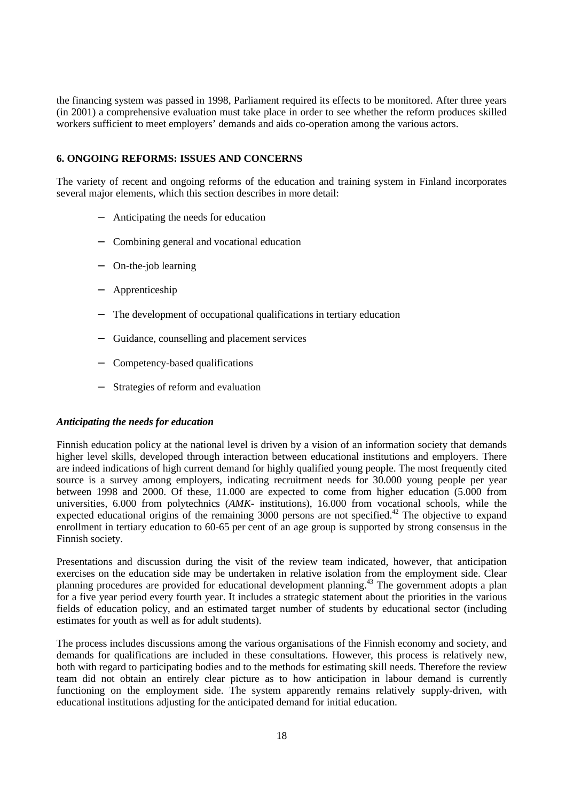the financing system was passed in 1998, Parliament required its effects to be monitored. After three years (in 2001) a comprehensive evaluation must take place in order to see whether the reform produces skilled workers sufficient to meet employers' demands and aids co-operation among the various actors.

#### **6. ONGOING REFORMS: ISSUES AND CONCERNS**

The variety of recent and ongoing reforms of the education and training system in Finland incorporates several major elements, which this section describes in more detail:

- − Anticipating the needs for education
- − Combining general and vocational education
- − On-the-job learning
- − Apprenticeship
- The development of occupational qualifications in tertiary education
- − Guidance, counselling and placement services
- − Competency-based qualifications
- Strategies of reform and evaluation

#### *Anticipating the needs for education*

Finnish education policy at the national level is driven by a vision of an information society that demands higher level skills, developed through interaction between educational institutions and employers. There are indeed indications of high current demand for highly qualified young people. The most frequently cited source is a survey among employers, indicating recruitment needs for 30.000 young people per year between 1998 and 2000. Of these, 11.000 are expected to come from higher education (5.000 from universities, 6.000 from polytechnics (*AMK-* institutions), 16.000 from vocational schools, while the expected educational origins of the remaining 3000 persons are not specified.<sup>42</sup> The objective to expand enrollment in tertiary education to 60-65 per cent of an age group is supported by strong consensus in the Finnish society.

Presentations and discussion during the visit of the review team indicated, however, that anticipation exercises on the education side may be undertaken in relative isolation from the employment side. Clear planning procedures are provided for educational development planning.43 The government adopts a plan for a five year period every fourth year. It includes a strategic statement about the priorities in the various fields of education policy, and an estimated target number of students by educational sector (including estimates for youth as well as for adult students).

The process includes discussions among the various organisations of the Finnish economy and society, and demands for qualifications are included in these consultations. However, this process is relatively new, both with regard to participating bodies and to the methods for estimating skill needs. Therefore the review team did not obtain an entirely clear picture as to how anticipation in labour demand is currently functioning on the employment side. The system apparently remains relatively supply-driven, with educational institutions adjusting for the anticipated demand for initial education.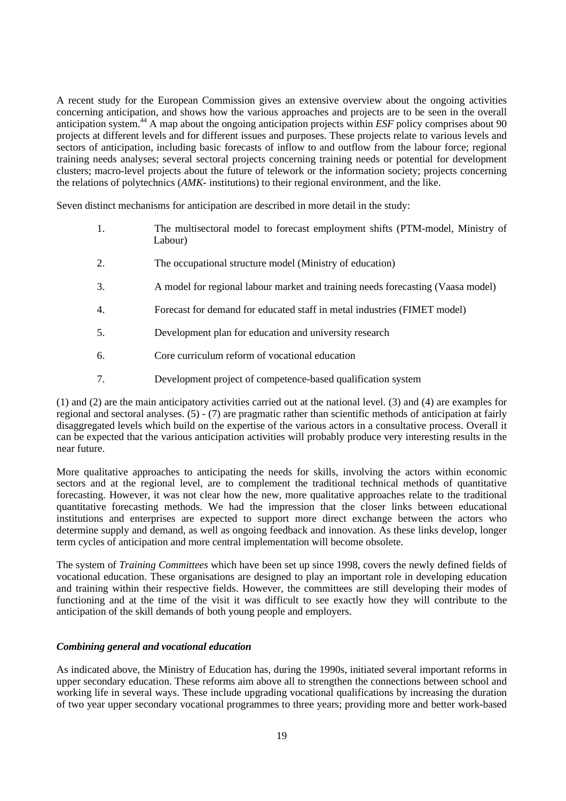A recent study for the European Commission gives an extensive overview about the ongoing activities concerning anticipation, and shows how the various approaches and projects are to be seen in the overall anticipation system.44 A map about the ongoing anticipation projects within *ESF* policy comprises about 90 projects at different levels and for different issues and purposes. These projects relate to various levels and sectors of anticipation, including basic forecasts of inflow to and outflow from the labour force; regional training needs analyses; several sectoral projects concerning training needs or potential for development clusters; macro-level projects about the future of telework or the information society; projects concerning the relations of polytechnics (*AMK-* institutions) to their regional environment, and the like.

Seven distinct mechanisms for anticipation are described in more detail in the study:

- 1. The multisectoral model to forecast employment shifts (PTM-model, Ministry of Labour)
- 2. The occupational structure model (Ministry of education)
- 3. A model for regional labour market and training needs forecasting (Vaasa model)
- 4. Forecast for demand for educated staff in metal industries (FIMET model)
- 5. Development plan for education and university research
- 6. Core curriculum reform of vocational education
- 7. Development project of competence-based qualification system

(1) and (2) are the main anticipatory activities carried out at the national level. (3) and (4) are examples for regional and sectoral analyses. (5) - (7) are pragmatic rather than scientific methods of anticipation at fairly disaggregated levels which build on the expertise of the various actors in a consultative process. Overall it can be expected that the various anticipation activities will probably produce very interesting results in the near future.

More qualitative approaches to anticipating the needs for skills, involving the actors within economic sectors and at the regional level, are to complement the traditional technical methods of quantitative forecasting. However, it was not clear how the new, more qualitative approaches relate to the traditional quantitative forecasting methods. We had the impression that the closer links between educational institutions and enterprises are expected to support more direct exchange between the actors who determine supply and demand, as well as ongoing feedback and innovation. As these links develop, longer term cycles of anticipation and more central implementation will become obsolete.

The system of *Training Committees* which have been set up since 1998, covers the newly defined fields of vocational education. These organisations are designed to play an important role in developing education and training within their respective fields. However, the committees are still developing their modes of functioning and at the time of the visit it was difficult to see exactly how they will contribute to the anticipation of the skill demands of both young people and employers.

#### *Combining general and vocational education*

As indicated above, the Ministry of Education has, during the 1990s, initiated several important reforms in upper secondary education. These reforms aim above all to strengthen the connections between school and working life in several ways. These include upgrading vocational qualifications by increasing the duration of two year upper secondary vocational programmes to three years; providing more and better work-based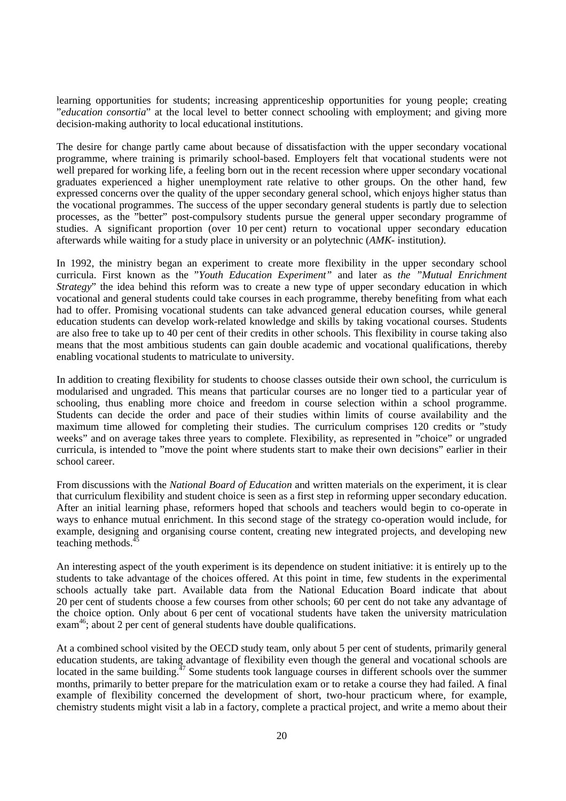learning opportunities for students; increasing apprenticeship opportunities for young people; creating "*education consortia*" at the local level to better connect schooling with employment; and giving more decision-making authority to local educational institutions.

The desire for change partly came about because of dissatisfaction with the upper secondary vocational programme, where training is primarily school-based. Employers felt that vocational students were not well prepared for working life, a feeling born out in the recent recession where upper secondary vocational graduates experienced a higher unemployment rate relative to other groups. On the other hand, few expressed concerns over the quality of the upper secondary general school, which enjoys higher status than the vocational programmes. The success of the upper secondary general students is partly due to selection processes, as the "better" post-compulsory students pursue the general upper secondary programme of studies. A significant proportion (over 10 per cent) return to vocational upper secondary education afterwards while waiting for a study place in university or an polytechnic (*AMK-* institution*)*.

In 1992, the ministry began an experiment to create more flexibility in the upper secondary school curricula. First known as the "*Youth Education Experiment"* and later as *the "Mutual Enrichment Strategy*" the idea behind this reform was to create a new type of upper secondary education in which vocational and general students could take courses in each programme, thereby benefiting from what each had to offer. Promising vocational students can take advanced general education courses, while general education students can develop work-related knowledge and skills by taking vocational courses. Students are also free to take up to 40 per cent of their credits in other schools. This flexibility in course taking also means that the most ambitious students can gain double academic and vocational qualifications, thereby enabling vocational students to matriculate to university.

In addition to creating flexibility for students to choose classes outside their own school, the curriculum is modularised and ungraded. This means that particular courses are no longer tied to a particular year of schooling, thus enabling more choice and freedom in course selection within a school programme. Students can decide the order and pace of their studies within limits of course availability and the maximum time allowed for completing their studies. The curriculum comprises 120 credits or "study weeks" and on average takes three years to complete. Flexibility, as represented in "choice" or ungraded curricula, is intended to "move the point where students start to make their own decisions" earlier in their school career.

From discussions with the *National Board of Education* and written materials on the experiment, it is clear that curriculum flexibility and student choice is seen as a first step in reforming upper secondary education. After an initial learning phase, reformers hoped that schools and teachers would begin to co-operate in ways to enhance mutual enrichment. In this second stage of the strategy co-operation would include, for example, designing and organising course content, creating new integrated projects, and developing new teaching methods.

An interesting aspect of the youth experiment is its dependence on student initiative: it is entirely up to the students to take advantage of the choices offered. At this point in time, few students in the experimental schools actually take part. Available data from the National Education Board indicate that about 20 per cent of students choose a few courses from other schools; 60 per cent do not take any advantage of the choice option. Only about 6 per cent of vocational students have taken the university matriculation  $exam<sup>46</sup>$ ; about 2 per cent of general students have double qualifications.

At a combined school visited by the OECD study team, only about 5 per cent of students, primarily general education students, are taking advantage of flexibility even though the general and vocational schools are located in the same building.<sup>47</sup> Some students took language courses in different schools over the summer months, primarily to better prepare for the matriculation exam or to retake a course they had failed. A final example of flexibility concerned the development of short, two-hour practicum where, for example, chemistry students might visit a lab in a factory, complete a practical project, and write a memo about their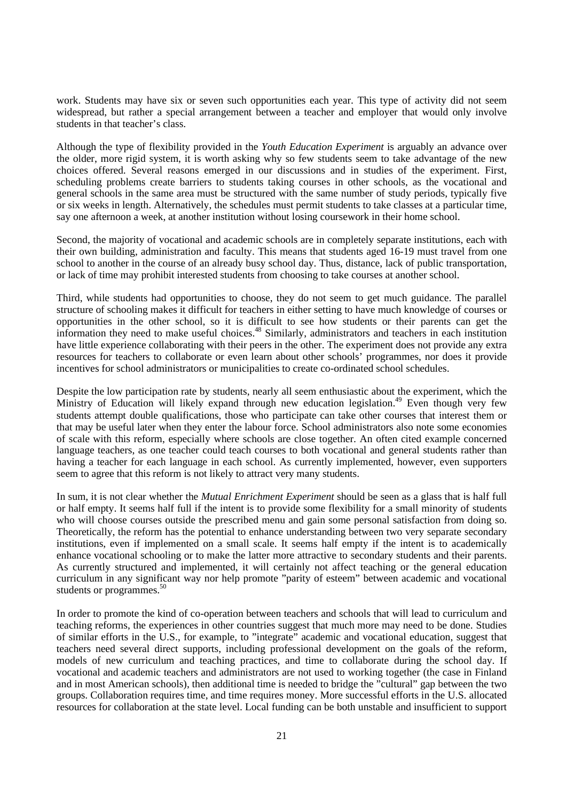work. Students may have six or seven such opportunities each year. This type of activity did not seem widespread, but rather a special arrangement between a teacher and employer that would only involve students in that teacher's class.

Although the type of flexibility provided in the *Youth Education Experiment* is arguably an advance over the older, more rigid system, it is worth asking why so few students seem to take advantage of the new choices offered. Several reasons emerged in our discussions and in studies of the experiment. First, scheduling problems create barriers to students taking courses in other schools, as the vocational and general schools in the same area must be structured with the same number of study periods, typically five or six weeks in length. Alternatively, the schedules must permit students to take classes at a particular time, say one afternoon a week, at another institution without losing coursework in their home school.

Second, the majority of vocational and academic schools are in completely separate institutions, each with their own building, administration and faculty. This means that students aged 16-19 must travel from one school to another in the course of an already busy school day. Thus, distance, lack of public transportation, or lack of time may prohibit interested students from choosing to take courses at another school.

Third, while students had opportunities to choose, they do not seem to get much guidance. The parallel structure of schooling makes it difficult for teachers in either setting to have much knowledge of courses or opportunities in the other school, so it is difficult to see how students or their parents can get the information they need to make useful choices.<sup>48</sup> Similarly, administrators and teachers in each institution have little experience collaborating with their peers in the other. The experiment does not provide any extra resources for teachers to collaborate or even learn about other schools' programmes, nor does it provide incentives for school administrators or municipalities to create co-ordinated school schedules.

Despite the low participation rate by students, nearly all seem enthusiastic about the experiment, which the Ministry of Education will likely expand through new education legislation.<sup>49</sup> Even though very few students attempt double qualifications, those who participate can take other courses that interest them or that may be useful later when they enter the labour force. School administrators also note some economies of scale with this reform, especially where schools are close together. An often cited example concerned language teachers, as one teacher could teach courses to both vocational and general students rather than having a teacher for each language in each school. As currently implemented, however, even supporters seem to agree that this reform is not likely to attract very many students.

In sum, it is not clear whether the *Mutual Enrichment Experiment* should be seen as a glass that is half full or half empty. It seems half full if the intent is to provide some flexibility for a small minority of students who will choose courses outside the prescribed menu and gain some personal satisfaction from doing so. Theoretically, the reform has the potential to enhance understanding between two very separate secondary institutions, even if implemented on a small scale. It seems half empty if the intent is to academically enhance vocational schooling or to make the latter more attractive to secondary students and their parents. As currently structured and implemented, it will certainly not affect teaching or the general education curriculum in any significant way nor help promote "parity of esteem" between academic and vocational students or programmes.<sup>50</sup>

In order to promote the kind of co-operation between teachers and schools that will lead to curriculum and teaching reforms, the experiences in other countries suggest that much more may need to be done. Studies of similar efforts in the U.S., for example, to "integrate" academic and vocational education, suggest that teachers need several direct supports, including professional development on the goals of the reform, models of new curriculum and teaching practices, and time to collaborate during the school day. If vocational and academic teachers and administrators are not used to working together (the case in Finland and in most American schools), then additional time is needed to bridge the "cultural" gap between the two groups. Collaboration requires time, and time requires money. More successful efforts in the U.S. allocated resources for collaboration at the state level. Local funding can be both unstable and insufficient to support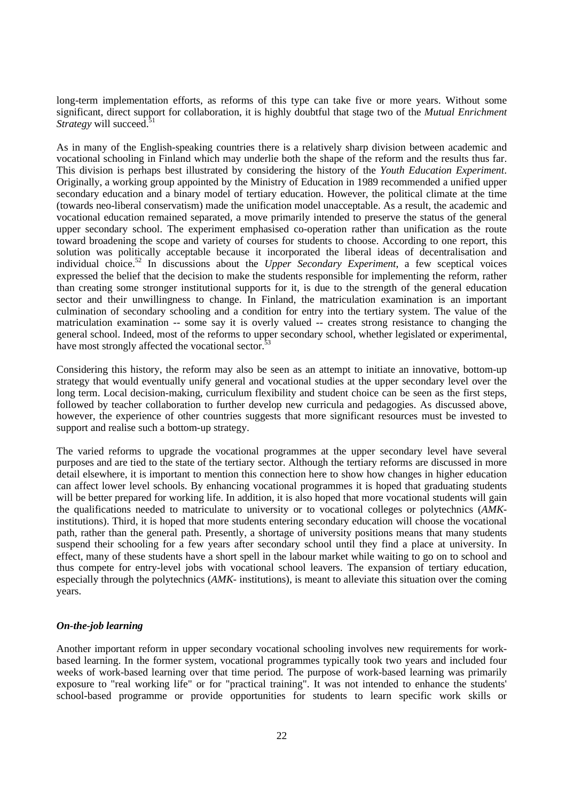long-term implementation efforts, as reforms of this type can take five or more years. Without some significant, direct support for collaboration, it is highly doubtful that stage two of the *Mutual Enrichment Strategy* will succeed.<sup>5</sup>

As in many of the English-speaking countries there is a relatively sharp division between academic and vocational schooling in Finland which may underlie both the shape of the reform and the results thus far. This division is perhaps best illustrated by considering the history of the *Youth Education Experiment*. Originally, a working group appointed by the Ministry of Education in 1989 recommended a unified upper secondary education and a binary model of tertiary education. However, the political climate at the time (towards neo-liberal conservatism) made the unification model unacceptable. As a result, the academic and vocational education remained separated, a move primarily intended to preserve the status of the general upper secondary school. The experiment emphasised co-operation rather than unification as the route toward broadening the scope and variety of courses for students to choose. According to one report, this solution was politically acceptable because it incorporated the liberal ideas of decentralisation and individual choice.52 In discussions about the *Upper Secondary Experiment*, a few sceptical voices expressed the belief that the decision to make the students responsible for implementing the reform, rather than creating some stronger institutional supports for it, is due to the strength of the general education sector and their unwillingness to change. In Finland, the matriculation examination is an important culmination of secondary schooling and a condition for entry into the tertiary system. The value of the matriculation examination -- some say it is overly valued -- creates strong resistance to changing the general school. Indeed, most of the reforms to upper secondary school, whether legislated or experimental, have most strongly affected the vocational sector.<sup>5</sup>

Considering this history, the reform may also be seen as an attempt to initiate an innovative, bottom-up strategy that would eventually unify general and vocational studies at the upper secondary level over the long term. Local decision-making, curriculum flexibility and student choice can be seen as the first steps, followed by teacher collaboration to further develop new curricula and pedagogies. As discussed above, however, the experience of other countries suggests that more significant resources must be invested to support and realise such a bottom-up strategy.

The varied reforms to upgrade the vocational programmes at the upper secondary level have several purposes and are tied to the state of the tertiary sector. Although the tertiary reforms are discussed in more detail elsewhere, it is important to mention this connection here to show how changes in higher education can affect lower level schools. By enhancing vocational programmes it is hoped that graduating students will be better prepared for working life. In addition, it is also hoped that more vocational students will gain the qualifications needed to matriculate to university or to vocational colleges or polytechnics (*AMK*institutions). Third, it is hoped that more students entering secondary education will choose the vocational path, rather than the general path. Presently, a shortage of university positions means that many students suspend their schooling for a few years after secondary school until they find a place at university. In effect, many of these students have a short spell in the labour market while waiting to go on to school and thus compete for entry-level jobs with vocational school leavers. The expansion of tertiary education, especially through the polytechnics (*AMK-* institutions), is meant to alleviate this situation over the coming years.

#### *On-the-job learning*

Another important reform in upper secondary vocational schooling involves new requirements for workbased learning. In the former system, vocational programmes typically took two years and included four weeks of work-based learning over that time period. The purpose of work-based learning was primarily exposure to "real working life" or for "practical training". It was not intended to enhance the students' school-based programme or provide opportunities for students to learn specific work skills or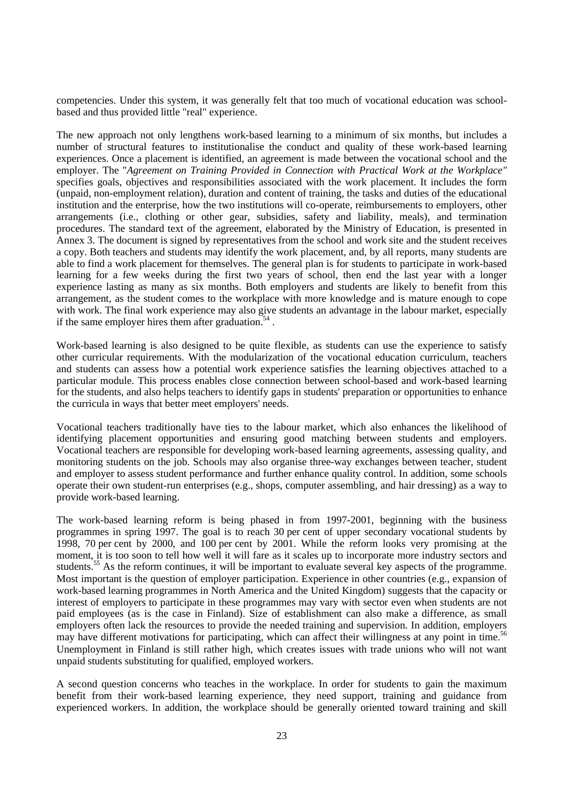competencies. Under this system, it was generally felt that too much of vocational education was schoolbased and thus provided little "real" experience.

The new approach not only lengthens work-based learning to a minimum of six months, but includes a number of structural features to institutionalise the conduct and quality of these work-based learning experiences. Once a placement is identified, an agreement is made between the vocational school and the employer. The "*Agreement on Training Provided in Connection with Practical Work at the Workplace"* specifies goals, objectives and responsibilities associated with the work placement. It includes the form (unpaid, non-employment relation), duration and content of training, the tasks and duties of the educational institution and the enterprise, how the two institutions will co-operate, reimbursements to employers, other arrangements (i.e., clothing or other gear, subsidies, safety and liability, meals), and termination procedures. The standard text of the agreement, elaborated by the Ministry of Education, is presented in Annex 3. The document is signed by representatives from the school and work site and the student receives a copy. Both teachers and students may identify the work placement, and, by all reports, many students are able to find a work placement for themselves. The general plan is for students to participate in work-based learning for a few weeks during the first two years of school, then end the last year with a longer experience lasting as many as six months. Both employers and students are likely to benefit from this arrangement, as the student comes to the workplace with more knowledge and is mature enough to cope with work. The final work experience may also give students an advantage in the labour market, especially if the same employer hires them after graduation.<sup>54</sup>.

Work-based learning is also designed to be quite flexible, as students can use the experience to satisfy other curricular requirements. With the modularization of the vocational education curriculum, teachers and students can assess how a potential work experience satisfies the learning objectives attached to a particular module. This process enables close connection between school-based and work-based learning for the students, and also helps teachers to identify gaps in students' preparation or opportunities to enhance the curricula in ways that better meet employers' needs.

Vocational teachers traditionally have ties to the labour market, which also enhances the likelihood of identifying placement opportunities and ensuring good matching between students and employers. Vocational teachers are responsible for developing work-based learning agreements, assessing quality, and monitoring students on the job. Schools may also organise three-way exchanges between teacher, student and employer to assess student performance and further enhance quality control. In addition, some schools operate their own student-run enterprises (e.g., shops, computer assembling, and hair dressing) as a way to provide work-based learning.

The work-based learning reform is being phased in from 1997-2001, beginning with the business programmes in spring 1997. The goal is to reach 30 per cent of upper secondary vocational students by 1998, 70 per cent by 2000, and 100 per cent by 2001. While the reform looks very promising at the moment, it is too soon to tell how well it will fare as it scales up to incorporate more industry sectors and students.<sup>55</sup> As the reform continues, it will be important to evaluate several key aspects of the programme. Most important is the question of employer participation. Experience in other countries (e.g., expansion of work-based learning programmes in North America and the United Kingdom) suggests that the capacity or interest of employers to participate in these programmes may vary with sector even when students are not paid employees (as is the case in Finland). Size of establishment can also make a difference, as small employers often lack the resources to provide the needed training and supervision. In addition, employers may have different motivations for participating, which can affect their willingness at any point in time.<sup>56</sup> Unemployment in Finland is still rather high, which creates issues with trade unions who will not want unpaid students substituting for qualified, employed workers.

A second question concerns who teaches in the workplace. In order for students to gain the maximum benefit from their work-based learning experience, they need support, training and guidance from experienced workers. In addition, the workplace should be generally oriented toward training and skill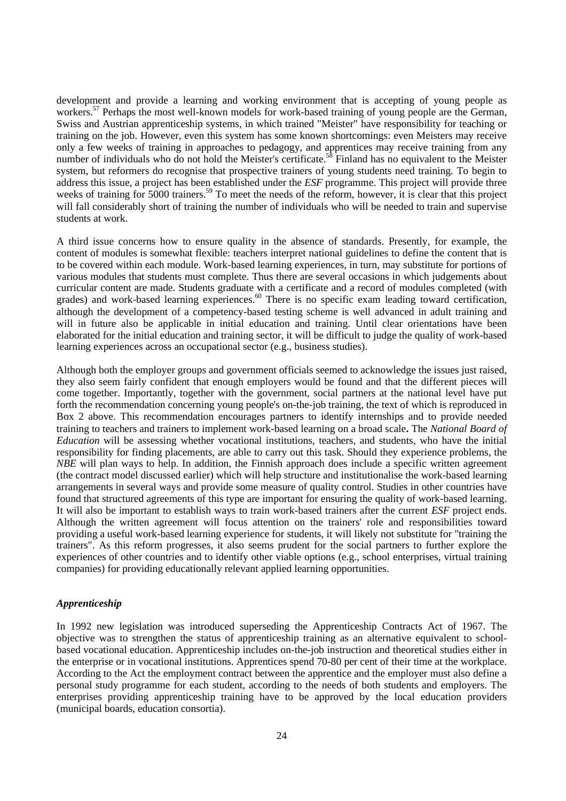development and provide a learning and working environment that is accepting of young people as workers.<sup>57</sup> Perhaps the most well-known models for work-based training of young people are the German, Swiss and Austrian apprenticeship systems, in which trained "Meister" have responsibility for teaching or training on the job. However, even this system has some known shortcomings: even Meisters may receive only a few weeks of training in approaches to pedagogy, and apprentices may receive training from any number of individuals who do not hold the Meister's certificate.<sup>58</sup> Finland has no equivalent to the Meister system, but reformers do recognise that prospective trainers of young students need training. To begin to address this issue, a project has been established under the *ESF* programme. This project will provide three weeks of training for 5000 trainers.<sup>59</sup> To meet the needs of the reform, however, it is clear that this project will fall considerably short of training the number of individuals who will be needed to train and supervise students at work.

A third issue concerns how to ensure quality in the absence of standards. Presently, for example, the content of modules is somewhat flexible: teachers interpret national guidelines to define the content that is to be covered within each module. Work-based learning experiences, in turn, may substitute for portions of various modules that students must complete. Thus there are several occasions in which judgements about curricular content are made. Students graduate with a certificate and a record of modules completed (with grades) and work-based learning experiences.<sup>60</sup> There is no specific exam leading toward certification, although the development of a competency-based testing scheme is well advanced in adult training and will in future also be applicable in initial education and training. Until clear orientations have been elaborated for the initial education and training sector, it will be difficult to judge the quality of work-based learning experiences across an occupational sector (e.g., business studies).

Although both the employer groups and government officials seemed to acknowledge the issues just raised, they also seem fairly confident that enough employers would be found and that the different pieces will come together. Importantly, together with the government, social partners at the national level have put forth the recommendation concerning young people's on-the-job training, the text of which is reproduced in Box 2 above. This recommendation encourages partners to identify internships and to provide needed training to teachers and trainers to implement work-based learning on a broad scale**.** The *National Board of Education* will be assessing whether vocational institutions, teachers, and students, who have the initial responsibility for finding placements, are able to carry out this task. Should they experience problems, the *NBE* will plan ways to help. In addition, the Finnish approach does include a specific written agreement (the contract model discussed earlier) which will help structure and institutionalise the work-based learning arrangements in several ways and provide some measure of quality control. Studies in other countries have found that structured agreements of this type are important for ensuring the quality of work-based learning. It will also be important to establish ways to train work-based trainers after the current *ESF* project ends. Although the written agreement will focus attention on the trainers' role and responsibilities toward providing a useful work-based learning experience for students, it will likely not substitute for "training the trainers". As this reform progresses, it also seems prudent for the social partners to further explore the experiences of other countries and to identify other viable options (e.g., school enterprises, virtual training companies) for providing educationally relevant applied learning opportunities.

#### *Apprenticeship*

In 1992 new legislation was introduced superseding the Apprenticeship Contracts Act of 1967. The objective was to strengthen the status of apprenticeship training as an alternative equivalent to schoolbased vocational education. Apprenticeship includes on-the-job instruction and theoretical studies either in the enterprise or in vocational institutions. Apprentices spend 70-80 per cent of their time at the workplace. According to the Act the employment contract between the apprentice and the employer must also define a personal study programme for each student, according to the needs of both students and employers. The enterprises providing apprenticeship training have to be approved by the local education providers (municipal boards, education consortia).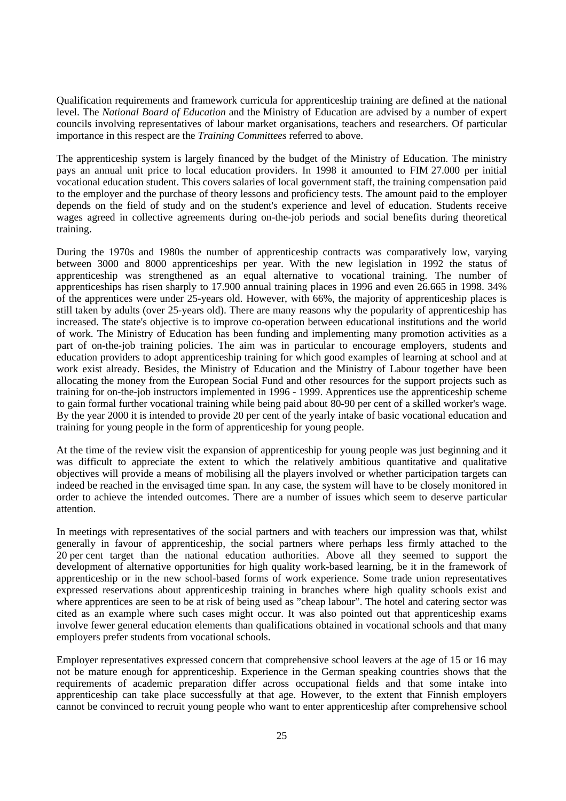Qualification requirements and framework curricula for apprenticeship training are defined at the national level. The *National Board of Education* and the Ministry of Education are advised by a number of expert councils involving representatives of labour market organisations, teachers and researchers. Of particular importance in this respect are the *Training Committees* referred to above.

The apprenticeship system is largely financed by the budget of the Ministry of Education. The ministry pays an annual unit price to local education providers. In 1998 it amounted to FIM 27.000 per initial vocational education student. This covers salaries of local government staff, the training compensation paid to the employer and the purchase of theory lessons and proficiency tests. The amount paid to the employer depends on the field of study and on the student's experience and level of education. Students receive wages agreed in collective agreements during on-the-job periods and social benefits during theoretical training.

During the 1970s and 1980s the number of apprenticeship contracts was comparatively low, varying between 3000 and 8000 apprenticeships per year. With the new legislation in 1992 the status of apprenticeship was strengthened as an equal alternative to vocational training. The number of apprenticeships has risen sharply to 17.900 annual training places in 1996 and even 26.665 in 1998. 34% of the apprentices were under 25-years old. However, with 66%, the majority of apprenticeship places is still taken by adults (over 25-years old). There are many reasons why the popularity of apprenticeship has increased. The state's objective is to improve co-operation between educational institutions and the world of work. The Ministry of Education has been funding and implementing many promotion activities as a part of on-the-job training policies. The aim was in particular to encourage employers, students and education providers to adopt apprenticeship training for which good examples of learning at school and at work exist already. Besides, the Ministry of Education and the Ministry of Labour together have been allocating the money from the European Social Fund and other resources for the support projects such as training for on-the-job instructors implemented in 1996 - 1999. Apprentices use the apprenticeship scheme to gain formal further vocational training while being paid about 80-90 per cent of a skilled worker's wage. By the year 2000 it is intended to provide 20 per cent of the yearly intake of basic vocational education and training for young people in the form of apprenticeship for young people.

At the time of the review visit the expansion of apprenticeship for young people was just beginning and it was difficult to appreciate the extent to which the relatively ambitious quantitative and qualitative objectives will provide a means of mobilising all the players involved or whether participation targets can indeed be reached in the envisaged time span. In any case, the system will have to be closely monitored in order to achieve the intended outcomes. There are a number of issues which seem to deserve particular attention.

In meetings with representatives of the social partners and with teachers our impression was that, whilst generally in favour of apprenticeship, the social partners where perhaps less firmly attached to the 20 per cent target than the national education authorities. Above all they seemed to support the development of alternative opportunities for high quality work-based learning, be it in the framework of apprenticeship or in the new school-based forms of work experience. Some trade union representatives expressed reservations about apprenticeship training in branches where high quality schools exist and where apprentices are seen to be at risk of being used as "cheap labour". The hotel and catering sector was cited as an example where such cases might occur. It was also pointed out that apprenticeship exams involve fewer general education elements than qualifications obtained in vocational schools and that many employers prefer students from vocational schools.

Employer representatives expressed concern that comprehensive school leavers at the age of 15 or 16 may not be mature enough for apprenticeship. Experience in the German speaking countries shows that the requirements of academic preparation differ across occupational fields and that some intake into apprenticeship can take place successfully at that age. However, to the extent that Finnish employers cannot be convinced to recruit young people who want to enter apprenticeship after comprehensive school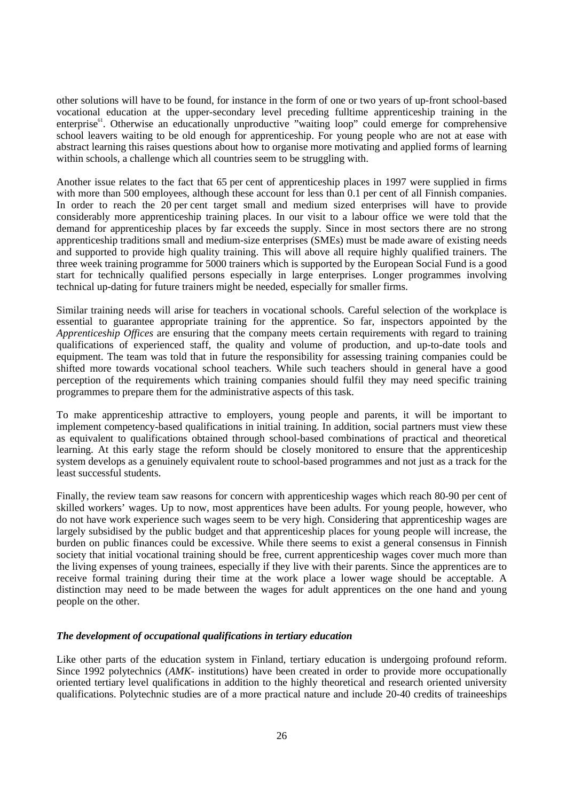other solutions will have to be found, for instance in the form of one or two years of up-front school-based vocational education at the upper-secondary level preceding fulltime apprenticeship training in the enterprise<sup>61</sup>. Otherwise an educationally unproductive "waiting loop" could emerge for comprehensive school leavers waiting to be old enough for apprenticeship. For young people who are not at ease with abstract learning this raises questions about how to organise more motivating and applied forms of learning within schools, a challenge which all countries seem to be struggling with.

Another issue relates to the fact that 65 per cent of apprenticeship places in 1997 were supplied in firms with more than 500 employees, although these account for less than 0.1 per cent of all Finnish companies. In order to reach the 20 per cent target small and medium sized enterprises will have to provide considerably more apprenticeship training places. In our visit to a labour office we were told that the demand for apprenticeship places by far exceeds the supply. Since in most sectors there are no strong apprenticeship traditions small and medium-size enterprises (SMEs) must be made aware of existing needs and supported to provide high quality training. This will above all require highly qualified trainers. The three week training programme for 5000 trainers which is supported by the European Social Fund is a good start for technically qualified persons especially in large enterprises. Longer programmes involving technical up-dating for future trainers might be needed, especially for smaller firms.

Similar training needs will arise for teachers in vocational schools. Careful selection of the workplace is essential to guarantee appropriate training for the apprentice. So far, inspectors appointed by the *Apprenticeship Offices* are ensuring that the company meets certain requirements with regard to training qualifications of experienced staff, the quality and volume of production, and up-to-date tools and equipment. The team was told that in future the responsibility for assessing training companies could be shifted more towards vocational school teachers. While such teachers should in general have a good perception of the requirements which training companies should fulfil they may need specific training programmes to prepare them for the administrative aspects of this task.

To make apprenticeship attractive to employers, young people and parents, it will be important to implement competency-based qualifications in initial training. In addition, social partners must view these as equivalent to qualifications obtained through school-based combinations of practical and theoretical learning. At this early stage the reform should be closely monitored to ensure that the apprenticeship system develops as a genuinely equivalent route to school-based programmes and not just as a track for the least successful students.

Finally, the review team saw reasons for concern with apprenticeship wages which reach 80-90 per cent of skilled workers' wages. Up to now, most apprentices have been adults. For young people, however, who do not have work experience such wages seem to be very high. Considering that apprenticeship wages are largely subsidised by the public budget and that apprenticeship places for young people will increase, the burden on public finances could be excessive. While there seems to exist a general consensus in Finnish society that initial vocational training should be free, current apprenticeship wages cover much more than the living expenses of young trainees, especially if they live with their parents. Since the apprentices are to receive formal training during their time at the work place a lower wage should be acceptable. A distinction may need to be made between the wages for adult apprentices on the one hand and young people on the other.

#### *The development of occupational qualifications in tertiary education*

Like other parts of the education system in Finland, tertiary education is undergoing profound reform. Since 1992 polytechnics (*AMK-* institutions) have been created in order to provide more occupationally oriented tertiary level qualifications in addition to the highly theoretical and research oriented university qualifications. Polytechnic studies are of a more practical nature and include 20-40 credits of traineeships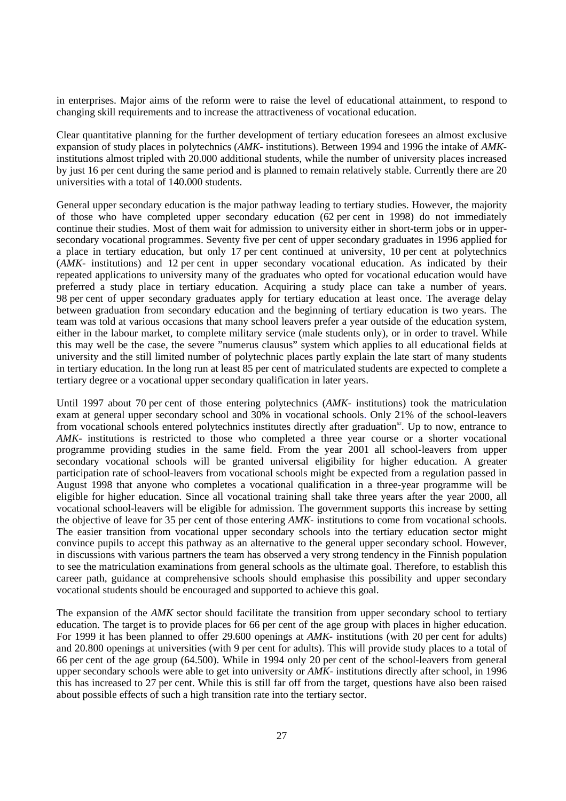in enterprises. Major aims of the reform were to raise the level of educational attainment, to respond to changing skill requirements and to increase the attractiveness of vocational education.

Clear quantitative planning for the further development of tertiary education foresees an almost exclusive expansion of study places in polytechnics (*AMK-* institutions). Between 1994 and 1996 the intake of *AMK*institutions almost tripled with 20.000 additional students, while the number of university places increased by just 16 per cent during the same period and is planned to remain relatively stable. Currently there are 20 universities with a total of 140.000 students.

General upper secondary education is the major pathway leading to tertiary studies. However, the majority of those who have completed upper secondary education (62 per cent in 1998) do not immediately continue their studies. Most of them wait for admission to university either in short-term jobs or in uppersecondary vocational programmes. Seventy five per cent of upper secondary graduates in 1996 applied for a place in tertiary education, but only 17 per cent continued at university, 10 per cent at polytechnics (*AMK-* institutions) and 12 per cent in upper secondary vocational education. As indicated by their repeated applications to university many of the graduates who opted for vocational education would have preferred a study place in tertiary education. Acquiring a study place can take a number of years. 98 per cent of upper secondary graduates apply for tertiary education at least once. The average delay between graduation from secondary education and the beginning of tertiary education is two years. The team was told at various occasions that many school leavers prefer a year outside of the education system, either in the labour market, to complete military service (male students only), or in order to travel. While this may well be the case, the severe "numerus clausus" system which applies to all educational fields at university and the still limited number of polytechnic places partly explain the late start of many students in tertiary education. In the long run at least 85 per cent of matriculated students are expected to complete a tertiary degree or a vocational upper secondary qualification in later years.

Until 1997 about 70 per cent of those entering polytechnics (*AMK-* institutions) took the matriculation exam at general upper secondary school and 30% in vocational schools. Only 21% of the school-leavers from vocational schools entered polytechnics institutes directly after graduation<sup> $\alpha$ </sup>. Up to now, entrance to *AMK-* institutions is restricted to those who completed a three year course or a shorter vocational programme providing studies in the same field. From the year 2001 all school-leavers from upper secondary vocational schools will be granted universal eligibility for higher education. A greater participation rate of school-leavers from vocational schools might be expected from a regulation passed in August 1998 that anyone who completes a vocational qualification in a three-year programme will be eligible for higher education. Since all vocational training shall take three years after the year 2000, all vocational school-leavers will be eligible for admission. The government supports this increase by setting the objective of leave for 35 per cent of those entering *AMK-* institutions to come from vocational schools. The easier transition from vocational upper secondary schools into the tertiary education sector might convince pupils to accept this pathway as an alternative to the general upper secondary school. However, in discussions with various partners the team has observed a very strong tendency in the Finnish population to see the matriculation examinations from general schools as the ultimate goal. Therefore, to establish this career path, guidance at comprehensive schools should emphasise this possibility and upper secondary vocational students should be encouraged and supported to achieve this goal.

The expansion of the *AMK* sector should facilitate the transition from upper secondary school to tertiary education. The target is to provide places for 66 per cent of the age group with places in higher education. For 1999 it has been planned to offer 29.600 openings at *AMK-* institutions (with 20 per cent for adults) and 20.800 openings at universities (with 9 per cent for adults). This will provide study places to a total of 66 per cent of the age group (64.500). While in 1994 only 20 per cent of the school-leavers from general upper secondary schools were able to get into university or *AMK-* institutions directly after school, in 1996 this has increased to 27 per cent. While this is still far off from the target, questions have also been raised about possible effects of such a high transition rate into the tertiary sector.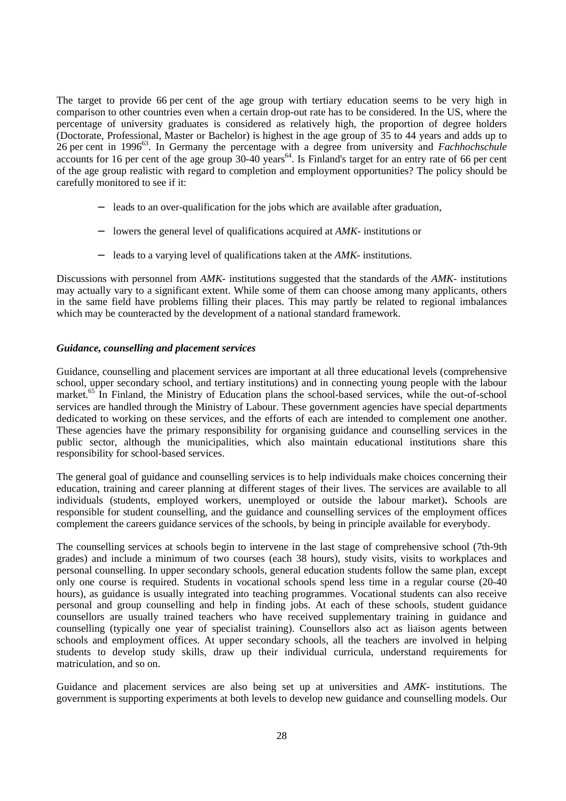The target to provide 66 per cent of the age group with tertiary education seems to be very high in comparison to other countries even when a certain drop-out rate has to be considered. In the US, where the percentage of university graduates is considered as relatively high, the proportion of degree holders (Doctorate, Professional, Master or Bachelor) is highest in the age group of 35 to 44 years and adds up to 26 per cent in 199663. In Germany the percentage with a degree from university and *Fachhochschule* accounts for 16 per cent of the age group 30-40 years<sup>64</sup>. Is Finland's target for an entry rate of 66 per cent of the age group realistic with regard to completion and employment opportunities? The policy should be carefully monitored to see if it:

- − leads to an over-qualification for the jobs which are available after graduation,
- − lowers the general level of qualifications acquired at *AMK-* institutions or
- − leads to a varying level of qualifications taken at the *AMK-* institutions.

Discussions with personnel from *AMK-* institutions suggested that the standards of the *AMK-* institutions may actually vary to a significant extent. While some of them can choose among many applicants, others in the same field have problems filling their places. This may partly be related to regional imbalances which may be counteracted by the development of a national standard framework.

#### *Guidance, counselling and placement services*

Guidance, counselling and placement services are important at all three educational levels (comprehensive school, upper secondary school, and tertiary institutions) and in connecting young people with the labour market.<sup>65</sup> In Finland, the Ministry of Education plans the school-based services, while the out-of-school services are handled through the Ministry of Labour. These government agencies have special departments dedicated to working on these services, and the efforts of each are intended to complement one another. These agencies have the primary responsibility for organising guidance and counselling services in the public sector, although the municipalities, which also maintain educational institutions share this responsibility for school-based services.

The general goal of guidance and counselling services is to help individuals make choices concerning their education, training and career planning at different stages of their lives. The services are available to all individuals (students, employed workers, unemployed or outside the labour market)**.** Schools are responsible for student counselling, and the guidance and counselling services of the employment offices complement the careers guidance services of the schools, by being in principle available for everybody.

The counselling services at schools begin to intervene in the last stage of comprehensive school (7th-9th grades) and include a minimum of two courses (each 38 hours), study visits, visits to workplaces and personal counselling. In upper secondary schools, general education students follow the same plan, except only one course is required. Students in vocational schools spend less time in a regular course (20-40 hours), as guidance is usually integrated into teaching programmes. Vocational students can also receive personal and group counselling and help in finding jobs. At each of these schools, student guidance counsellors are usually trained teachers who have received supplementary training in guidance and counselling (typically one year of specialist training). Counsellors also act as liaison agents between schools and employment offices. At upper secondary schools, all the teachers are involved in helping students to develop study skills, draw up their individual curricula, understand requirements for matriculation, and so on.

Guidance and placement services are also being set up at universities and *AMK-* institutions. The government is supporting experiments at both levels to develop new guidance and counselling models. Our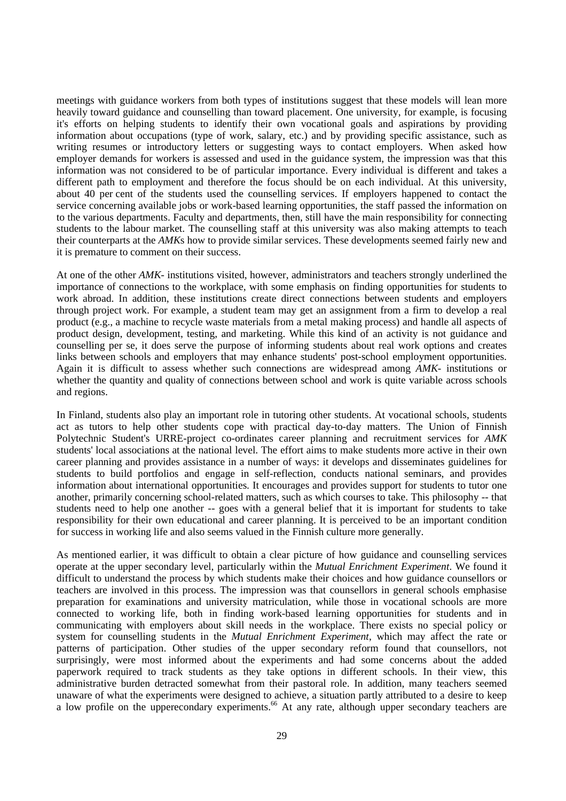meetings with guidance workers from both types of institutions suggest that these models will lean more heavily toward guidance and counselling than toward placement. One university, for example, is focusing it's efforts on helping students to identify their own vocational goals and aspirations by providing information about occupations (type of work, salary, etc.) and by providing specific assistance, such as writing resumes or introductory letters or suggesting ways to contact employers. When asked how employer demands for workers is assessed and used in the guidance system, the impression was that this information was not considered to be of particular importance. Every individual is different and takes a different path to employment and therefore the focus should be on each individual. At this university, about 40 per cent of the students used the counselling services. If employers happened to contact the service concerning available jobs or work-based learning opportunities, the staff passed the information on to the various departments. Faculty and departments, then, still have the main responsibility for connecting students to the labour market. The counselling staff at this university was also making attempts to teach their counterparts at the *AMK*s how to provide similar services. These developments seemed fairly new and it is premature to comment on their success.

At one of the other *AMK-* institutions visited, however, administrators and teachers strongly underlined the importance of connections to the workplace, with some emphasis on finding opportunities for students to work abroad. In addition, these institutions create direct connections between students and employers through project work. For example, a student team may get an assignment from a firm to develop a real product (e.g., a machine to recycle waste materials from a metal making process) and handle all aspects of product design, development, testing, and marketing. While this kind of an activity is not guidance and counselling per se, it does serve the purpose of informing students about real work options and creates links between schools and employers that may enhance students' post-school employment opportunities. Again it is difficult to assess whether such connections are widespread among *AMK-* institutions or whether the quantity and quality of connections between school and work is quite variable across schools and regions.

In Finland, students also play an important role in tutoring other students. At vocational schools, students act as tutors to help other students cope with practical day-to-day matters. The Union of Finnish Polytechnic Student's URRE-project co-ordinates career planning and recruitment services for *AMK* students' local associations at the national level. The effort aims to make students more active in their own career planning and provides assistance in a number of ways: it develops and disseminates guidelines for students to build portfolios and engage in self-reflection, conducts national seminars, and provides information about international opportunities. It encourages and provides support for students to tutor one another, primarily concerning school-related matters, such as which courses to take. This philosophy -- that students need to help one another -- goes with a general belief that it is important for students to take responsibility for their own educational and career planning. It is perceived to be an important condition for success in working life and also seems valued in the Finnish culture more generally.

As mentioned earlier, it was difficult to obtain a clear picture of how guidance and counselling services operate at the upper secondary level, particularly within the *Mutual Enrichment Experiment*. We found it difficult to understand the process by which students make their choices and how guidance counsellors or teachers are involved in this process. The impression was that counsellors in general schools emphasise preparation for examinations and university matriculation, while those in vocational schools are more connected to working life, both in finding work-based learning opportunities for students and in communicating with employers about skill needs in the workplace. There exists no special policy or system for counselling students in the *Mutual Enrichment Experiment*, which may affect the rate or patterns of participation. Other studies of the upper secondary reform found that counsellors, not surprisingly, were most informed about the experiments and had some concerns about the added paperwork required to track students as they take options in different schools. In their view, this administrative burden detracted somewhat from their pastoral role. In addition, many teachers seemed unaware of what the experiments were designed to achieve, a situation partly attributed to a desire to keep a low profile on the uppercondary experiments.<sup>66</sup> At any rate, although upper secondary teachers are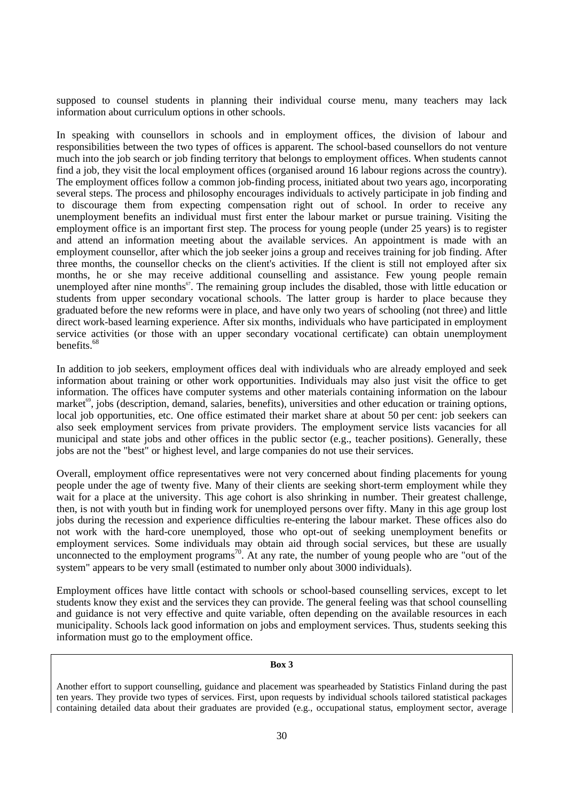supposed to counsel students in planning their individual course menu, many teachers may lack information about curriculum options in other schools.

In speaking with counsellors in schools and in employment offices, the division of labour and responsibilities between the two types of offices is apparent. The school-based counsellors do not venture much into the job search or job finding territory that belongs to employment offices. When students cannot find a job, they visit the local employment offices (organised around 16 labour regions across the country). The employment offices follow a common job-finding process, initiated about two years ago, incorporating several steps. The process and philosophy encourages individuals to actively participate in job finding and to discourage them from expecting compensation right out of school. In order to receive any unemployment benefits an individual must first enter the labour market or pursue training. Visiting the employment office is an important first step. The process for young people (under 25 years) is to register and attend an information meeting about the available services. An appointment is made with an employment counsellor, after which the job seeker joins a group and receives training for job finding. After three months, the counsellor checks on the client's activities. If the client is still not employed after six months, he or she may receive additional counselling and assistance. Few young people remain unemployed after nine months<sup>67</sup>. The remaining group includes the disabled, those with little education or students from upper secondary vocational schools. The latter group is harder to place because they graduated before the new reforms were in place, and have only two years of schooling (not three) and little direct work-based learning experience. After six months, individuals who have participated in employment service activities (or those with an upper secondary vocational certificate) can obtain unemployment benefits.<sup>68</sup>

In addition to job seekers, employment offices deal with individuals who are already employed and seek information about training or other work opportunities. Individuals may also just visit the office to get information. The offices have computer systems and other materials containing information on the labour market<sup>69</sup>, jobs (description, demand, salaries, benefits), universities and other education or training options, local job opportunities, etc. One office estimated their market share at about 50 per cent: job seekers can also seek employment services from private providers. The employment service lists vacancies for all municipal and state jobs and other offices in the public sector (e.g., teacher positions). Generally, these jobs are not the "best" or highest level, and large companies do not use their services.

Overall, employment office representatives were not very concerned about finding placements for young people under the age of twenty five. Many of their clients are seeking short-term employment while they wait for a place at the university. This age cohort is also shrinking in number. Their greatest challenge, then, is not with youth but in finding work for unemployed persons over fifty. Many in this age group lost jobs during the recession and experience difficulties re-entering the labour market. These offices also do not work with the hard-core unemployed, those who opt-out of seeking unemployment benefits or employment services. Some individuals may obtain aid through social services, but these are usually unconnected to the employment programs<sup>70</sup>. At any rate, the number of young people who are "out of the system" appears to be very small (estimated to number only about 3000 individuals).

Employment offices have little contact with schools or school-based counselling services, except to let students know they exist and the services they can provide. The general feeling was that school counselling and guidance is not very effective and quite variable, often depending on the available resources in each municipality. Schools lack good information on jobs and employment services. Thus, students seeking this information must go to the employment office.

#### **Box 3**

Another effort to support counselling, guidance and placement was spearheaded by Statistics Finland during the past ten years. They provide two types of services. First, upon requests by individual schools tailored statistical packages containing detailed data about their graduates are provided (e.g., occupational status, employment sector, average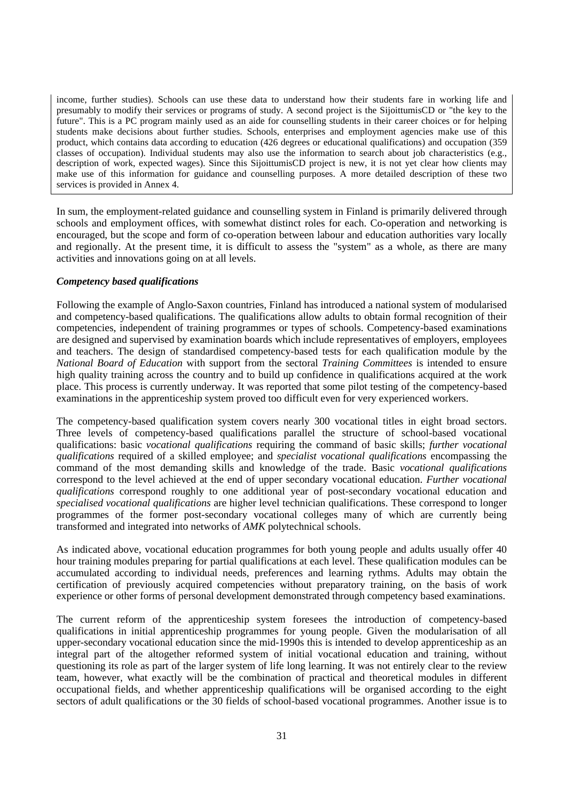income, further studies). Schools can use these data to understand how their students fare in working life and presumably to modify their services or programs of study. A second project is the SijoittumisCD or "the key to the future". This is a PC program mainly used as an aide for counselling students in their career choices or for helping students make decisions about further studies. Schools, enterprises and employment agencies make use of this product, which contains data according to education (426 degrees or educational qualifications) and occupation (359 classes of occupation). Individual students may also use the information to search about job characteristics (e.g., description of work, expected wages). Since this SijoittumisCD project is new, it is not yet clear how clients may make use of this information for guidance and counselling purposes. A more detailed description of these two services is provided in Annex 4.

In sum, the employment-related guidance and counselling system in Finland is primarily delivered through schools and employment offices, with somewhat distinct roles for each. Co-operation and networking is encouraged, but the scope and form of co-operation between labour and education authorities vary locally and regionally. At the present time, it is difficult to assess the "system" as a whole, as there are many activities and innovations going on at all levels.

## *Competency based qualifications*

Following the example of Anglo-Saxon countries, Finland has introduced a national system of modularised and competency-based qualifications. The qualifications allow adults to obtain formal recognition of their competencies, independent of training programmes or types of schools. Competency-based examinations are designed and supervised by examination boards which include representatives of employers, employees and teachers. The design of standardised competency-based tests for each qualification module by the *National Board of Education* with support from the sectoral *Training Committees* is intended to ensure high quality training across the country and to build up confidence in qualifications acquired at the work place. This process is currently underway. It was reported that some pilot testing of the competency-based examinations in the apprenticeship system proved too difficult even for very experienced workers.

The competency-based qualification system covers nearly 300 vocational titles in eight broad sectors. Three levels of competency-based qualifications parallel the structure of school-based vocational qualifications: basic *vocational qualifications* requiring the command of basic skills; *further vocational qualifications* required of a skilled employee; and *specialist vocational qualifications* encompassing the command of the most demanding skills and knowledge of the trade. Basic *vocational qualifications* correspond to the level achieved at the end of upper secondary vocational education. *Further vocational qualifications* correspond roughly to one additional year of post-secondary vocational education and *specialised vocational qualifications* are higher level technician qualifications. These correspond to longer programmes of the former post-secondary vocational colleges many of which are currently being transformed and integrated into networks of *AMK* polytechnical schools.

As indicated above, vocational education programmes for both young people and adults usually offer 40 hour training modules preparing for partial qualifications at each level. These qualification modules can be accumulated according to individual needs, preferences and learning rythms. Adults may obtain the certification of previously acquired competencies without preparatory training, on the basis of work experience or other forms of personal development demonstrated through competency based examinations.

The current reform of the apprenticeship system foresees the introduction of competency-based qualifications in initial apprenticeship programmes for young people. Given the modularisation of all upper-secondary vocational education since the mid-1990s this is intended to develop apprenticeship as an integral part of the altogether reformed system of initial vocational education and training, without questioning its role as part of the larger system of life long learning. It was not entirely clear to the review team, however, what exactly will be the combination of practical and theoretical modules in different occupational fields, and whether apprenticeship qualifications will be organised according to the eight sectors of adult qualifications or the 30 fields of school-based vocational programmes. Another issue is to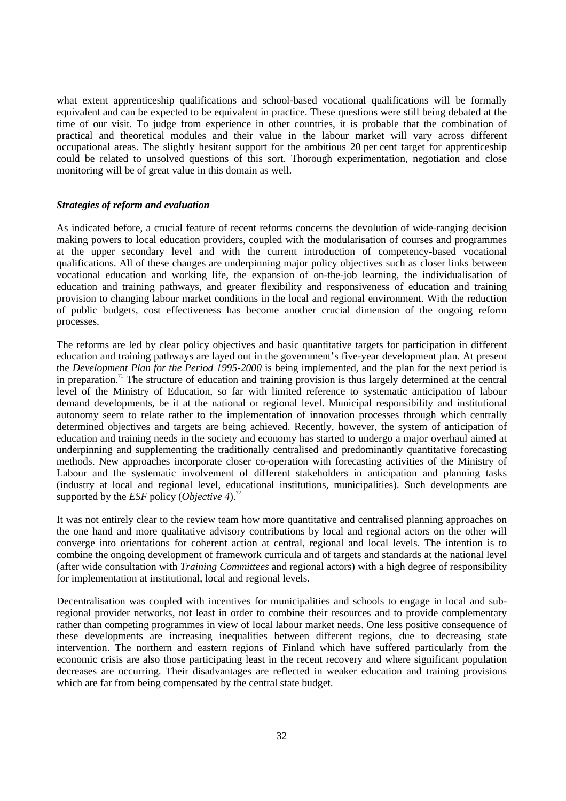what extent apprenticeship qualifications and school-based vocational qualifications will be formally equivalent and can be expected to be equivalent in practice. These questions were still being debated at the time of our visit. To judge from experience in other countries, it is probable that the combination of practical and theoretical modules and their value in the labour market will vary across different occupational areas. The slightly hesitant support for the ambitious 20 per cent target for apprenticeship could be related to unsolved questions of this sort. Thorough experimentation, negotiation and close monitoring will be of great value in this domain as well.

#### *Strategies of reform and evaluation*

As indicated before, a crucial feature of recent reforms concerns the devolution of wide-ranging decision making powers to local education providers, coupled with the modularisation of courses and programmes at the upper secondary level and with the current introduction of competency-based vocational qualifications. All of these changes are underpinning major policy objectives such as closer links between vocational education and working life, the expansion of on-the-job learning, the individualisation of education and training pathways, and greater flexibility and responsiveness of education and training provision to changing labour market conditions in the local and regional environment. With the reduction of public budgets, cost effectiveness has become another crucial dimension of the ongoing reform processes.

The reforms are led by clear policy objectives and basic quantitative targets for participation in different education and training pathways are layed out in the government's five-year development plan. At present the *Development Plan for the Period 1995-2000* is being implemented, and the plan for the next period is in preparation.<sup>71</sup> The structure of education and training provision is thus largely determined at the central level of the Ministry of Education, so far with limited reference to systematic anticipation of labour demand developments, be it at the national or regional level. Municipal responsibility and institutional autonomy seem to relate rather to the implementation of innovation processes through which centrally determined objectives and targets are being achieved. Recently, however, the system of anticipation of education and training needs in the society and economy has started to undergo a major overhaul aimed at underpinning and supplementing the traditionally centralised and predominantly quantitative forecasting methods. New approaches incorporate closer co-operation with forecasting activities of the Ministry of Labour and the systematic involvement of different stakeholders in anticipation and planning tasks (industry at local and regional level, educational institutions, municipalities). Such developments are supported by the *ESF* policy (*Objective* 4).<sup>72</sup>

It was not entirely clear to the review team how more quantitative and centralised planning approaches on the one hand and more qualitative advisory contributions by local and regional actors on the other will converge into orientations for coherent action at central, regional and local levels. The intention is to combine the ongoing development of framework curricula and of targets and standards at the national level (after wide consultation with *Training Committees* and regional actors) with a high degree of responsibility for implementation at institutional, local and regional levels.

Decentralisation was coupled with incentives for municipalities and schools to engage in local and subregional provider networks, not least in order to combine their resources and to provide complementary rather than competing programmes in view of local labour market needs. One less positive consequence of these developments are increasing inequalities between different regions, due to decreasing state intervention. The northern and eastern regions of Finland which have suffered particularly from the economic crisis are also those participating least in the recent recovery and where significant population decreases are occurring. Their disadvantages are reflected in weaker education and training provisions which are far from being compensated by the central state budget.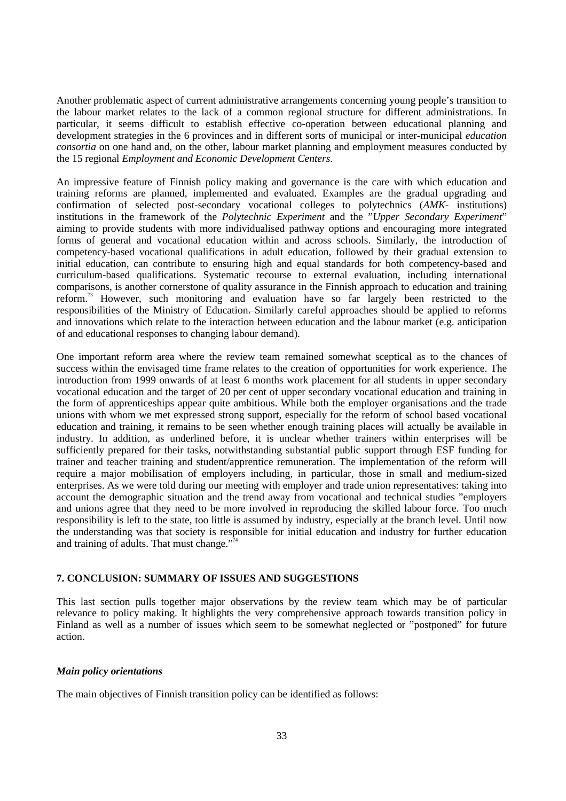Another problematic aspect of current administrative arrangements concerning young people's transition to the labour market relates to the lack of a common regional structure for different administrations. In particular, it seems difficult to establish effective co-operation between educational planning and development strategies in the 6 provinces and in different sorts of municipal or inter-municipal *education consortia* on one hand and, on the other, labour market planning and employment measures conducted by the 15 regional *Employment and Economic Development Centers*.

An impressive feature of Finnish policy making and governance is the care with which education and training reforms are planned, implemented and evaluated. Examples are the gradual upgrading and confirmation of selected post-secondary vocational colleges to polytechnics (*AMK-* institutions) institutions in the framework of the *Polytechnic Experiment* and the "*Upper Secondary Experiment*" aiming to provide students with more individualised pathway options and encouraging more integrated forms of general and vocational education within and across schools. Similarly, the introduction of competency-based vocational qualifications in adult education, followed by their gradual extension to initial education, can contribute to ensuring high and equal standards for both competency-based and curriculum-based qualifications. Systematic recourse to external evaluation, including international comparisons, is another cornerstone of quality assurance in the Finnish approach to education and training reform.73 However, such monitoring and evaluation have so far largely been restricted to the responsibilities of the Ministry of Education. Similarly careful approaches should be applied to reforms and innovations which relate to the interaction between education and the labour market (e.g. anticipation of and educational responses to changing labour demand).

One important reform area where the review team remained somewhat sceptical as to the chances of success within the envisaged time frame relates to the creation of opportunities for work experience. The introduction from 1999 onwards of at least 6 months work placement for all students in upper secondary vocational education and the target of 20 per cent of upper secondary vocational education and training in the form of apprenticeships appear quite ambitious. While both the employer organisations and the trade unions with whom we met expressed strong support, especially for the reform of school based vocational education and training, it remains to be seen whether enough training places will actually be available in industry. In addition, as underlined before, it is unclear whether trainers within enterprises will be sufficiently prepared for their tasks, notwithstanding substantial public support through ESF funding for trainer and teacher training and student/apprentice remuneration. The implementation of the reform will require a major mobilisation of employers including, in particular, those in small and medium-sized enterprises. As we were told during our meeting with employer and trade union representatives: taking into account the demographic situation and the trend away from vocational and technical studies "employers and unions agree that they need to be more involved in reproducing the skilled labour force. Too much responsibility is left to the state, too little is assumed by industry, especially at the branch level. Until now the understanding was that society is responsible for initial education and industry for further education and training of adults. That must change." 74

# **7. CONCLUSION: SUMMARY OF ISSUES AND SUGGESTIONS**

This last section pulls together major observations by the review team which may be of particular relevance to policy making. It highlights the very comprehensive approach towards transition policy in Finland as well as a number of issues which seem to be somewhat neglected or "postponed" for future action.

#### *Main policy orientations*

The main objectives of Finnish transition policy can be identified as follows: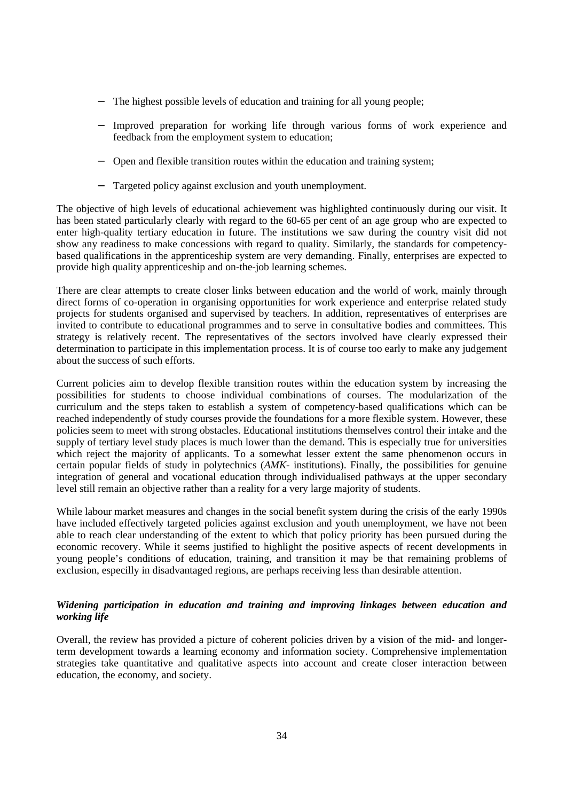- The highest possible levels of education and training for all young people;
- Improved preparation for working life through various forms of work experience and feedback from the employment system to education;
- − Open and flexible transition routes within the education and training system;
- Targeted policy against exclusion and youth unemployment.

The objective of high levels of educational achievement was highlighted continuously during our visit. It has been stated particularly clearly with regard to the 60-65 per cent of an age group who are expected to enter high-quality tertiary education in future. The institutions we saw during the country visit did not show any readiness to make concessions with regard to quality. Similarly, the standards for competencybased qualifications in the apprenticeship system are very demanding. Finally, enterprises are expected to provide high quality apprenticeship and on-the-job learning schemes.

There are clear attempts to create closer links between education and the world of work, mainly through direct forms of co-operation in organising opportunities for work experience and enterprise related study projects for students organised and supervised by teachers. In addition, representatives of enterprises are invited to contribute to educational programmes and to serve in consultative bodies and committees. This strategy is relatively recent. The representatives of the sectors involved have clearly expressed their determination to participate in this implementation process. It is of course too early to make any judgement about the success of such efforts.

Current policies aim to develop flexible transition routes within the education system by increasing the possibilities for students to choose individual combinations of courses. The modularization of the curriculum and the steps taken to establish a system of competency-based qualifications which can be reached independently of study courses provide the foundations for a more flexible system. However, these policies seem to meet with strong obstacles. Educational institutions themselves control their intake and the supply of tertiary level study places is much lower than the demand. This is especially true for universities which reject the majority of applicants. To a somewhat lesser extent the same phenomenon occurs in certain popular fields of study in polytechnics (*AMK-* institutions). Finally, the possibilities for genuine integration of general and vocational education through individualised pathways at the upper secondary level still remain an objective rather than a reality for a very large majority of students.

While labour market measures and changes in the social benefit system during the crisis of the early 1990s have included effectively targeted policies against exclusion and youth unemployment, we have not been able to reach clear understanding of the extent to which that policy priority has been pursued during the economic recovery. While it seems justified to highlight the positive aspects of recent developments in young people's conditions of education, training, and transition it may be that remaining problems of exclusion, especilly in disadvantaged regions, are perhaps receiving less than desirable attention.

# *Widening participation in education and training and improving linkages between education and working life*

Overall, the review has provided a picture of coherent policies driven by a vision of the mid- and longerterm development towards a learning economy and information society. Comprehensive implementation strategies take quantitative and qualitative aspects into account and create closer interaction between education, the economy, and society.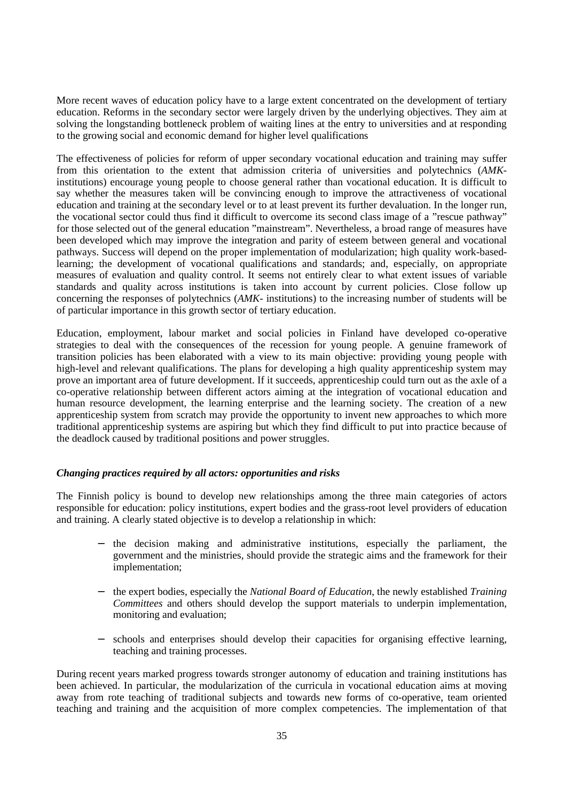More recent waves of education policy have to a large extent concentrated on the development of tertiary education. Reforms in the secondary sector were largely driven by the underlying objectives. They aim at solving the longstanding bottleneck problem of waiting lines at the entry to universities and at responding to the growing social and economic demand for higher level qualifications

The effectiveness of policies for reform of upper secondary vocational education and training may suffer from this orientation to the extent that admission criteria of universities and polytechnics (*AMK*institutions) encourage young people to choose general rather than vocational education. It is difficult to say whether the measures taken will be convincing enough to improve the attractiveness of vocational education and training at the secondary level or to at least prevent its further devaluation. In the longer run, the vocational sector could thus find it difficult to overcome its second class image of a "rescue pathway" for those selected out of the general education "mainstream". Nevertheless, a broad range of measures have been developed which may improve the integration and parity of esteem between general and vocational pathways. Success will depend on the proper implementation of modularization; high quality work-basedlearning; the development of vocational qualifications and standards; and, especially, on appropriate measures of evaluation and quality control. It seems not entirely clear to what extent issues of variable standards and quality across institutions is taken into account by current policies. Close follow up concerning the responses of polytechnics (*AMK-* institutions) to the increasing number of students will be of particular importance in this growth sector of tertiary education.

Education, employment, labour market and social policies in Finland have developed co-operative strategies to deal with the consequences of the recession for young people. A genuine framework of transition policies has been elaborated with a view to its main objective: providing young people with high-level and relevant qualifications. The plans for developing a high quality apprenticeship system may prove an important area of future development. If it succeeds, apprenticeship could turn out as the axle of a co-operative relationship between different actors aiming at the integration of vocational education and human resource development, the learning enterprise and the learning society. The creation of a new apprenticeship system from scratch may provide the opportunity to invent new approaches to which more traditional apprenticeship systems are aspiring but which they find difficult to put into practice because of the deadlock caused by traditional positions and power struggles.

# *Changing practices required by all actors: opportunities and risks*

The Finnish policy is bound to develop new relationships among the three main categories of actors responsible for education: policy institutions, expert bodies and the grass-root level providers of education and training. A clearly stated objective is to develop a relationship in which:

- the decision making and administrative institutions, especially the parliament, the government and the ministries, should provide the strategic aims and the framework for their implementation;
- − the expert bodies, especially the *National Board of Education*, the newly established *Training Committees* and others should develop the support materials to underpin implementation, monitoring and evaluation;
- schools and enterprises should develop their capacities for organising effective learning, teaching and training processes.

During recent years marked progress towards stronger autonomy of education and training institutions has been achieved. In particular, the modularization of the curricula in vocational education aims at moving away from rote teaching of traditional subjects and towards new forms of co-operative, team oriented teaching and training and the acquisition of more complex competencies. The implementation of that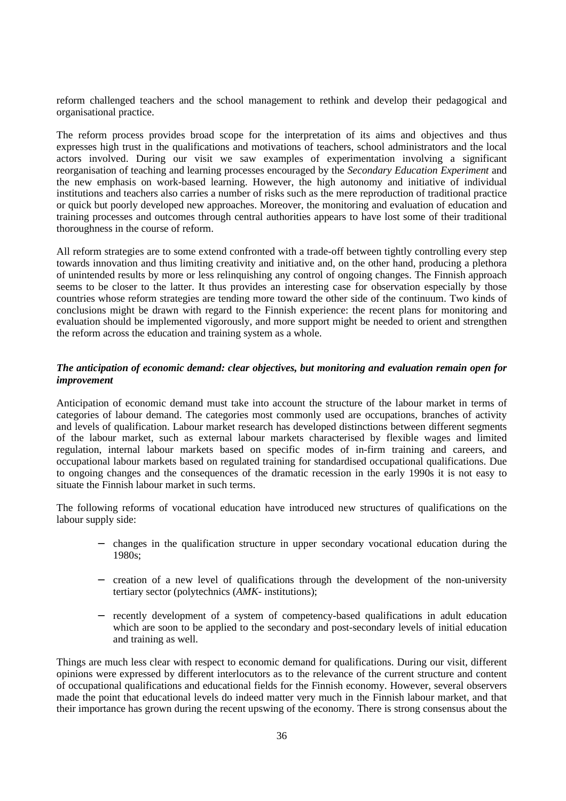reform challenged teachers and the school management to rethink and develop their pedagogical and organisational practice.

The reform process provides broad scope for the interpretation of its aims and objectives and thus expresses high trust in the qualifications and motivations of teachers, school administrators and the local actors involved. During our visit we saw examples of experimentation involving a significant reorganisation of teaching and learning processes encouraged by the *Secondary Education Experiment* and the new emphasis on work-based learning. However, the high autonomy and initiative of individual institutions and teachers also carries a number of risks such as the mere reproduction of traditional practice or quick but poorly developed new approaches. Moreover, the monitoring and evaluation of education and training processes and outcomes through central authorities appears to have lost some of their traditional thoroughness in the course of reform.

All reform strategies are to some extend confronted with a trade-off between tightly controlling every step towards innovation and thus limiting creativity and initiative and, on the other hand, producing a plethora of unintended results by more or less relinquishing any control of ongoing changes. The Finnish approach seems to be closer to the latter. It thus provides an interesting case for observation especially by those countries whose reform strategies are tending more toward the other side of the continuum. Two kinds of conclusions might be drawn with regard to the Finnish experience: the recent plans for monitoring and evaluation should be implemented vigorously, and more support might be needed to orient and strengthen the reform across the education and training system as a whole.

# *The anticipation of economic demand: clear objectives, but monitoring and evaluation remain open for improvement*

Anticipation of economic demand must take into account the structure of the labour market in terms of categories of labour demand. The categories most commonly used are occupations, branches of activity and levels of qualification. Labour market research has developed distinctions between different segments of the labour market, such as external labour markets characterised by flexible wages and limited regulation, internal labour markets based on specific modes of in-firm training and careers, and occupational labour markets based on regulated training for standardised occupational qualifications. Due to ongoing changes and the consequences of the dramatic recession in the early 1990s it is not easy to situate the Finnish labour market in such terms.

The following reforms of vocational education have introduced new structures of qualifications on the labour supply side:

- − changes in the qualification structure in upper secondary vocational education during the 1980s;
- − creation of a new level of qualifications through the development of the non-university tertiary sector (polytechnics (*AMK-* institutions);
- − recently development of a system of competency-based qualifications in adult education which are soon to be applied to the secondary and post-secondary levels of initial education and training as well.

Things are much less clear with respect to economic demand for qualifications. During our visit, different opinions were expressed by different interlocutors as to the relevance of the current structure and content of occupational qualifications and educational fields for the Finnish economy. However, several observers made the point that educational levels do indeed matter very much in the Finnish labour market, and that their importance has grown during the recent upswing of the economy. There is strong consensus about the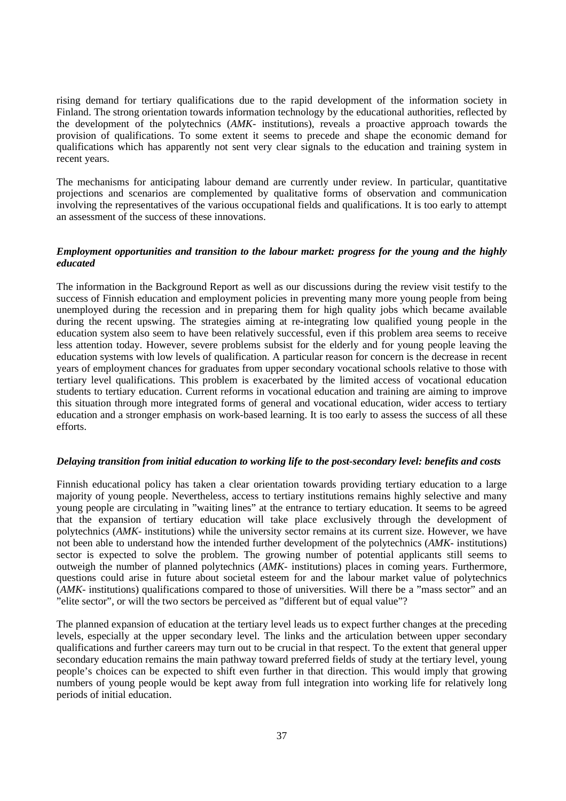rising demand for tertiary qualifications due to the rapid development of the information society in Finland. The strong orientation towards information technology by the educational authorities, reflected by the development of the polytechnics (*AMK-* institutions), reveals a proactive approach towards the provision of qualifications. To some extent it seems to precede and shape the economic demand for qualifications which has apparently not sent very clear signals to the education and training system in recent years.

The mechanisms for anticipating labour demand are currently under review. In particular, quantitative projections and scenarios are complemented by qualitative forms of observation and communication involving the representatives of the various occupational fields and qualifications. It is too early to attempt an assessment of the success of these innovations.

## *Employment opportunities and transition to the labour market: progress for the young and the highly educated*

The information in the Background Report as well as our discussions during the review visit testify to the success of Finnish education and employment policies in preventing many more young people from being unemployed during the recession and in preparing them for high quality jobs which became available during the recent upswing. The strategies aiming at re-integrating low qualified young people in the education system also seem to have been relatively successful, even if this problem area seems to receive less attention today. However, severe problems subsist for the elderly and for young people leaving the education systems with low levels of qualification. A particular reason for concern is the decrease in recent years of employment chances for graduates from upper secondary vocational schools relative to those with tertiary level qualifications. This problem is exacerbated by the limited access of vocational education students to tertiary education. Current reforms in vocational education and training are aiming to improve this situation through more integrated forms of general and vocational education, wider access to tertiary education and a stronger emphasis on work-based learning. It is too early to assess the success of all these efforts.

#### *Delaying transition from initial education to working life to the post-secondary level: benefits and costs*

Finnish educational policy has taken a clear orientation towards providing tertiary education to a large majority of young people. Nevertheless, access to tertiary institutions remains highly selective and many young people are circulating in "waiting lines" at the entrance to tertiary education. It seems to be agreed that the expansion of tertiary education will take place exclusively through the development of polytechnics (*AMK-* institutions) while the university sector remains at its current size. However, we have not been able to understand how the intended further development of the polytechnics (*AMK-* institutions) sector is expected to solve the problem. The growing number of potential applicants still seems to outweigh the number of planned polytechnics (*AMK-* institutions) places in coming years. Furthermore, questions could arise in future about societal esteem for and the labour market value of polytechnics (*AMK-* institutions) qualifications compared to those of universities. Will there be a "mass sector" and an "elite sector", or will the two sectors be perceived as "different but of equal value"?

The planned expansion of education at the tertiary level leads us to expect further changes at the preceding levels, especially at the upper secondary level. The links and the articulation between upper secondary qualifications and further careers may turn out to be crucial in that respect. To the extent that general upper secondary education remains the main pathway toward preferred fields of study at the tertiary level, young people's choices can be expected to shift even further in that direction. This would imply that growing numbers of young people would be kept away from full integration into working life for relatively long periods of initial education.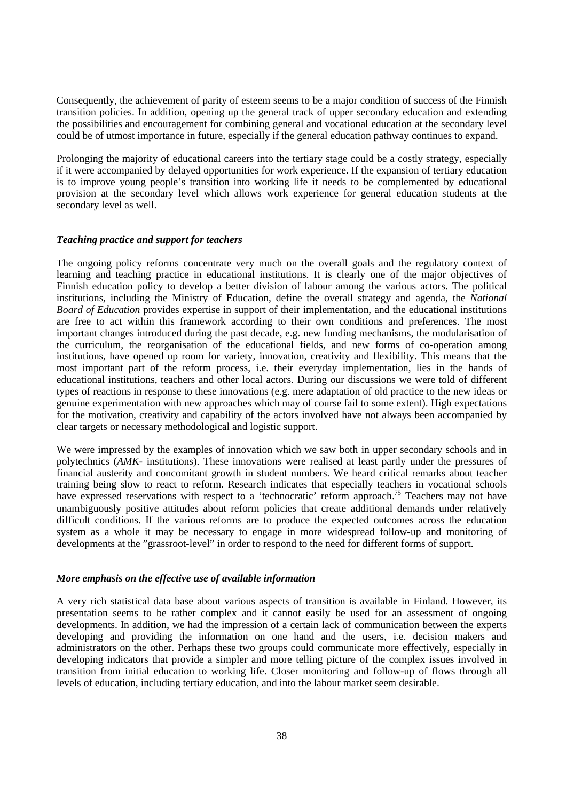Consequently, the achievement of parity of esteem seems to be a major condition of success of the Finnish transition policies. In addition, opening up the general track of upper secondary education and extending the possibilities and encouragement for combining general and vocational education at the secondary level could be of utmost importance in future, especially if the general education pathway continues to expand.

Prolonging the majority of educational careers into the tertiary stage could be a costly strategy, especially if it were accompanied by delayed opportunities for work experience. If the expansion of tertiary education is to improve young people's transition into working life it needs to be complemented by educational provision at the secondary level which allows work experience for general education students at the secondary level as well.

#### *Teaching practice and support for teachers*

The ongoing policy reforms concentrate very much on the overall goals and the regulatory context of learning and teaching practice in educational institutions. It is clearly one of the major objectives of Finnish education policy to develop a better division of labour among the various actors. The political institutions, including the Ministry of Education, define the overall strategy and agenda, the *National Board of Education* provides expertise in support of their implementation, and the educational institutions are free to act within this framework according to their own conditions and preferences. The most important changes introduced during the past decade, e.g. new funding mechanisms, the modularisation of the curriculum, the reorganisation of the educational fields, and new forms of co-operation among institutions, have opened up room for variety, innovation, creativity and flexibility. This means that the most important part of the reform process, i.e. their everyday implementation, lies in the hands of educational institutions, teachers and other local actors. During our discussions we were told of different types of reactions in response to these innovations (e.g. mere adaptation of old practice to the new ideas or genuine experimentation with new approaches which may of course fail to some extent). High expectations for the motivation, creativity and capability of the actors involved have not always been accompanied by clear targets or necessary methodological and logistic support.

We were impressed by the examples of innovation which we saw both in upper secondary schools and in polytechnics (*AMK-* institutions). These innovations were realised at least partly under the pressures of financial austerity and concomitant growth in student numbers. We heard critical remarks about teacher training being slow to react to reform. Research indicates that especially teachers in vocational schools have expressed reservations with respect to a 'technocratic' reform approach.<sup>75</sup> Teachers may not have unambiguously positive attitudes about reform policies that create additional demands under relatively difficult conditions. If the various reforms are to produce the expected outcomes across the education system as a whole it may be necessary to engage in more widespread follow-up and monitoring of developments at the "grassroot-level" in order to respond to the need for different forms of support.

#### *More emphasis on the effective use of available information*

A very rich statistical data base about various aspects of transition is available in Finland. However, its presentation seems to be rather complex and it cannot easily be used for an assessment of ongoing developments. In addition, we had the impression of a certain lack of communication between the experts developing and providing the information on one hand and the users, i.e. decision makers and administrators on the other. Perhaps these two groups could communicate more effectively, especially in developing indicators that provide a simpler and more telling picture of the complex issues involved in transition from initial education to working life. Closer monitoring and follow-up of flows through all levels of education, including tertiary education, and into the labour market seem desirable.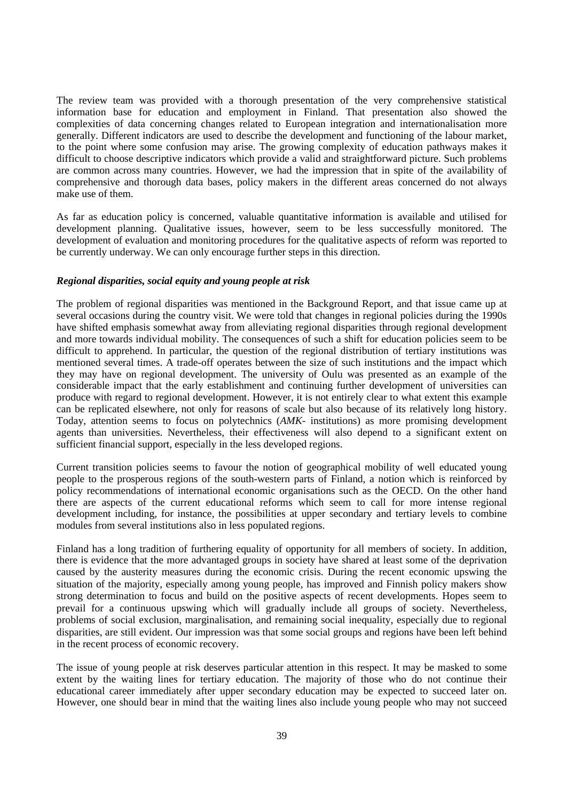The review team was provided with a thorough presentation of the very comprehensive statistical information base for education and employment in Finland. That presentation also showed the complexities of data concerning changes related to European integration and internationalisation more generally. Different indicators are used to describe the development and functioning of the labour market, to the point where some confusion may arise. The growing complexity of education pathways makes it difficult to choose descriptive indicators which provide a valid and straightforward picture. Such problems are common across many countries. However, we had the impression that in spite of the availability of comprehensive and thorough data bases, policy makers in the different areas concerned do not always make use of them.

As far as education policy is concerned, valuable quantitative information is available and utilised for development planning. Qualitative issues, however, seem to be less successfully monitored. The development of evaluation and monitoring procedures for the qualitative aspects of reform was reported to be currently underway. We can only encourage further steps in this direction.

#### *Regional disparities, social equity and young people at risk*

The problem of regional disparities was mentioned in the Background Report, and that issue came up at several occasions during the country visit. We were told that changes in regional policies during the 1990s have shifted emphasis somewhat away from alleviating regional disparities through regional development and more towards individual mobility. The consequences of such a shift for education policies seem to be difficult to apprehend. In particular, the question of the regional distribution of tertiary institutions was mentioned several times. A trade-off operates between the size of such institutions and the impact which they may have on regional development. The university of Oulu was presented as an example of the considerable impact that the early establishment and continuing further development of universities can produce with regard to regional development. However, it is not entirely clear to what extent this example can be replicated elsewhere, not only for reasons of scale but also because of its relatively long history. Today, attention seems to focus on polytechnics (*AMK-* institutions) as more promising development agents than universities. Nevertheless, their effectiveness will also depend to a significant extent on sufficient financial support, especially in the less developed regions.

Current transition policies seems to favour the notion of geographical mobility of well educated young people to the prosperous regions of the south-western parts of Finland, a notion which is reinforced by policy recommendations of international economic organisations such as the OECD. On the other hand there are aspects of the current educational reforms which seem to call for more intense regional development including, for instance, the possibilities at upper secondary and tertiary levels to combine modules from several institutions also in less populated regions.

Finland has a long tradition of furthering equality of opportunity for all members of society. In addition, there is evidence that the more advantaged groups in society have shared at least some of the deprivation caused by the austerity measures during the economic crisis. During the recent economic upswing the situation of the majority, especially among young people, has improved and Finnish policy makers show strong determination to focus and build on the positive aspects of recent developments. Hopes seem to prevail for a continuous upswing which will gradually include all groups of society. Nevertheless, problems of social exclusion, marginalisation, and remaining social inequality, especially due to regional disparities, are still evident. Our impression was that some social groups and regions have been left behind in the recent process of economic recovery.

The issue of young people at risk deserves particular attention in this respect. It may be masked to some extent by the waiting lines for tertiary education. The majority of those who do not continue their educational career immediately after upper secondary education may be expected to succeed later on. However, one should bear in mind that the waiting lines also include young people who may not succeed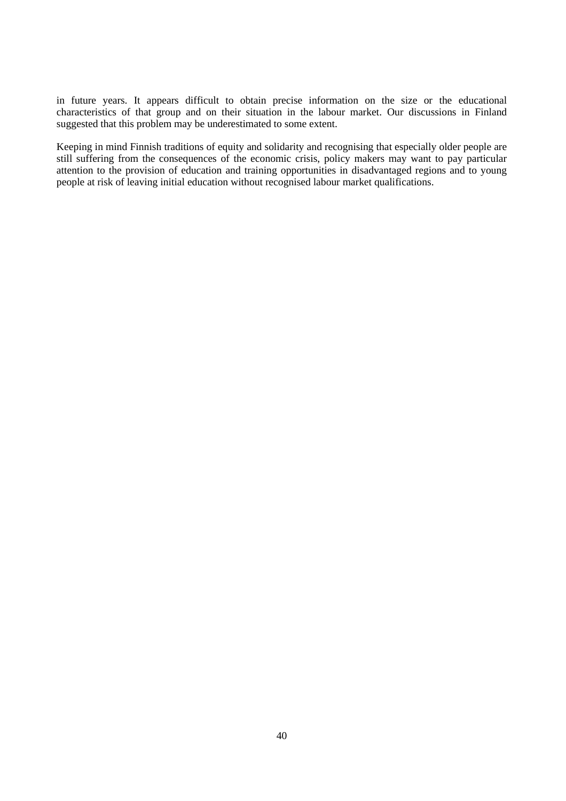in future years. It appears difficult to obtain precise information on the size or the educational characteristics of that group and on their situation in the labour market. Our discussions in Finland suggested that this problem may be underestimated to some extent.

Keeping in mind Finnish traditions of equity and solidarity and recognising that especially older people are still suffering from the consequences of the economic crisis, policy makers may want to pay particular attention to the provision of education and training opportunities in disadvantaged regions and to young people at risk of leaving initial education without recognised labour market qualifications.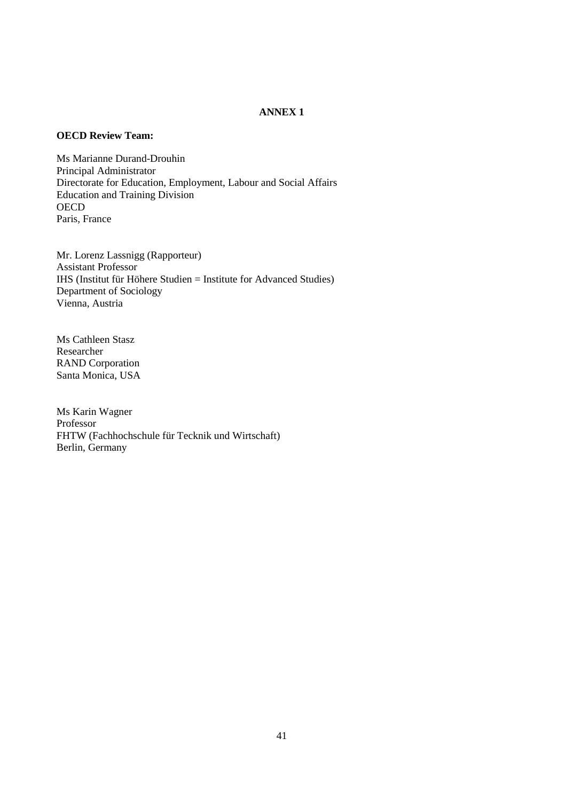# **ANNEX 1**

# **OECD Review Team:**

Ms Marianne Durand-Drouhin Principal Administrator Directorate for Education, Employment, Labour and Social Affairs Education and Training Division **OECD** Paris, France

Mr. Lorenz Lassnigg (Rapporteur) Assistant Professor IHS (Institut für Höhere Studien = Institute for Advanced Studies) Department of Sociology Vienna, Austria

Ms Cathleen Stasz Researcher RAND Corporation Santa Monica, USA

Ms Karin Wagner Professor FHTW (Fachhochschule für Tecknik und Wirtschaft) Berlin, Germany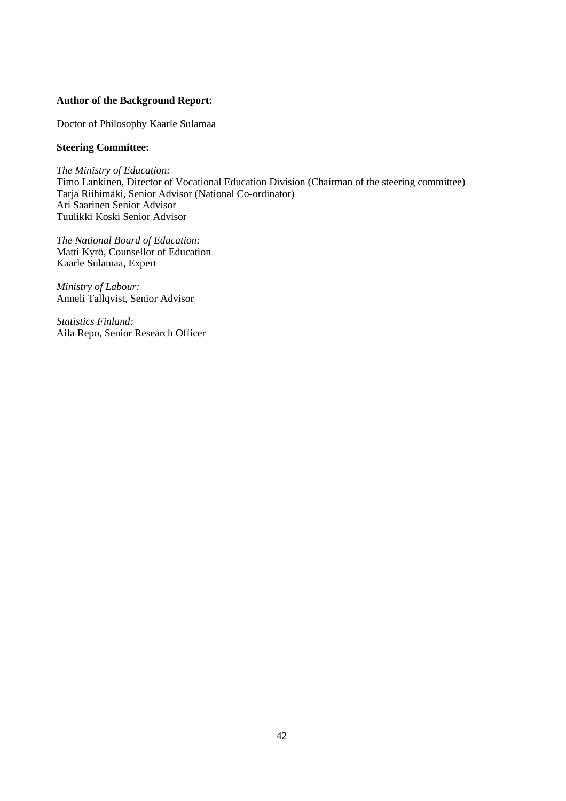# **Author of the Background Report:**

Doctor of Philosophy Kaarle Sulamaa

## **Steering Committee:**

*The Ministry of Education:* Timo Lankinen, Director of Vocational Education Division (Chairman of the steering committee) Tarja Riihimäki, Senior Advisor (National Co-ordinator) Ari Saarinen Senior Advisor Tuulikki Koski Senior Advisor

*The National Board of Education:* Matti Kyrö, Counsellor of Education Kaarle Sulamaa, Expert

*Ministry of Labour:* Anneli Tallqvist, Senior Advisor

*Statistics Finland:* Aila Repo, Senior Research Officer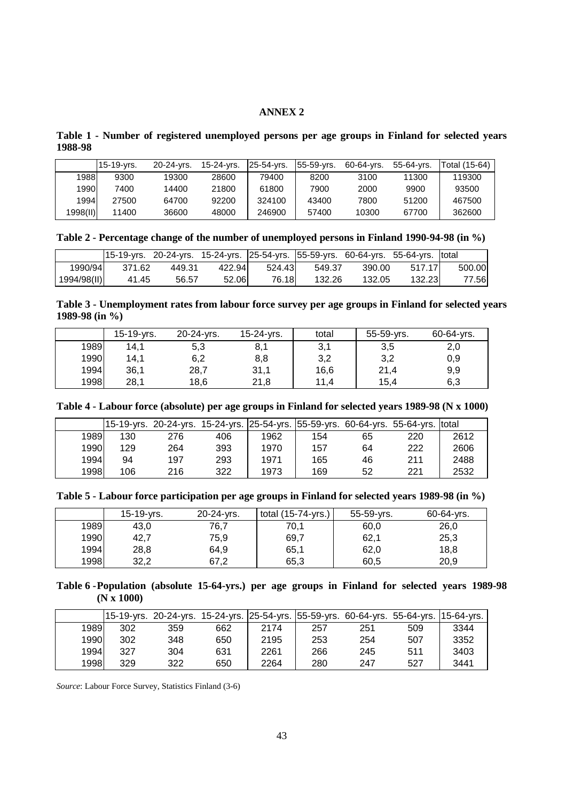# **ANNEX 2**

| Table 1 - Number of registered unemployed persons per age groups in Finland for selected years |  |  |  |  |  |
|------------------------------------------------------------------------------------------------|--|--|--|--|--|
| 1988-98                                                                                        |  |  |  |  |  |

|          | $15-19-vrs.$ | 20-24-yrs. | 15-24-vrs. | 25-54-yrs. | 55-59-yrs. | 60-64-yrs. | 55-64-vrs. | Total (15-64) |
|----------|--------------|------------|------------|------------|------------|------------|------------|---------------|
| 1988     | 9300         | 19300      | 28600      | 79400      | 8200       | 3100       | 11300      | 119300        |
| 1990     | 7400         | 14400      | 21800      | 61800      | 7900       | 2000       | 9900       | 93500         |
| 1994     | 27500        | 64700      | 92200      | 324100     | 43400      | 7800       | 51200      | 467500        |
| 1998(11) | 11400        | 36600      | 48000      | 246900     | 57400      | 10300      | 67700      | 362600        |

**Table 2 - Percentage change of the number of unemployed persons in Finland 1990-94-98 (in %)**

|             |        | 15-19-yrs. 20-24-yrs. 15-24-yrs. 25-54-yrs. 55-59-yrs. 60-64-yrs. 55-64-yrs. total |        |        |        |        |        |        |
|-------------|--------|------------------------------------------------------------------------------------|--------|--------|--------|--------|--------|--------|
| 1990/94     | 371.62 | 449.31                                                                             | 422.94 | 524.43 | 549.37 | 390.00 | 517.17 | 500.00 |
| 1994/98(II) | 41.45  | 56.57                                                                              | 52.06  | 76.18L | 132.26 | 132.05 | 132.23 | 77.56  |

**Table 3 - Unemployment rates from labour force survey per age groups in Finland for selected years 1989-98 (in %)**

|      | 15-19-yrs. | 20-24-yrs. | 15-24-yrs. | total | 55-59-yrs. | 60-64-yrs. |
|------|------------|------------|------------|-------|------------|------------|
| 1989 | 14,1       | 5,3        | 8,1        | 3,1   | 3,5        | 2,0        |
| 1990 | 14,1       | 6,2        | 8,8        | 3,2   | 3,2        | 0,9        |
| 1994 | 36,1       | 28,7       | 31,1       | 16,6  | 21,4       | 9,9        |
| 1998 | 28,1       | 18,6       | 21,8       | 11.4  | 15,4       | 6,3        |

**Table 4 - Labour force (absolute) per age groups in Finland for selected years 1989-98 (N x 1000)**

|      |     |     | 15-19-yrs. 20-24-yrs. 15-24-yrs.  25-54-yrs.  55-59-yrs. 60-64-yrs. 55-64-yrs.  total |      |     |    |     |      |
|------|-----|-----|---------------------------------------------------------------------------------------|------|-----|----|-----|------|
| 1989 | 130 | 276 | 406                                                                                   | 1962 | 154 | 65 | 220 | 2612 |
| 1990 | 129 | 264 | 393                                                                                   | 1970 | 157 | 64 | 222 | 2606 |
| 1994 | 94  | 197 | 293                                                                                   | 1971 | 165 | 46 | 211 | 2488 |
| 1998 | 106 | 216 | 322                                                                                   | 1973 | 169 | 52 | 221 | 2532 |

|      | 15-19-yrs. | 20-24-yrs. | total $(15-74-yrs.)$ | 55-59-yrs. | 60-64-yrs. |
|------|------------|------------|----------------------|------------|------------|
| 1989 | 43,0       | 76,7       | 70.1                 | 60,0       | 26,0       |
| 1990 | 42,7       | 75,9       | 69,7                 | 62,1       | 25,3       |
| 1994 | 28,8       | 64,9       | 65,1                 | 62,0       | 18,8       |
| 1998 | 32,2       | 67,2       | 65,3                 | 60,5       | 20,9       |

**Table 6 -Population (absolute 15-64-yrs.) per age groups in Finland for selected years 1989-98 (N x 1000)**

|      |     |     |     |      |     |     | 15-19-yrs. 20-24-yrs. 15-24-yrs.  25-54-yrs.  55-59-yrs. 60-64-yrs. 55-64-yrs.  15-64-yrs. |      |
|------|-----|-----|-----|------|-----|-----|--------------------------------------------------------------------------------------------|------|
| 1989 | 302 | 359 | 662 | 2174 | 257 | 251 | 509                                                                                        | 3344 |
| 1990 | 302 | 348 | 650 | 2195 | 253 | 254 | 507                                                                                        | 3352 |
| 1994 | 327 | 304 | 631 | 2261 | 266 | 245 | 511                                                                                        | 3403 |
| 1998 | 329 | 322 | 650 | 2264 | 280 | 247 | 527                                                                                        | 3441 |

*Source*: Labour Force Survey, Statistics Finland (3-6)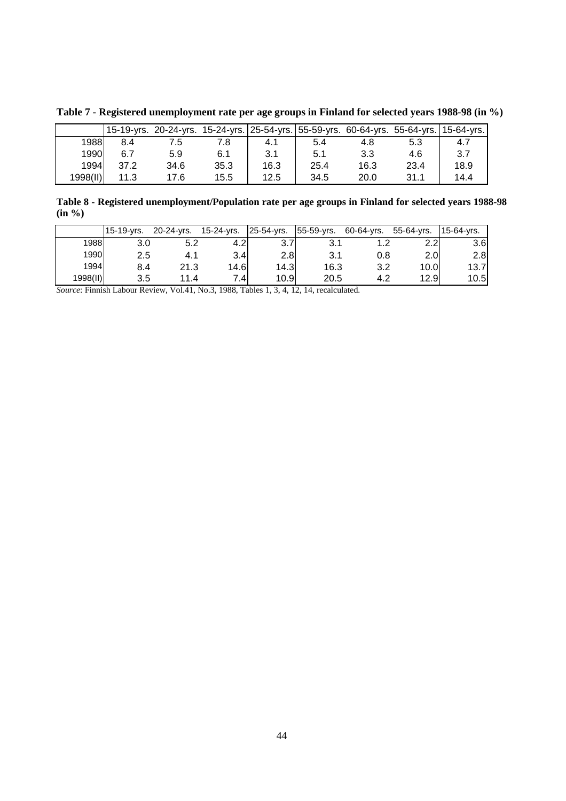|          | 15-19-yrs. | 20-24-yrs. |      |      |      |      | 15-24-yrs. 25-54-yrs. 55-59-yrs. 60-64-yrs. 55-64-yrs. | 15-64-yrs. |
|----------|------------|------------|------|------|------|------|--------------------------------------------------------|------------|
| 1988     | 8.4        |            |      | 4.1  | 5.4  | 4.8  | 5.3                                                    | 4.7        |
| 1990     | 6.7        | 5.9        | 6.1  | 3.1  | 5.1  | 3.3  | 4.6                                                    | 3.7        |
| 1994     | 37.2       | 34.6       | 35.3 | 16.3 | 25.4 | 16.3 | 23.4                                                   | 18.9       |
| 1998(II) | 11.3       | 17.6       | 15.5 | 12.5 | 34.5 | 20.0 | 31.1                                                   | 14.4       |

**Table 7 - Registered unemployment rate per age groups in Finland for selected years 1988-98 (in %)**

**Table 8 - Registered unemployment/Population rate per age groups in Finland for selected years 1988-98 (in %)**

|          | 15-19-yrs. | 20-24-yrs.  | 15-24-yrs.       | 25-54-yrs. | 55-59-yrs. | 60-64-yrs. | 55-64-vrs.       | 15-64-vrs. |
|----------|------------|-------------|------------------|------------|------------|------------|------------------|------------|
| 1988     | 3.0        | 5.2         | $4.2^{\circ}$    | 3.7        | 3.1        |            | 2.2 <sub>l</sub> | 3.6        |
| 1990     | 2.5        |             | 3.4 <sub>l</sub> | 2.8        | 3.1        | 0.8        | 2.0 <sub>l</sub> | 2.8        |
| 1994     | 8.4        | 21.3        | 14.6             | 14.3       | 16.3       | 3.2        | 10.0             | 13.7       |
| 1998(II) | 3.5        | 11 <i>Δ</i> | 7.4I             | 10.9       | 20.5       | 4.2        | 12.9             | 10.5       |

*Source*: Finnish Labour Review, Vol.41, No.3, 1988, Tables 1, 3, 4, 12, 14, recalculated.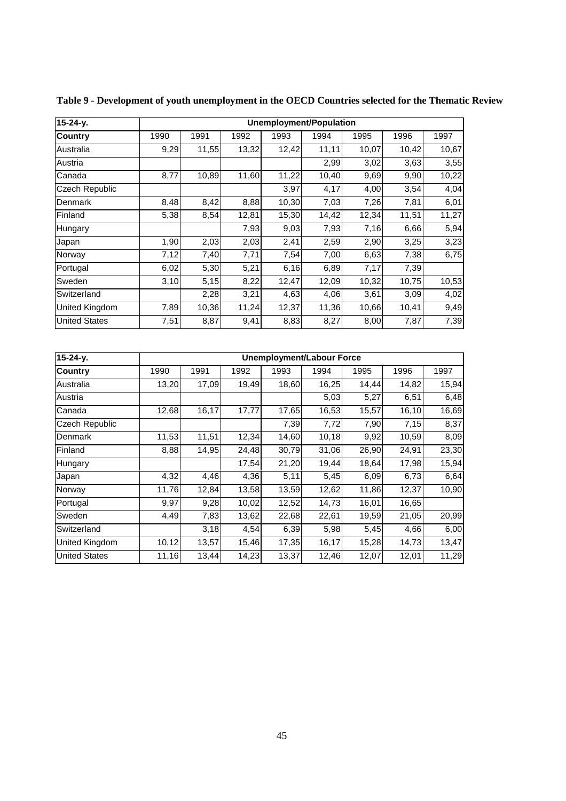| 15-24-y.              |      |       |       |       | <b>Unemployment/Population</b> |       |       |       |
|-----------------------|------|-------|-------|-------|--------------------------------|-------|-------|-------|
| Country               | 1990 | 1991  | 1992  | 1993  | 1994                           | 1995  | 1996  | 1997  |
| Australia             | 9,29 | 11,55 | 13,32 | 12,42 | 11,11                          | 10,07 | 10,42 | 10,67 |
| Austria               |      |       |       |       | 2,99                           | 3,02  | 3,63  | 3,55  |
| Canada                | 8,77 | 10,89 | 11,60 | 11,22 | 10,40                          | 9,69  | 9,90  | 10,22 |
| <b>Czech Republic</b> |      |       |       | 3,97  | 4,17                           | 4,00  | 3,54  | 4,04  |
| Denmark               | 8,48 | 8,42  | 8,88  | 10,30 | 7,03                           | 7,26  | 7,81  | 6,01  |
| Finland               | 5,38 | 8,54  | 12,81 | 15,30 | 14,42                          | 12,34 | 11,51 | 11,27 |
| Hungary               |      |       | 7,93  | 9,03  | 7,93                           | 7,16  | 6,66  | 5,94  |
| Japan                 | 1,90 | 2,03  | 2,03  | 2,41  | 2,59                           | 2,90  | 3,25  | 3,23  |
| Norway                | 7,12 | 7,40  | 7,71  | 7,54  | 7,00                           | 6,63  | 7,38  | 6,75  |
| Portugal              | 6,02 | 5,30  | 5,21  | 6,16  | 6,89                           | 7,17  | 7,39  |       |
| Sweden                | 3,10 | 5,15  | 8,22  | 12,47 | 12,09                          | 10,32 | 10,75 | 10,53 |
| Switzerland           |      | 2,28  | 3,21  | 4,63  | 4,06                           | 3,61  | 3,09  | 4,02  |
| <b>United Kingdom</b> | 7,89 | 10,36 | 11,24 | 12,37 | 11,36                          | 10,66 | 10,41 | 9,49  |
| <b>United States</b>  | 7,51 | 8,87  | 9,41  | 8,83  | 8,27                           | 8,00  | 7,87  | 7,39  |

**Table 9 - Development of youth unemployment in the OECD Countries selected for the Thematic Review**

| $15 - 24 - y$ .      | Unemployment/Labour Force |       |       |       |        |       |       |       |
|----------------------|---------------------------|-------|-------|-------|--------|-------|-------|-------|
| <b>Country</b>       | 1990                      | 1991  | 1992  | 1993  | 1994   | 1995  | 1996  | 1997  |
| Australia            | 13,20                     | 17,09 | 19,49 | 18,60 | 16,25  | 14,44 | 14,82 | 15,94 |
| Austria              |                           |       |       |       | 5,03   | 5,27  | 6,51  | 6,48  |
| Canada               | 12,68                     | 16,17 | 17,77 | 17,65 | 16,53  | 15,57 | 16,10 | 16,69 |
| Czech Republic       |                           |       |       | 7,39  | 7,72   | 7,90  | 7,15  | 8,37  |
| Denmark              | 11,53                     | 11,51 | 12,34 | 14,60 | 10, 18 | 9,92  | 10,59 | 8,09  |
| Finland              | 8,88                      | 14,95 | 24,48 | 30,79 | 31,06  | 26,90 | 24,91 | 23,30 |
| Hungary              |                           |       | 17,54 | 21,20 | 19,44  | 18,64 | 17,98 | 15,94 |
| Japan                | 4,32                      | 4,46  | 4,36  | 5,11  | 5,45   | 6,09  | 6,73  | 6,64  |
| Norway               | 11,76                     | 12,84 | 13,58 | 13,59 | 12,62  | 11,86 | 12,37 | 10,90 |
| Portugal             | 9,97                      | 9,28  | 10,02 | 12,52 | 14,73  | 16,01 | 16,65 |       |
| Sweden               | 4,49                      | 7,83  | 13,62 | 22,68 | 22,61  | 19,59 | 21,05 | 20,99 |
| Switzerland          |                           | 3,18  | 4,54  | 6,39  | 5,98   | 5,45  | 4,66  | 6,00  |
| United Kingdom       | 10,12                     | 13,57 | 15,46 | 17,35 | 16,17  | 15,28 | 14,73 | 13,47 |
| <b>United States</b> | 11,16                     | 13,44 | 14,23 | 13,37 | 12,46  | 12,07 | 12,01 | 11,29 |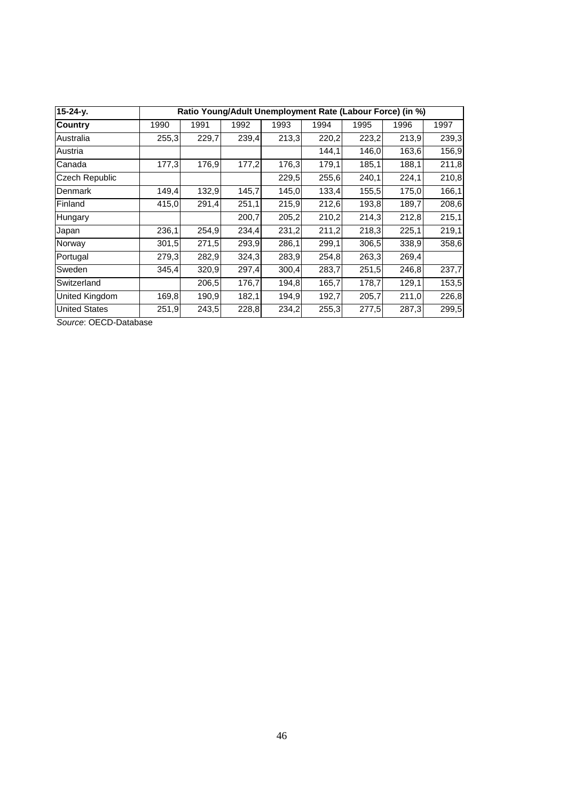| $15 - 24 - y$ .       | Ratio Young/Adult Unemployment Rate (Labour Force) (in %) |       |       |       |       |       |       |       |
|-----------------------|-----------------------------------------------------------|-------|-------|-------|-------|-------|-------|-------|
| <b>Country</b>        | 1990                                                      | 1991  | 1992  | 1993  | 1994  | 1995  | 1996  | 1997  |
| Australia             | 255,3                                                     | 229,7 | 239,4 | 213,3 | 220,2 | 223,2 | 213,9 | 239,3 |
| Austria               |                                                           |       |       |       | 144,1 | 146,0 | 163,6 | 156,9 |
| Canada                | 177,3                                                     | 176,9 | 177,2 | 176,3 | 179,1 | 185,1 | 188,1 | 211,8 |
| <b>Czech Republic</b> |                                                           |       |       | 229,5 | 255,6 | 240,1 | 224,1 | 210,8 |
| Denmark               | 149,4                                                     | 132,9 | 145,7 | 145,0 | 133,4 | 155,5 | 175,0 | 166,1 |
| Finland               | 415,0                                                     | 291,4 | 251,1 | 215,9 | 212,6 | 193,8 | 189,7 | 208,6 |
| Hungary               |                                                           |       | 200,7 | 205,2 | 210,2 | 214,3 | 212,8 | 215,1 |
| Japan                 | 236,1                                                     | 254,9 | 234,4 | 231,2 | 211,2 | 218,3 | 225,1 | 219,1 |
| Norway                | 301,5                                                     | 271,5 | 293,9 | 286,1 | 299.1 | 306,5 | 338,9 | 358,6 |
| Portugal              | 279,3                                                     | 282,9 | 324,3 | 283,9 | 254,8 | 263,3 | 269,4 |       |
| Sweden                | 345,4                                                     | 320,9 | 297,4 | 300,4 | 283,7 | 251,5 | 246,8 | 237,7 |
| Switzerland           |                                                           | 206,5 | 176,7 | 194,8 | 165,7 | 178,7 | 129,1 | 153,5 |
| <b>United Kingdom</b> | 169,8                                                     | 190,9 | 182,1 | 194,9 | 192,7 | 205,7 | 211,0 | 226,8 |
| <b>United States</b>  | 251,9                                                     | 243,5 | 228,8 | 234,2 | 255,3 | 277,5 | 287,3 | 299,5 |

Source: OECD-Database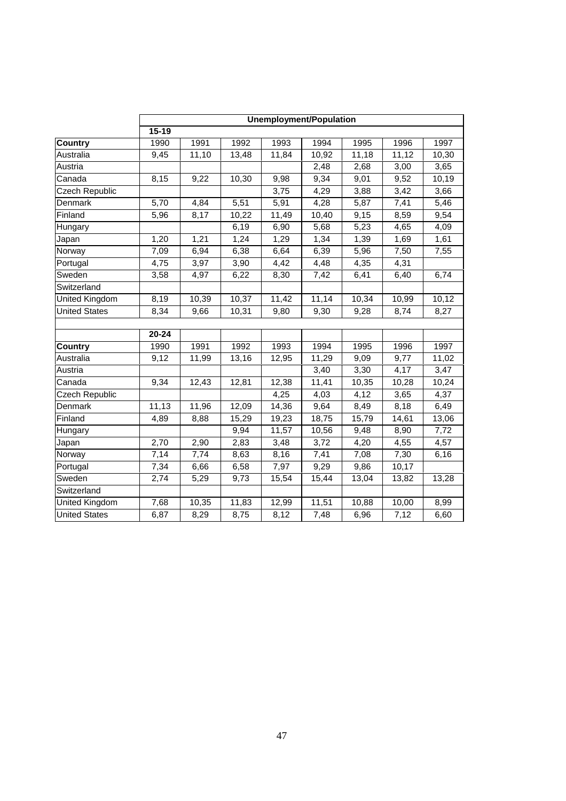|                       | <b>Unemployment/Population</b> |       |       |                    |       |       |                    |       |
|-----------------------|--------------------------------|-------|-------|--------------------|-------|-------|--------------------|-------|
|                       | $15 - 19$                      |       |       |                    |       |       |                    |       |
| <b>Country</b>        | 1990                           | 1991  | 1992  | 1993               | 1994  | 1995  | 1996               | 1997  |
| Australia             | 9,45                           | 11,10 | 13,48 | $\overline{11,84}$ | 10,92 | 11,18 | $\overline{11,12}$ | 10,30 |
| Austria               |                                |       |       |                    | 2,48  | 2,68  | 3,00               | 3,65  |
| Canada                | 8,15                           | 9,22  | 10,30 | 9,98               | 9,34  | 9,01  | 9,52               | 10,19 |
| Czech Republic        |                                |       |       | 3,75               | 4,29  | 3,88  | 3,42               | 3,66  |
| Denmark               | 5,70                           | 4,84  | 5,51  | 5,91               | 4,28  | 5,87  | 7,41               | 5,46  |
| Finland               | 5,96                           | 8,17  | 10,22 | 11,49              | 10,40 | 9,15  | 8,59               | 9,54  |
| Hungary               |                                |       | 6,19  | 6,90               | 5,68  | 5,23  | 4,65               | 4,09  |
| Japan                 | 1,20                           | 1,21  | 1,24  | 1,29               | 1,34  | 1,39  | 1,69               | 1,61  |
| Norway                | 7,09                           | 6,94  | 6,38  | 6,64               | 6,39  | 5,96  | 7,50               | 7,55  |
| Portugal              | 4,75                           | 3,97  | 3,90  | 4,42               | 4,48  | 4,35  | 4,31               |       |
| Sweden                | 3,58                           | 4,97  | 6,22  | 8,30               | 7,42  | 6,41  | 6,40               | 6,74  |
| Switzerland           |                                |       |       |                    |       |       |                    |       |
| United Kingdom        | 8,19                           | 10,39 | 10,37 | 11,42              | 11,14 | 10,34 | 10,99              | 10,12 |
| <b>United States</b>  | 8,34                           | 9,66  | 10,31 | 9,80               | 9,30  | 9,28  | 8,74               | 8,27  |
|                       |                                |       |       |                    |       |       |                    |       |
|                       | $20 - 24$                      |       |       |                    |       |       |                    |       |
| <b>Country</b>        | 1990                           | 1991  | 1992  | 1993               | 1994  | 1995  | 1996               | 1997  |
| Australia             | 9,12                           | 11,99 | 13,16 | 12,95              | 11,29 | 9,09  | 9,77               | 11,02 |
| Austria               |                                |       |       |                    | 3,40  | 3,30  | 4,17               | 3,47  |
| Canada                | 9,34                           | 12,43 | 12,81 | 12,38              | 11,41 | 10,35 | $\overline{10,28}$ | 10,24 |
| <b>Czech Republic</b> |                                |       |       | 4,25               | 4,03  | 4,12  | 3,65               | 4,37  |
| Denmark               | 11,13                          | 11,96 | 12,09 | 14,36              | 9,64  | 8,49  | 8,18               | 6,49  |
| Finland               | 4,89                           | 8,88  | 15,29 | 19,23              | 18,75 | 15,79 | 14,61              | 13,06 |
| Hungary               |                                |       | 9,94  | 11,57              | 10,56 | 9,48  | 8,90               | 7,72  |
| Japan                 | 2,70                           | 2,90  | 2,83  | 3,48               | 3,72  | 4,20  | 4,55               | 4,57  |
| Norway                | 7,14                           | 7,74  | 8,63  | 8,16               | 7,41  | 7,08  | 7,30               | 6,16  |
| Portugal              | 7,34                           | 6,66  | 6,58  | 7,97               | 9,29  | 9,86  | 10,17              |       |
| Sweden                | 2,74                           | 5,29  | 9,73  | 15,54              | 15,44 | 13,04 | 13,82              | 13,28 |
| Switzerland           |                                |       |       |                    |       |       |                    |       |
| United Kingdom        | 7,68                           | 10,35 | 11,83 | 12,99              | 11,51 | 10,88 | 10,00              | 8,99  |
| <b>United States</b>  | 6,87                           | 8,29  | 8,75  | 8,12               | 7,48  | 6,96  | 7,12               | 6,60  |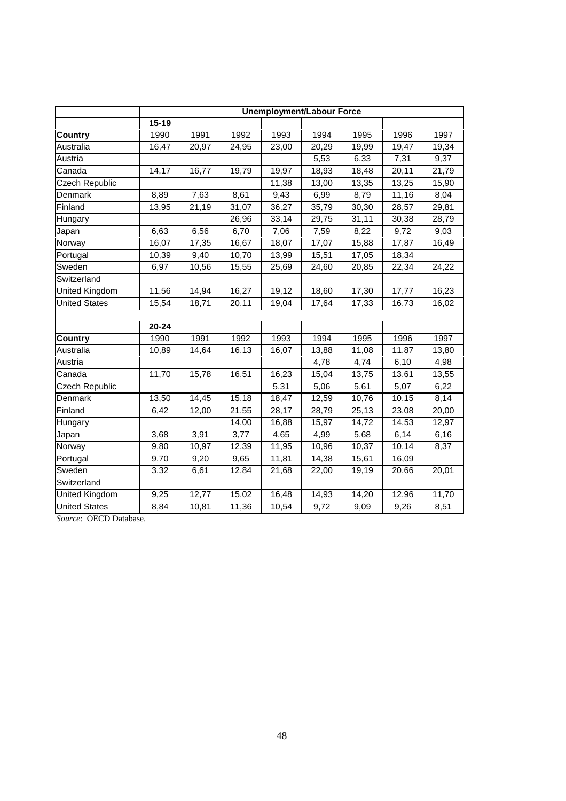|                       | <b>Unemployment/Labour Force</b> |       |       |       |       |       |       |       |
|-----------------------|----------------------------------|-------|-------|-------|-------|-------|-------|-------|
|                       | $15 - 19$                        |       |       |       |       |       |       |       |
| <b>Country</b>        | 1990                             | 1991  | 1992  | 1993  | 1994  | 1995  | 1996  | 1997  |
| Australia             | 16,47                            | 20,97 | 24,95 | 23,00 | 20,29 | 19,99 | 19,47 | 19,34 |
| Austria               |                                  |       |       |       | 5,53  | 6,33  | 7,31  | 9,37  |
| Canada                | 14,17                            | 16,77 | 19,79 | 19,97 | 18,93 | 18,48 | 20,11 | 21,79 |
| Czech Republic        |                                  |       |       | 11,38 | 13,00 | 13,35 | 13,25 | 15,90 |
| Denmark               | 8,89                             | 7,63  | 8,61  | 9,43  | 6,99  | 8,79  | 11,16 | 8,04  |
| Finland               | 13,95                            | 21,19 | 31,07 | 36,27 | 35,79 | 30,30 | 28,57 | 29,81 |
| Hungary               |                                  |       | 26,96 | 33,14 | 29,75 | 31,11 | 30,38 | 28,79 |
| Japan                 | 6,63                             | 6,56  | 6,70  | 7,06  | 7,59  | 8,22  | 9,72  | 9,03  |
| Norway                | 16,07                            | 17,35 | 16,67 | 18,07 | 17,07 | 15,88 | 17,87 | 16,49 |
| Portugal              | 10,39                            | 9,40  | 10,70 | 13,99 | 15,51 | 17,05 | 18,34 |       |
| Sweden                | 6,97                             | 10,56 | 15,55 | 25,69 | 24,60 | 20,85 | 22,34 | 24,22 |
| Switzerland           |                                  |       |       |       |       |       |       |       |
| United Kingdom        | 11,56                            | 14,94 | 16,27 | 19,12 | 18,60 | 17,30 | 17,77 | 16,23 |
| <b>United States</b>  | 15,54                            | 18,71 | 20,11 | 19,04 | 17,64 | 17,33 | 16,73 | 16,02 |
|                       |                                  |       |       |       |       |       |       |       |
|                       | $20 - 24$                        |       |       |       |       |       |       |       |
| <b>Country</b>        | 1990                             | 1991  | 1992  | 1993  | 1994  | 1995  | 1996  | 1997  |
| Australia             | 10,89                            | 14,64 | 16,13 | 16,07 | 13,88 | 11,08 | 11,87 | 13,80 |
| Austria               |                                  |       |       |       | 4,78  | 4,74  | 6,10  | 4,98  |
| Canada                | 11,70                            | 15,78 | 16,51 | 16,23 | 15,04 | 13,75 | 13,61 | 13,55 |
| <b>Czech Republic</b> |                                  |       |       | 5,31  | 5,06  | 5,61  | 5,07  | 6,22  |
| Denmark               | 13,50                            | 14,45 | 15,18 | 18,47 | 12,59 | 10,76 | 10,15 | 8,14  |
| Finland               | 6,42                             | 12,00 | 21,55 | 28,17 | 28,79 | 25,13 | 23,08 | 20,00 |
| Hungary               |                                  |       | 14,00 | 16,88 | 15,97 | 14,72 | 14,53 | 12,97 |
| Japan                 | 3,68                             | 3,91  | 3,77  | 4,65  | 4,99  | 5,68  | 6,14  | 6,16  |
| Norway                | 9,80                             | 10,97 | 12,39 | 11,95 | 10,96 | 10,37 | 10,14 | 8,37  |
| Portugal              | 9,70                             | 9,20  | 9,65  | 11,81 | 14,38 | 15,61 | 16,09 |       |
| Sweden                | 3,32                             | 6,61  | 12,84 | 21,68 | 22,00 | 19,19 | 20,66 | 20,01 |
| Switzerland           |                                  |       |       |       |       |       |       |       |
| <b>United Kingdom</b> | 9,25                             | 12,77 | 15,02 | 16,48 | 14,93 | 14,20 | 12,96 | 11,70 |
| <b>United States</b>  | 8,84                             | 10,81 | 11,36 | 10,54 | 9,72  | 9,09  | 9,26  | 8,51  |

*Source*: OECD Database.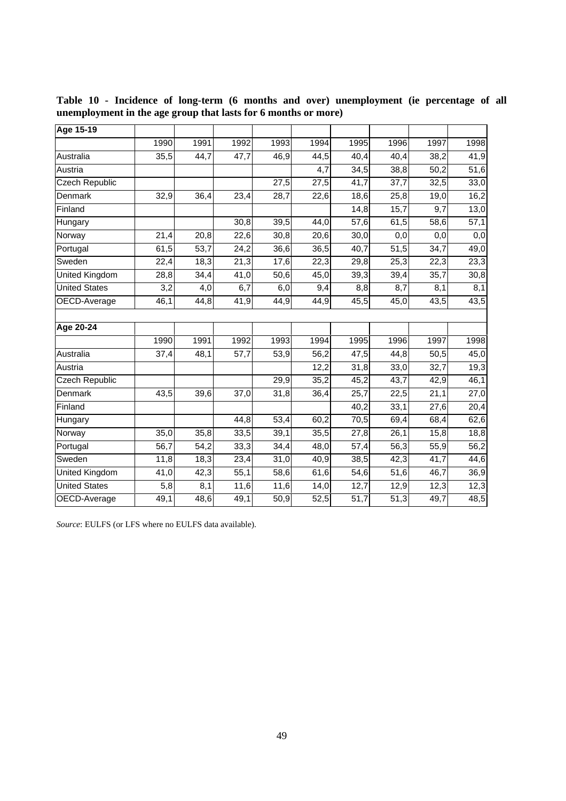| Age 15-19             |                     |                   |                   |                   |      |                   |                   |      |                  |
|-----------------------|---------------------|-------------------|-------------------|-------------------|------|-------------------|-------------------|------|------------------|
|                       | 1990                | 1991              | 1992              | 1993              | 1994 | 1995              | 1996              | 1997 | 1998             |
| Australia             | 35,5                | 44,7              | 47,7              | 46,9              | 44,5 | 40,4              | 40,4              | 38,2 | 41,9             |
| Austria               |                     |                   |                   |                   | 4,7  | 34,5              | 38,8              | 50,2 | 51,6             |
| <b>Czech Republic</b> |                     |                   |                   | 27,5              | 27,5 | 41,7              | 37,7              | 32,5 | 33,0             |
| Denmark               | 32,9                | 36,4              | 23,4              | 28,7              | 22,6 | 18,6              | 25,8              | 19,0 | 16,2             |
| Finland               |                     |                   |                   |                   |      | 14,8              | 15,7              | 9,7  | 13,0             |
| Hungary               |                     |                   | 30,8              | 39,5              | 44,0 | 57,6              | 61,5              | 58,6 | 57,1             |
| Norway                | 21,4                | 20,8              | 22,6              | 30,8              | 20,6 | 30,0              | 0,0               | 0,0  | $\overline{0,0}$ |
| Portugal              | 61,5                | $\overline{53,7}$ | 24,2              | 36,6              | 36,5 | 40,7              | 51,5              | 34,7 | 49,0             |
| Sweden                | 22,4                | 18,3              | $\overline{21,3}$ | 17,6              | 22,3 | 29,8              | 25,3              | 22,3 | 23,3             |
| <b>United Kingdom</b> | 28,8                | 34,4              | 41,0              | 50,6              | 45,0 | 39,3              | 39,4              | 35,7 | 30,8             |
| <b>United States</b>  | 3,2                 | 4,0               | 6,7               | 6,0               | 9,4  | 8,8               | 8,7               | 8,1  | 8,1              |
| OECD-Average          | 46,1                | 44,8              | 41,9              | 44,9              | 44,9 | 45,5              | 45,0              | 43,5 | 43,5             |
|                       |                     |                   |                   |                   |      |                   |                   |      |                  |
| Age 20-24             |                     |                   |                   |                   |      |                   |                   |      |                  |
|                       | 1990                | 1991              | 1992              | 1993              | 1994 | 1995              | 1996              | 1997 | 1998             |
| Australia             | 37,4                | 48,1              | 57,7              | 53,9              | 56,2 | 47,5              | 44,8              | 50,5 | 45,0             |
| Austria               |                     |                   |                   |                   | 12,2 | 31,8              | 33,0              | 32,7 | 19,3             |
| <b>Czech Republic</b> |                     |                   |                   | 29,9              | 35,2 | 45,2              | 43,7              | 42,9 | 46,1             |
| Denmark               | 43,5                | 39,6              | 37,0              | 31,8              | 36,4 | 25,7              | 22,5              | 21,1 | 27,0             |
| Finland               |                     |                   |                   |                   |      | 40,2              | 33,1              | 27,6 | 20,4             |
| Hungary               |                     |                   | 44,8              | 53,4              | 60,2 | 70,5              | 69,4              | 68,4 | 62,6             |
| Norway                | 35,0                | 35,8              | 33,5              | 39,1              | 35,5 | 27,8              | $\overline{26,1}$ | 15,8 | 18,8             |
| Portugal              | 56,7                | $\overline{54,2}$ | 33,3              | 34,4              | 48,0 | 57,4              | $\overline{56,3}$ | 55,9 | 56,2             |
| Sweden                | 11,8                | 18,3              | 23,4              | 31,0              | 40,9 | 38,5              | 42,3              | 41,7 | 44,6             |
| <b>United Kingdom</b> | 41,0                | 42,3              | 55,1              | 58,6              | 61,6 | 54,6              | 51,6              | 46,7 | 36,9             |
| <b>United States</b>  | 5,8                 | 8,1               | 11,6              | 11,6              | 14,0 | 12,7              | 12,9              | 12,3 | 12,3             |
| OECD-Average          | $\overline{49}$ , 1 | 48,6              | 49,1              | $\overline{50,9}$ | 52,5 | $\overline{51,7}$ | 51,3              | 49,7 | 48,5             |

**Table 10 - Incidence of long-term (6 months and over) unemployment (ie percentage of all unemployment in the age group that lasts for 6 months or more)**

*Source*: EULFS (or LFS where no EULFS data available).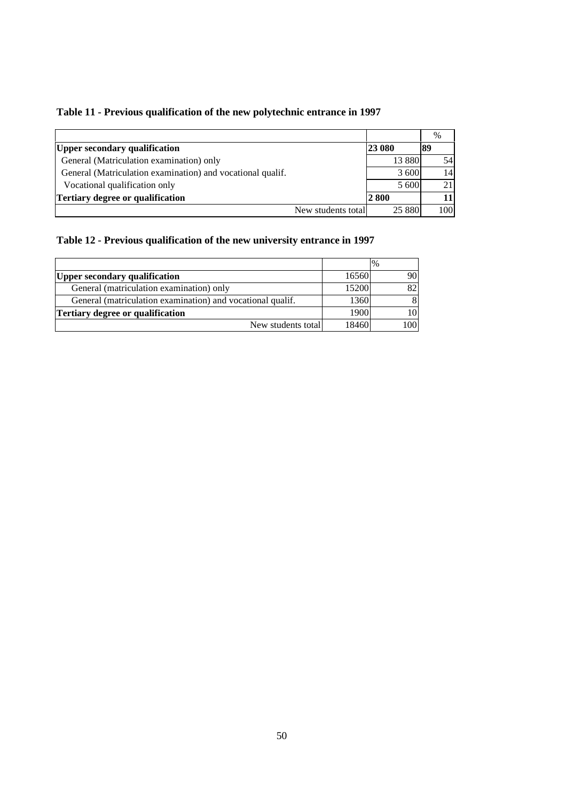|                                                            |                    |          | $\%$ |
|------------------------------------------------------------|--------------------|----------|------|
| <b>Upper secondary qualification</b>                       |                    | 23 080   | 89   |
| General (Matriculation examination) only                   |                    | 13 8 8 0 | 54   |
| General (Matriculation examination) and vocational qualif. |                    | 3 600    | 14   |
| Vocational qualification only                              |                    | 5 600    |      |
| Tertiary degree or qualification                           |                    | 2 800    |      |
|                                                            | New students total | 25 8 8 0 | 100  |

# **Table 11 - Previous qualification of the new polytechnic entrance in 1997**

# **Table 12 - Previous qualification of the new university entrance in 1997**

|                                                            |       | $\frac{0}{0}$ |
|------------------------------------------------------------|-------|---------------|
| <b>Upper secondary qualification</b>                       | 16560 | 90            |
| General (matriculation examination) only                   | 15200 | 82            |
| General (matriculation examination) and vocational qualif. | 1360  | 8             |
| Tertiary degree or qualification                           | 1900  | 10            |
| New students total                                         | 18460 | 1001          |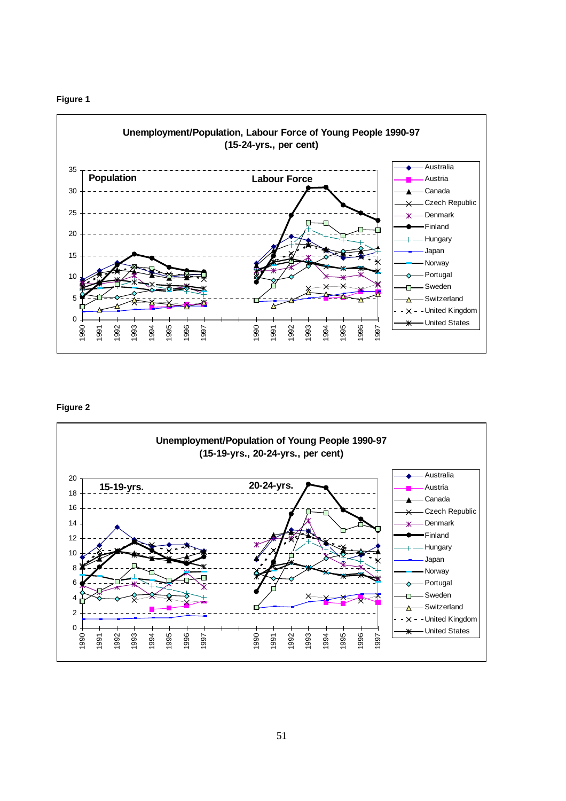



## **Figure 2**

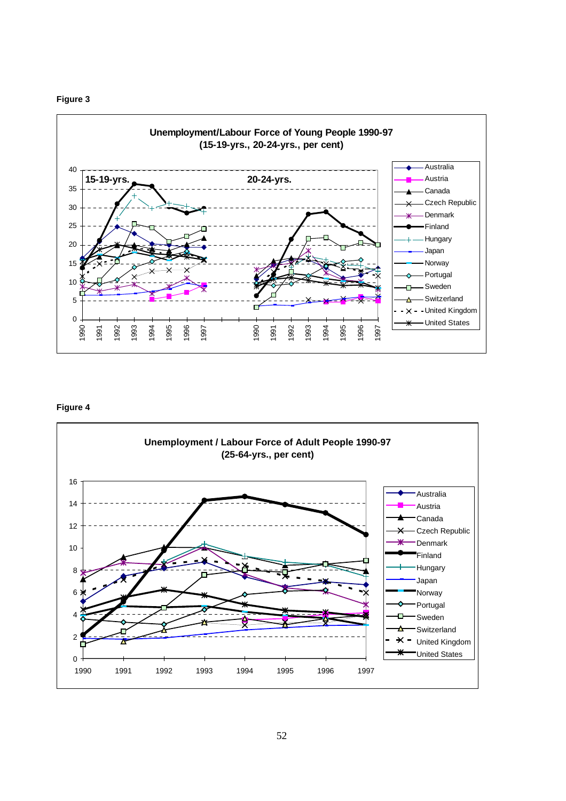



**Figure 4**

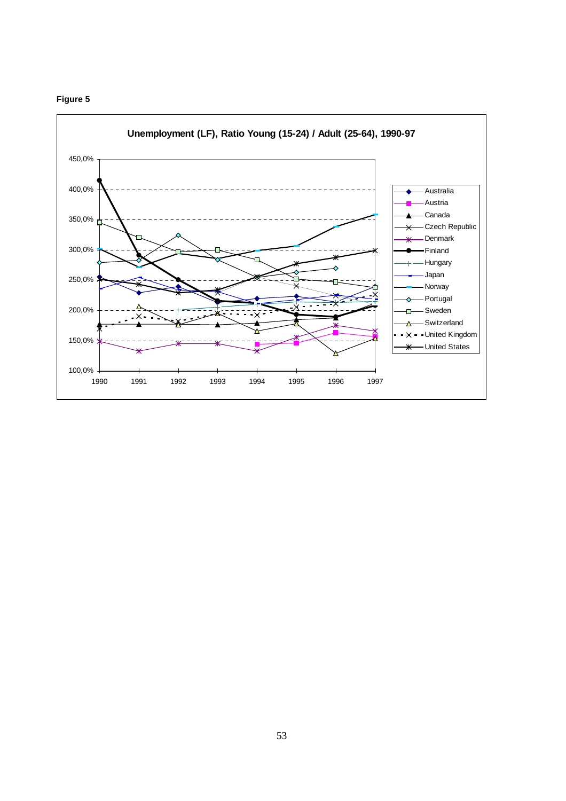# **Figure 5**

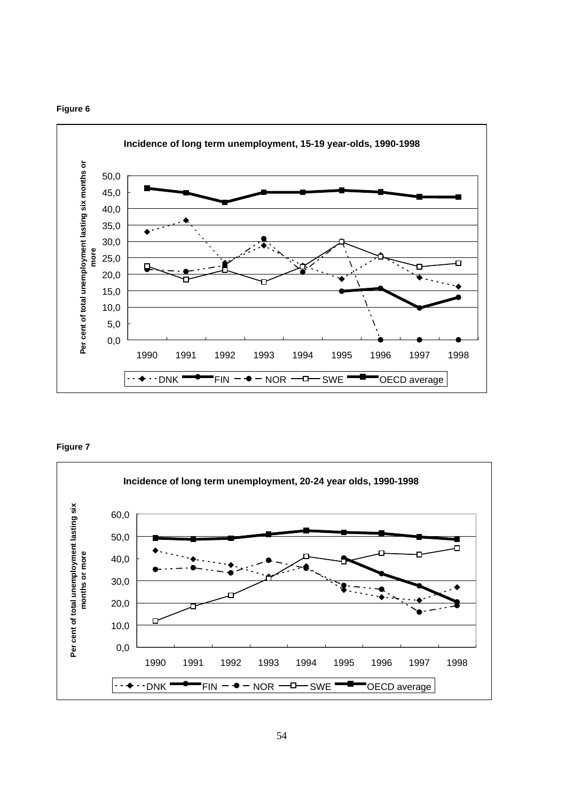



## **Figure 7**

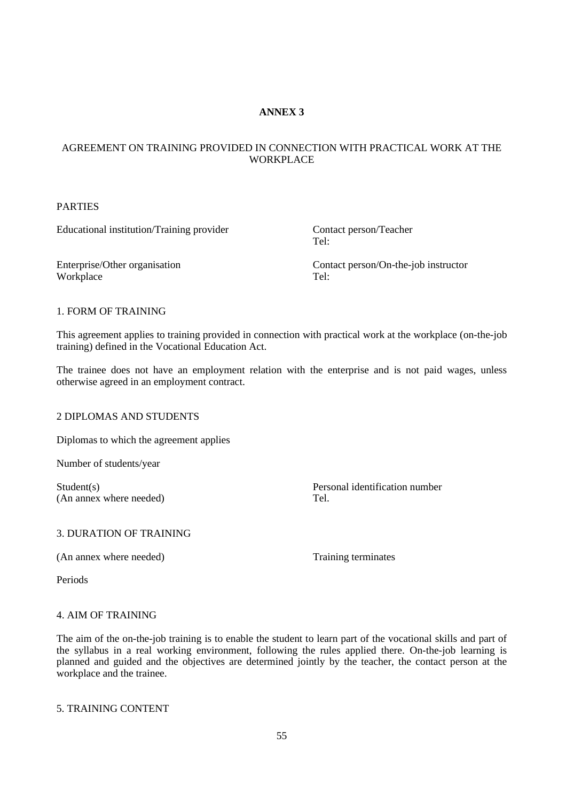# **ANNEX 3**

# AGREEMENT ON TRAINING PROVIDED IN CONNECTION WITH PRACTICAL WORK AT THE WORKPLACE

## PARTIES

Educational institution/Training provider Contact person/Teacher

Tel:

Workplace

Enterprise/Other organisation Contact person/On-the-job instructor<br>Workplace Tel: Tel:

## 1. FORM OF TRAINING

This agreement applies to training provided in connection with practical work at the workplace (on-the-job training) defined in the Vocational Education Act.

The trainee does not have an employment relation with the enterprise and is not paid wages, unless otherwise agreed in an employment contract.

# 2 DIPLOMAS AND STUDENTS

Diplomas to which the agreement applies

Number of students/year

(An annex where needed) Tel.

Student(s) Personal identification number

#### 3. DURATION OF TRAINING

(An annex where needed) Training terminates

Periods

# 4. AIM OF TRAINING

The aim of the on-the-job training is to enable the student to learn part of the vocational skills and part of the syllabus in a real working environment, following the rules applied there. On-the-job learning is planned and guided and the objectives are determined jointly by the teacher, the contact person at the workplace and the trainee.

# 5. TRAINING CONTENT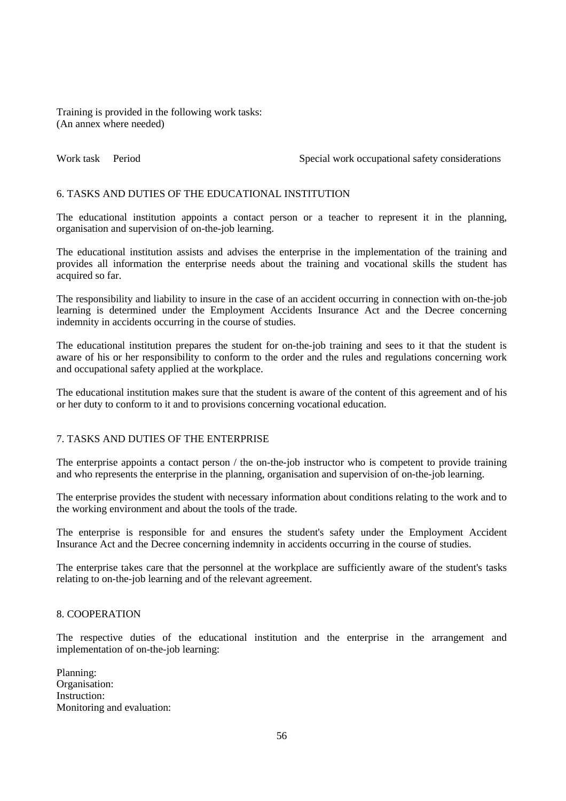Training is provided in the following work tasks: (An annex where needed)

Work task Period Special work occupational safety considerations

# 6. TASKS AND DUTIES OF THE EDUCATIONAL INSTITUTION

The educational institution appoints a contact person or a teacher to represent it in the planning, organisation and supervision of on-the-job learning.

The educational institution assists and advises the enterprise in the implementation of the training and provides all information the enterprise needs about the training and vocational skills the student has acquired so far.

The responsibility and liability to insure in the case of an accident occurring in connection with on-the-job learning is determined under the Employment Accidents Insurance Act and the Decree concerning indemnity in accidents occurring in the course of studies.

The educational institution prepares the student for on-the-job training and sees to it that the student is aware of his or her responsibility to conform to the order and the rules and regulations concerning work and occupational safety applied at the workplace.

The educational institution makes sure that the student is aware of the content of this agreement and of his or her duty to conform to it and to provisions concerning vocational education.

#### 7. TASKS AND DUTIES OF THE ENTERPRISE

The enterprise appoints a contact person / the on-the-job instructor who is competent to provide training and who represents the enterprise in the planning, organisation and supervision of on-the-job learning.

The enterprise provides the student with necessary information about conditions relating to the work and to the working environment and about the tools of the trade.

The enterprise is responsible for and ensures the student's safety under the Employment Accident Insurance Act and the Decree concerning indemnity in accidents occurring in the course of studies.

The enterprise takes care that the personnel at the workplace are sufficiently aware of the student's tasks relating to on-the-job learning and of the relevant agreement.

#### 8. COOPERATION

The respective duties of the educational institution and the enterprise in the arrangement and implementation of on-the-job learning:

Planning: Organisation: Instruction: Monitoring and evaluation: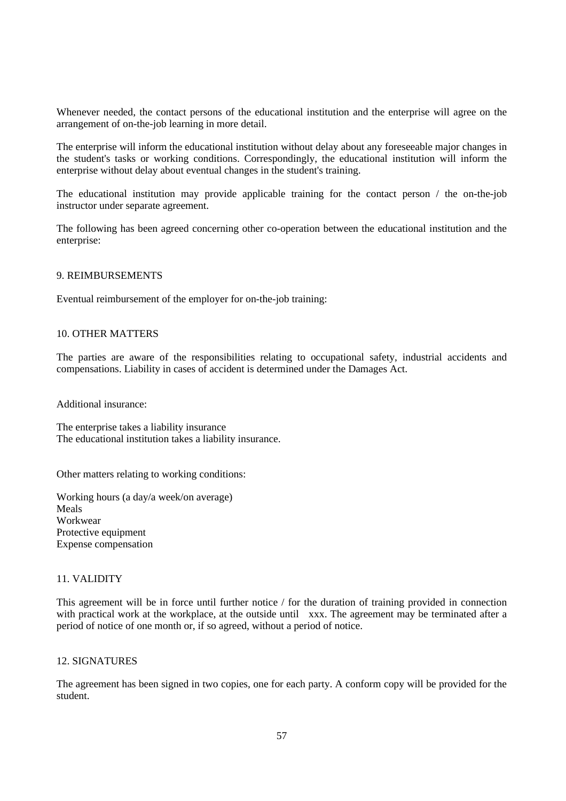Whenever needed, the contact persons of the educational institution and the enterprise will agree on the arrangement of on-the-job learning in more detail.

The enterprise will inform the educational institution without delay about any foreseeable major changes in the student's tasks or working conditions. Correspondingly, the educational institution will inform the enterprise without delay about eventual changes in the student's training.

The educational institution may provide applicable training for the contact person / the on-the-job instructor under separate agreement.

The following has been agreed concerning other co-operation between the educational institution and the enterprise:

#### 9. REIMBURSEMENTS

Eventual reimbursement of the employer for on-the-job training:

#### 10. OTHER MATTERS

The parties are aware of the responsibilities relating to occupational safety, industrial accidents and compensations. Liability in cases of accident is determined under the Damages Act.

Additional insurance:

The enterprise takes a liability insurance The educational institution takes a liability insurance.

Other matters relating to working conditions:

Working hours (a day/a week/on average) Meals Workwear Protective equipment Expense compensation

## 11. VALIDITY

This agreement will be in force until further notice / for the duration of training provided in connection with practical work at the workplace, at the outside until xxx. The agreement may be terminated after a period of notice of one month or, if so agreed, without a period of notice.

# 12. SIGNATURES

The agreement has been signed in two copies, one for each party. A conform copy will be provided for the student.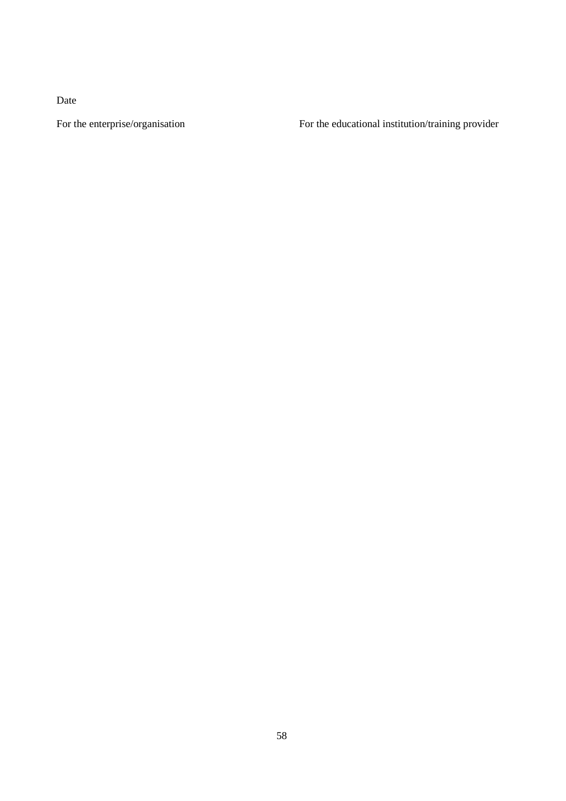Date

For the enterprise/organisation For the educational institution/training provider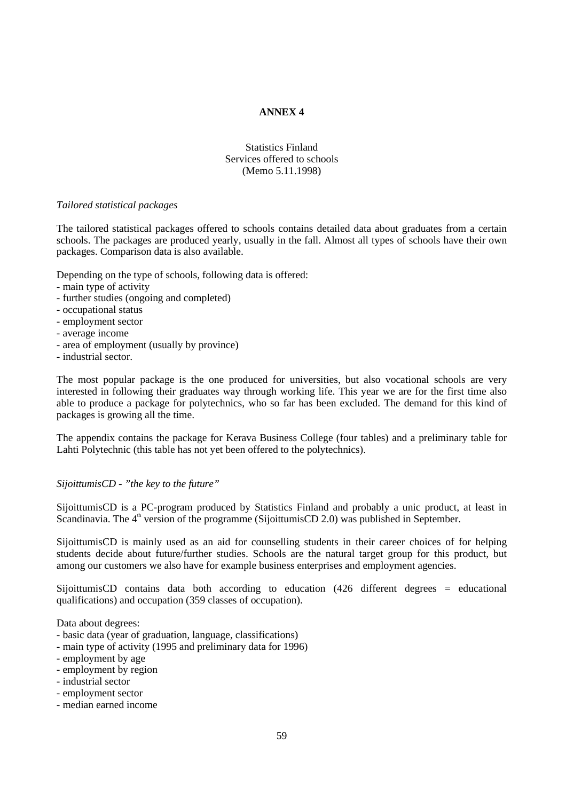# **ANNEX 4**

# Statistics Finland Services offered to schools (Memo 5.11.1998)

#### *Tailored statistical packages*

The tailored statistical packages offered to schools contains detailed data about graduates from a certain schools. The packages are produced yearly, usually in the fall. Almost all types of schools have their own packages. Comparison data is also available.

Depending on the type of schools, following data is offered:

- main type of activity
- further studies (ongoing and completed)
- occupational status
- employment sector
- average income
- area of employment (usually by province)
- industrial sector.

The most popular package is the one produced for universities, but also vocational schools are very interested in following their graduates way through working life. This year we are for the first time also able to produce a package for polytechnics, who so far has been excluded. The demand for this kind of packages is growing all the time.

The appendix contains the package for Kerava Business College (four tables) and a preliminary table for Lahti Polytechnic (this table has not yet been offered to the polytechnics).

#### *SijoittumisCD - "the key to the future"*

SijoittumisCD is a PC-program produced by Statistics Finland and probably a unic product, at least in Scandinavia. The  $4<sup>th</sup>$  version of the programme (SijoittumisCD 2.0) was published in September.

SijoittumisCD is mainly used as an aid for counselling students in their career choices of for helping students decide about future/further studies. Schools are the natural target group for this product, but among our customers we also have for example business enterprises and employment agencies.

SijoittumisCD contains data both according to education (426 different degrees = educational qualifications) and occupation (359 classes of occupation).

Data about degrees:

- basic data (year of graduation, language, classifications)
- main type of activity (1995 and preliminary data for 1996)
- employment by age
- employment by region
- industrial sector
- employment sector
- median earned income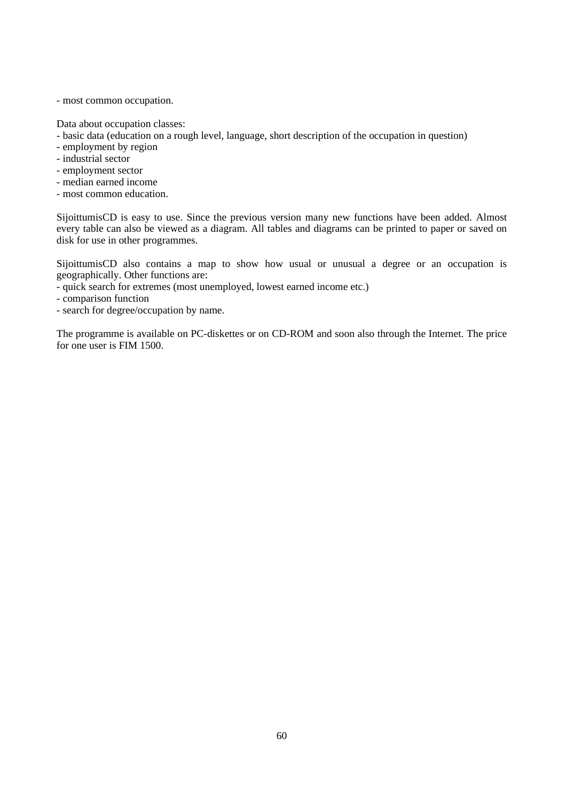- most common occupation.

Data about occupation classes:

- basic data (education on a rough level, language, short description of the occupation in question)
- employment by region
- industrial sector
- employment sector
- median earned income
- most common education.

SijoittumisCD is easy to use. Since the previous version many new functions have been added. Almost every table can also be viewed as a diagram. All tables and diagrams can be printed to paper or saved on disk for use in other programmes.

SijoittumisCD also contains a map to show how usual or unusual a degree or an occupation is geographically. Other functions are:

- quick search for extremes (most unemployed, lowest earned income etc.)
- comparison function
- search for degree/occupation by name.

The programme is available on PC-diskettes or on CD-ROM and soon also through the Internet. The price for one user is FIM 1500.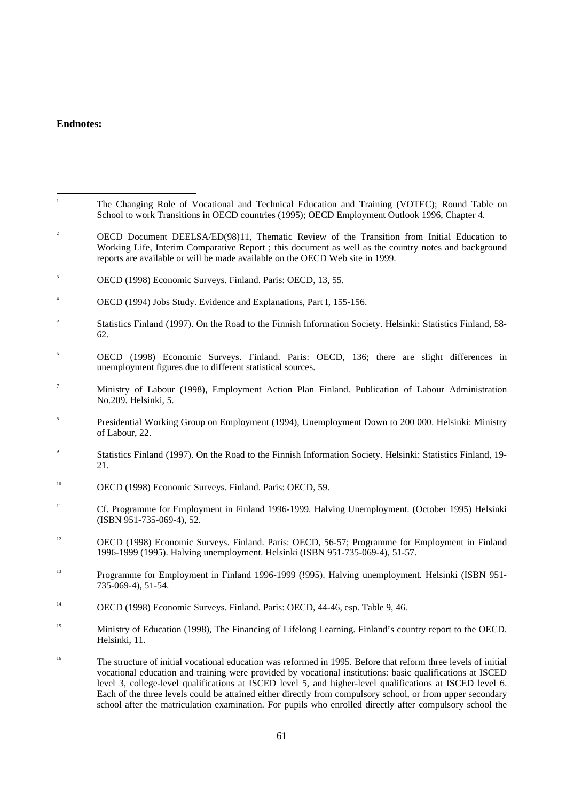# **Endnotes:**

| $\,$ 1           | The Changing Role of Vocational and Technical Education and Training (VOTEC); Round Table on<br>School to work Transitions in OECD countries (1995); OECD Employment Outlook 1996, Chapter 4.                                                                                                                                                                                                                                                          |
|------------------|--------------------------------------------------------------------------------------------------------------------------------------------------------------------------------------------------------------------------------------------------------------------------------------------------------------------------------------------------------------------------------------------------------------------------------------------------------|
| $\sqrt{2}$       | OECD Document DEELSA/ED(98)11, Thematic Review of the Transition from Initial Education to<br>Working Life, Interim Comparative Report ; this document as well as the country notes and background<br>reports are available or will be made available on the OECD Web site in 1999.                                                                                                                                                                    |
| $\sqrt{3}$       | OECD (1998) Economic Surveys. Finland. Paris: OECD, 13, 55.                                                                                                                                                                                                                                                                                                                                                                                            |
| $\overline{4}$   | OECD (1994) Jobs Study. Evidence and Explanations, Part I, 155-156.                                                                                                                                                                                                                                                                                                                                                                                    |
| 5                | Statistics Finland (1997). On the Road to the Finnish Information Society. Helsinki: Statistics Finland, 58-<br>62.                                                                                                                                                                                                                                                                                                                                    |
| 6                | OECD (1998) Economic Surveys. Finland. Paris: OECD, 136; there are slight differences in<br>unemployment figures due to different statistical sources.                                                                                                                                                                                                                                                                                                 |
| $\tau$           | Ministry of Labour (1998), Employment Action Plan Finland. Publication of Labour Administration<br>No.209. Helsinki, 5.                                                                                                                                                                                                                                                                                                                                |
| $\,$ 8 $\,$      | Presidential Working Group on Employment (1994), Unemployment Down to 200 000. Helsinki: Ministry<br>of Labour, 22.                                                                                                                                                                                                                                                                                                                                    |
| $\boldsymbol{9}$ | Statistics Finland (1997). On the Road to the Finnish Information Society. Helsinki: Statistics Finland, 19-<br>21.                                                                                                                                                                                                                                                                                                                                    |
| 10               | OECD (1998) Economic Surveys. Finland. Paris: OECD, 59.                                                                                                                                                                                                                                                                                                                                                                                                |
| 11               | Cf. Programme for Employment in Finland 1996-1999. Halving Unemployment. (October 1995) Helsinki<br>(ISBN 951-735-069-4), 52.                                                                                                                                                                                                                                                                                                                          |
| 12               | OECD (1998) Economic Surveys. Finland. Paris: OECD, 56-57; Programme for Employment in Finland<br>1996-1999 (1995). Halving unemployment. Helsinki (ISBN 951-735-069-4), 51-57.                                                                                                                                                                                                                                                                        |
| 13               | Programme for Employment in Finland 1996-1999 (!995). Halving unemployment. Helsinki (ISBN 951-<br>735-069-4), 51-54.                                                                                                                                                                                                                                                                                                                                  |
| 14               | OECD (1998) Economic Surveys. Finland. Paris: OECD, 44-46, esp. Table 9, 46.                                                                                                                                                                                                                                                                                                                                                                           |
| $15\,$           | Ministry of Education (1998), The Financing of Lifelong Learning. Finland's country report to the OECD.<br>Helsinki, 11.                                                                                                                                                                                                                                                                                                                               |
| 16               | The structure of initial vocational education was reformed in 1995. Before that reform three levels of initial<br>vocational education and training were provided by vocational institutions: basic qualifications at ISCED<br>level 3, college-level qualifications at ISCED level 5, and higher-level qualifications at ISCED level 6.<br>Each of the three levels could be attained either directly from compulsory school, or from upper secondary |

school after the matriculation examination. For pupils who enrolled directly after compulsory school the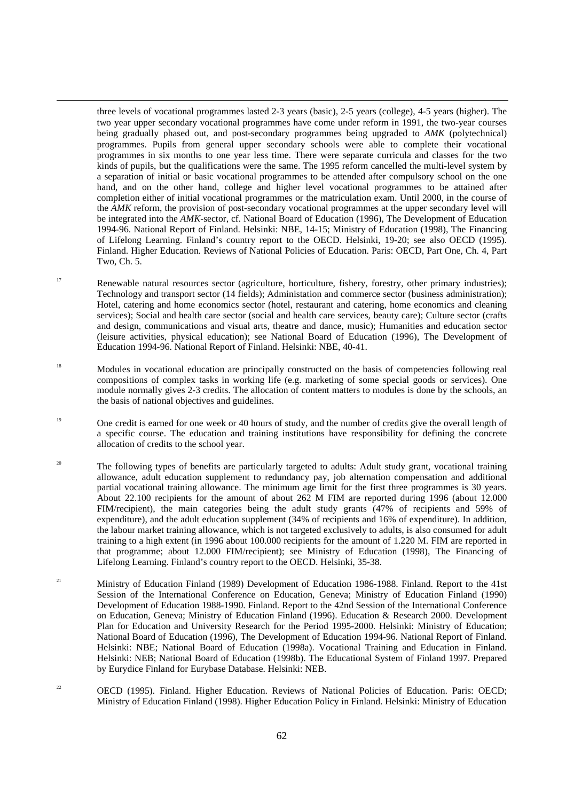three levels of vocational programmes lasted 2-3 years (basic), 2-5 years (college), 4-5 years (higher). The two year upper secondary vocational programmes have come under reform in 1991, the two-year courses being gradually phased out, and post-secondary programmes being upgraded to *AMK* (polytechnical) programmes. Pupils from general upper secondary schools were able to complete their vocational programmes in six months to one year less time. There were separate curricula and classes for the two kinds of pupils, but the qualifications were the same. The 1995 reform cancelled the multi-level system by a separation of initial or basic vocational programmes to be attended after compulsory school on the one hand, and on the other hand, college and higher level vocational programmes to be attained after completion either of initial vocational programmes or the matriculation exam. Until 2000, in the course of the *AMK* reform, the provision of post-secondary vocational programmes at the upper secondary level will be integrated into the *AMK*-sector, cf. National Board of Education (1996), The Development of Education 1994-96. National Report of Finland. Helsinki: NBE, 14-15; Ministry of Education (1998), The Financing of Lifelong Learning. Finland's country report to the OECD. Helsinki, 19-20; see also OECD (1995). Finland. Higher Education. Reviews of National Policies of Education. Paris: OECD, Part One, Ch. 4, Part Two, Ch. 5.

- <sup>17</sup> Renewable natural resources sector (agriculture, horticulture, fishery, forestry, other primary industries); Technology and transport sector (14 fields); Administation and commerce sector (business administration); Hotel, catering and home economics sector (hotel, restaurant and catering, home economics and cleaning services); Social and health care sector (social and health care services, beauty care); Culture sector (crafts and design, communications and visual arts, theatre and dance, music); Humanities and education sector (leisure activities, physical education); see National Board of Education (1996), The Development of Education 1994-96. National Report of Finland. Helsinki: NBE, 40-41.
- <sup>18</sup> Modules in vocational education are principally constructed on the basis of competencies following real compositions of complex tasks in working life (e.g. marketing of some special goods or services). One module normally gives 2-3 credits. The allocation of content matters to modules is done by the schools, an the basis of national objectives and guidelines.
- <sup>19</sup> One credit is earned for one week or 40 hours of study, and the number of credits give the overall length of a specific course. The education and training institutions have responsibility for defining the concrete allocation of credits to the school year.
- <sup>20</sup> The following types of benefits are particularly targeted to adults: Adult study grant, vocational training allowance, adult education supplement to redundancy pay, job alternation compensation and additional partial vocational training allowance. The minimum age limit for the first three programmes is 30 years. About 22.100 recipients for the amount of about 262 M FIM are reported during 1996 (about 12.000 FIM/recipient), the main categories being the adult study grants (47% of recipients and 59% of expenditure), and the adult education supplement (34% of recipients and 16% of expenditure). In addition, the labour market training allowance, which is not targeted exclusively to adults, is also consumed for adult training to a high extent (in 1996 about 100.000 recipients for the amount of 1.220 M. FIM are reported in that programme; about 12.000 FIM/recipient); see Ministry of Education (1998), The Financing of Lifelong Learning. Finland's country report to the OECD. Helsinki, 35-38.
- <sup>21</sup> Ministry of Education Finland (1989) Development of Education 1986-1988. Finland. Report to the 41st Session of the International Conference on Education, Geneva; Ministry of Education Finland (1990) Development of Education 1988-1990. Finland. Report to the 42nd Session of the International Conference on Education, Geneva; Ministry of Education Finland (1996). Education & Research 2000. Development Plan for Education and University Research for the Period 1995-2000. Helsinki: Ministry of Education; National Board of Education (1996), The Development of Education 1994-96. National Report of Finland. Helsinki: NBE; National Board of Education (1998a). Vocational Training and Education in Finland. Helsinki: NEB; National Board of Education (1998b). The Educational System of Finland 1997. Prepared by Eurydice Finland for Eurybase Database. Helsinki: NEB.
- <sup>22</sup> OECD (1995). Finland. Higher Education. Reviews of National Policies of Education. Paris: OECD; Ministry of Education Finland (1998). Higher Education Policy in Finland. Helsinki: Ministry of Education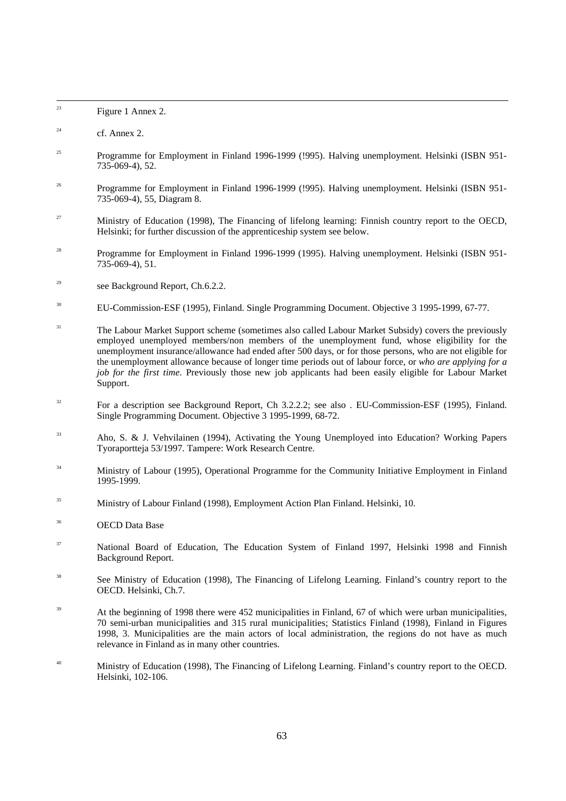| 23     | Figure 1 Annex 2.                                                                                                                                                                                                                                                                                                                                                                                                                                                                                                                                  |
|--------|----------------------------------------------------------------------------------------------------------------------------------------------------------------------------------------------------------------------------------------------------------------------------------------------------------------------------------------------------------------------------------------------------------------------------------------------------------------------------------------------------------------------------------------------------|
| 24     | cf. Annex 2.                                                                                                                                                                                                                                                                                                                                                                                                                                                                                                                                       |
| 25     | Programme for Employment in Finland 1996-1999 (!995). Halving unemployment. Helsinki (ISBN 951-<br>735-069-4), 52.                                                                                                                                                                                                                                                                                                                                                                                                                                 |
| $26\,$ | Programme for Employment in Finland 1996-1999 (!995). Halving unemployment. Helsinki (ISBN 951-<br>735-069-4), 55, Diagram 8.                                                                                                                                                                                                                                                                                                                                                                                                                      |
| 27     | Ministry of Education (1998), The Financing of lifelong learning: Finnish country report to the OECD,<br>Helsinki; for further discussion of the apprenticeship system see below.                                                                                                                                                                                                                                                                                                                                                                  |
| 28     | Programme for Employment in Finland 1996-1999 (1995). Halving unemployment. Helsinki (ISBN 951-<br>735-069-4), 51.                                                                                                                                                                                                                                                                                                                                                                                                                                 |
| 29     | see Background Report, Ch.6.2.2.                                                                                                                                                                                                                                                                                                                                                                                                                                                                                                                   |
| 30     | EU-Commission-ESF (1995), Finland. Single Programming Document. Objective 3 1995-1999, 67-77.                                                                                                                                                                                                                                                                                                                                                                                                                                                      |
| 31     | The Labour Market Support scheme (sometimes also called Labour Market Subsidy) covers the previously<br>employed unemployed members/non members of the unemployment fund, whose eligibility for the<br>unemployment insurance/allowance had ended after 500 days, or for those persons, who are not eligible for<br>the unemployment allowance because of longer time periods out of labour force, or who are applying for a<br>job for the first time. Previously those new job applicants had been easily eligible for Labour Market<br>Support. |
| 32     | For a description see Background Report, Ch 3.2.2.2; see also . EU-Commission-ESF (1995), Finland.<br>Single Programming Document. Objective 3 1995-1999, 68-72.                                                                                                                                                                                                                                                                                                                                                                                   |
| 33     | Aho, S. & J. Vehvilainen (1994), Activating the Young Unemployed into Education? Working Papers<br>Tyoraportteja 53/1997. Tampere: Work Research Centre.                                                                                                                                                                                                                                                                                                                                                                                           |
| 34     | Ministry of Labour (1995), Operational Programme for the Community Initiative Employment in Finland<br>1995-1999.                                                                                                                                                                                                                                                                                                                                                                                                                                  |
| 35     | Ministry of Labour Finland (1998), Employment Action Plan Finland. Helsinki, 10.                                                                                                                                                                                                                                                                                                                                                                                                                                                                   |
| 36     | <b>OECD</b> Data Base                                                                                                                                                                                                                                                                                                                                                                                                                                                                                                                              |
| 37     | National Board of Education, The Education System of Finland 1997, Helsinki 1998 and Finnish<br>Background Report.                                                                                                                                                                                                                                                                                                                                                                                                                                 |
| 38     | See Ministry of Education (1998), The Financing of Lifelong Learning. Finland's country report to the<br>OECD. Helsinki, Ch.7.                                                                                                                                                                                                                                                                                                                                                                                                                     |
| 39     | At the beginning of 1998 there were 452 municipalities in Finland, 67 of which were urban municipalities,<br>70 semi-urban municipalities and 315 rural municipalities; Statistics Finland (1998), Finland in Figures<br>1998, 3. Municipalities are the main actors of local administration, the regions do not have as much<br>relevance in Finland as in many other countries.                                                                                                                                                                  |
| 40     | Ministry of Education (1998), The Financing of Lifelong Learning. Finland's country report to the OECD.<br>Helsinki, 102-106.                                                                                                                                                                                                                                                                                                                                                                                                                      |
|        |                                                                                                                                                                                                                                                                                                                                                                                                                                                                                                                                                    |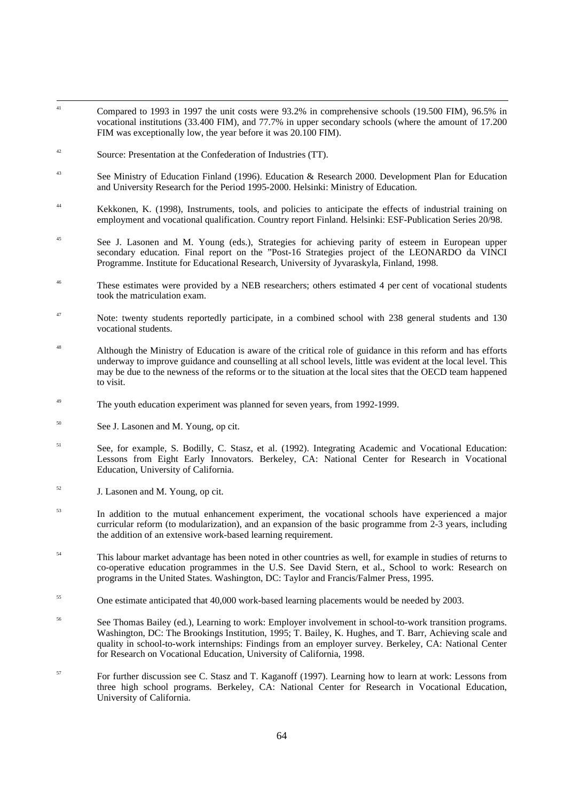- <sup>41</sup> Compared to 1993 in 1997 the unit costs were 93.2% in comprehensive schools (19.500 FIM), 96.5% in vocational institutions (33.400 FIM), and 77.7% in upper secondary schools (where the amount of 17.200 FIM was exceptionally low, the year before it was 20.100 FIM).
- <sup>42</sup> Source: Presentation at the Confederation of Industries (TT).
- <sup>43</sup> See Ministry of Education Finland (1996). Education & Research 2000. Development Plan for Education and University Research for the Period 1995-2000. Helsinki: Ministry of Education.
- <sup>44</sup> Kekkonen, K. (1998), Instruments, tools, and policies to anticipate the effects of industrial training on employment and vocational qualification. Country report Finland. Helsinki: ESF-Publication Series 20/98.
- <sup>45</sup> See J. Lasonen and M. Young (eds.), Strategies for achieving parity of esteem in European upper secondary education. Final report on the "Post-16 Strategies project of the LEONARDO da VINCI Programme. Institute for Educational Research, University of Jyvaraskyla, Finland, 1998.
- <sup>46</sup> These estimates were provided by a NEB researchers; others estimated 4 per cent of vocational students took the matriculation exam.
- <sup>47</sup> Note: twenty students reportedly participate, in a combined school with 238 general students and 130 vocational students.
- <sup>48</sup> Although the Ministry of Education is aware of the critical role of guidance in this reform and has efforts underway to improve guidance and counselling at all school levels, little was evident at the local level. This may be due to the newness of the reforms or to the situation at the local sites that the OECD team happened to visit.
- <sup>49</sup> The youth education experiment was planned for seven years, from 1992-1999.
- <sup>50</sup> See J. Lasonen and M. Young, op cit.
- <sup>51</sup> See, for example, S. Bodilly, C. Stasz, et al. (1992). Integrating Academic and Vocational Education: Lessons from Eight Early Innovators. Berkeley, CA: National Center for Research in Vocational Education, University of California.
- $52$  J. Lasonen and M. Young, op cit.
- <sup>53</sup> In addition to the mutual enhancement experiment, the vocational schools have experienced a major curricular reform (to modularization), and an expansion of the basic programme from 2-3 years, including the addition of an extensive work-based learning requirement.
- <sup>54</sup> This labour market advantage has been noted in other countries as well, for example in studies of returns to co-operative education programmes in the U.S. See David Stern, et al., School to work: Research on programs in the United States. Washington, DC: Taylor and Francis/Falmer Press, 1995.
- <sup>55</sup> One estimate anticipated that 40,000 work-based learning placements would be needed by 2003.
- <sup>56</sup> See Thomas Bailey (ed.), Learning to work: Employer involvement in school-to-work transition programs. Washington, DC: The Brookings Institution, 1995; T. Bailey, K. Hughes, and T. Barr, Achieving scale and quality in school-to-work internships: Findings from an employer survey. Berkeley, CA: National Center for Research on Vocational Education, University of California, 1998.
- <sup>57</sup> For further discussion see C. Stasz and T. Kaganoff (1997). Learning how to learn at work: Lessons from three high school programs. Berkeley, CA: National Center for Research in Vocational Education, University of California.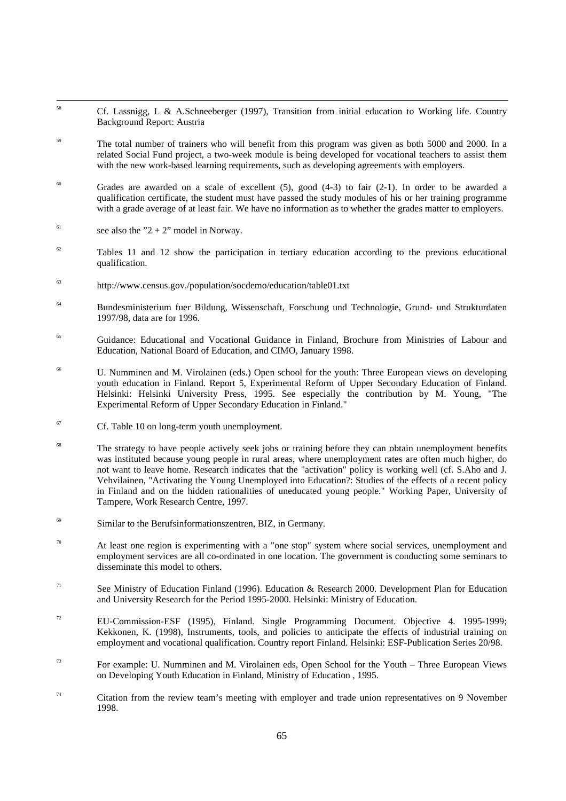- <sup>58</sup> Cf. Lassnigg, L & A.Schneeberger (1997), Transition from initial education to Working life. Country Background Report: Austria
- <sup>59</sup> The total number of trainers who will benefit from this program was given as both 5000 and 2000. In a related Social Fund project, a two-week module is being developed for vocational teachers to assist them with the new work-based learning requirements, such as developing agreements with employers.
- $60$  Grades are awarded on a scale of excellent (5), good (4-3) to fair (2-1). In order to be awarded a qualification certificate, the student must have passed the study modules of his or her training programme with a grade average of at least fair. We have no information as to whether the grades matter to employers.
- <sup>61</sup> see also the "2 + 2" model in Norway.
- $62$  Tables 11 and 12 show the participation in tertiary education according to the previous educational qualification.
- <sup>63</sup> http://www.census.gov./population/socdemo/education/table01.txt
- <sup>64</sup> Bundesministerium fuer Bildung, Wissenschaft, Forschung und Technologie, Grund- und Strukturdaten 1997/98, data are for 1996.
- <sup>65</sup> Guidance: Educational and Vocational Guidance in Finland, Brochure from Ministries of Labour and Education, National Board of Education, and CIMO, January 1998.
- <sup>66</sup> U. Numminen and M. Virolainen (eds.) Open school for the youth: Three European views on developing youth education in Finland. Report 5, Experimental Reform of Upper Secondary Education of Finland. Helsinki: Helsinki University Press, 1995. See especially the contribution by M. Young, "The Experimental Reform of Upper Secondary Education in Finland."
- $67$  Cf. Table 10 on long-term youth unemployment.
- <sup>68</sup> The strategy to have people actively seek jobs or training before they can obtain unemployment benefits was instituted because young people in rural areas, where unemployment rates are often much higher, do not want to leave home. Research indicates that the "activation" policy is working well (cf. S.Aho and J. Vehvilainen, "Activating the Young Unemployed into Education?: Studies of the effects of a recent policy in Finland and on the hidden rationalities of uneducated young people." Working Paper, University of Tampere, Work Research Centre, 1997.
- Similar to the Berufsinformationszentren, BIZ, in Germany.
- $70$  At least one region is experimenting with a "one stop" system where social services, unemployment and employment services are all co-ordinated in one location. The government is conducting some seminars to disseminate this model to others.
- <sup>71</sup> See Ministry of Education Finland (1996). Education & Research 2000. Development Plan for Education and University Research for the Period 1995-2000. Helsinki: Ministry of Education.
- <sup>72</sup> EU-Commission-ESF (1995), Finland. Single Programming Document. Objective 4. 1995-1999; Kekkonen, K. (1998), Instruments, tools, and policies to anticipate the effects of industrial training on employment and vocational qualification. Country report Finland. Helsinki: ESF-Publication Series 20/98.
- $^{73}$  For example: U. Numminen and M. Virolainen eds, Open School for the Youth Three European Views on Developing Youth Education in Finland, Ministry of Education , 1995.
- $74$  Citation from the review team's meeting with employer and trade union representatives on 9 November 1998.